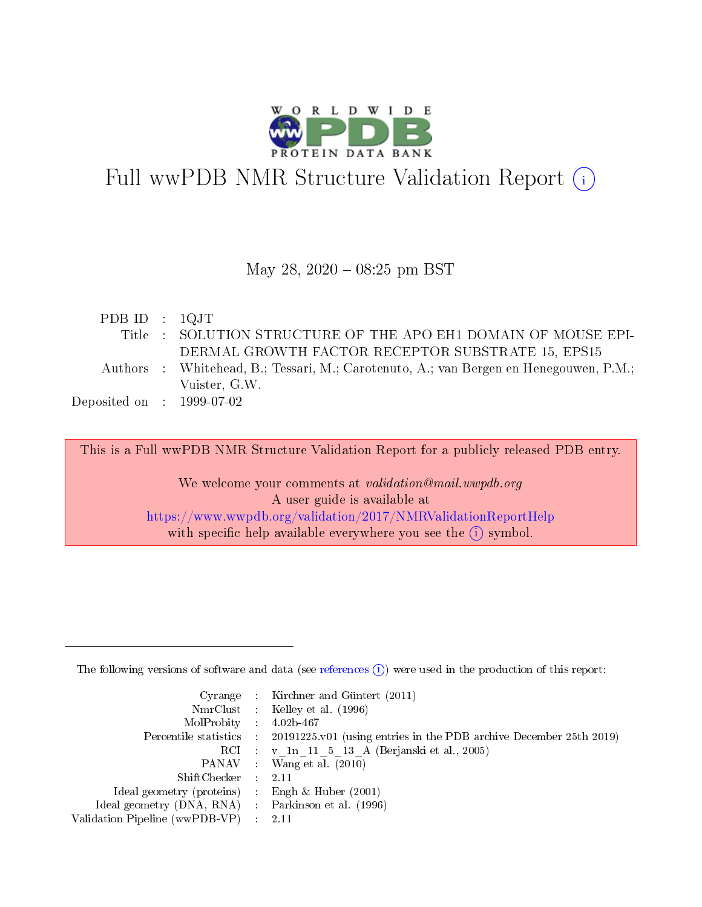

# Full wwPDB NMR Structure Validation Report (i)

#### May 28, 2020 - 08:25 pm BST

| PDB ID : $1QJT$             |                                                                                       |
|-----------------------------|---------------------------------------------------------------------------------------|
|                             | Title : SOLUTION STRUCTURE OF THE APO EH1 DOMAIN OF MOUSE EPI-                        |
|                             | DERMAL GROWTH FACTOR RECEPTOR SUBSTRATE 15, EPS15                                     |
|                             | Authors : Whitehead, B.; Tessari, M.; Carotenuto, A.; van Bergen en Henegouwen, P.M.; |
|                             | Vuister, G.W.                                                                         |
| $Deposited on$ : 1999-07-02 |                                                                                       |

This is a Full wwPDB NMR Structure Validation Report for a publicly released PDB entry.

We welcome your comments at *validation@mail.wwpdb.org* A user guide is available at <https://www.wwpdb.org/validation/2017/NMRValidationReportHelp> with specific help available everywhere you see the  $(i)$  symbol.

The following versions of software and data (see [references](https://www.wwpdb.org/validation/2017/NMRValidationReportHelp#references)  $(1)$ ) were used in the production of this report:

|                                                     | Cyrange : Kirchner and Güntert $(2011)$                                                    |
|-----------------------------------------------------|--------------------------------------------------------------------------------------------|
|                                                     | NmrClust : Kelley et al. (1996)                                                            |
| $MolProbability$ 4.02b-467                          |                                                                                            |
|                                                     | Percentile statistics : 20191225.v01 (using entries in the PDB archive December 25th 2019) |
|                                                     | RCI : v 1n 11 5 13 A (Berjanski et al., 2005)                                              |
|                                                     | PANAV Wang et al. (2010)                                                                   |
| $ShiftChecker$ 2.11                                 |                                                                                            |
| Ideal geometry (proteins) : Engh $\&$ Huber (2001)  |                                                                                            |
| Ideal geometry (DNA, RNA) : Parkinson et al. (1996) |                                                                                            |
| Validation Pipeline (wwPDB-VP)                      | $\sim 2.11$                                                                                |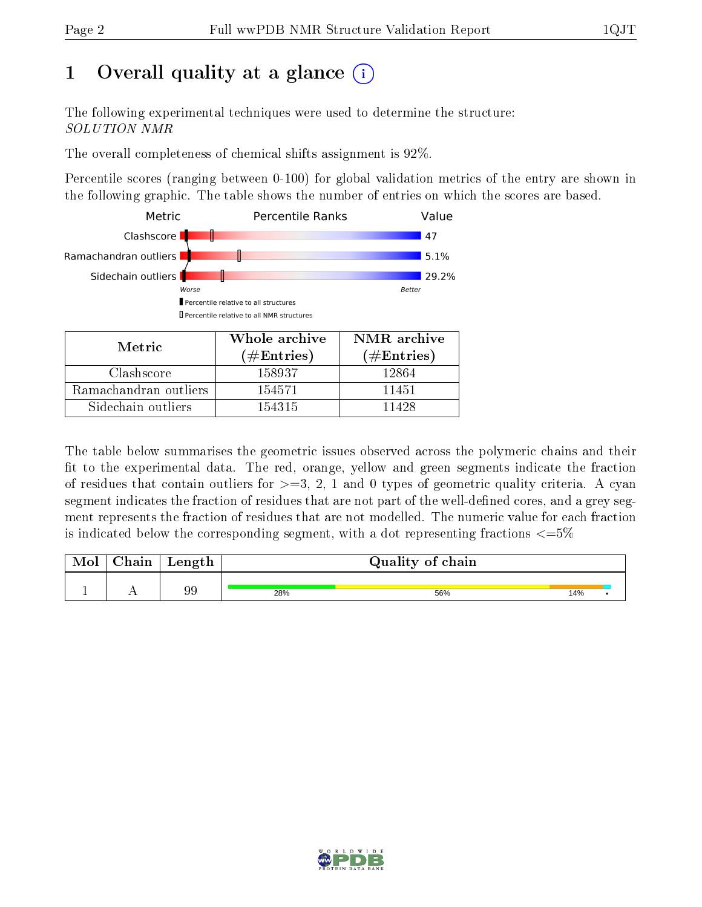# 1 [O](https://www.wwpdb.org/validation/2017/NMRValidationReportHelp#overall_quality)verall quality at a glance  $(i)$

The following experimental techniques were used to determine the structure: SOLUTION NMR

The overall completeness of chemical shifts assignment is 92%.

Percentile scores (ranging between 0-100) for global validation metrics of the entry are shown in the following graphic. The table shows the number of entries on which the scores are based.



| Metric.               | Whole archive<br>$(\#\mathrm{Entries})$ | NMR archive<br>$(\#Entries)$ |
|-----------------------|-----------------------------------------|------------------------------|
| Clashscore            | 158937                                  | 12864                        |
| Ramachandran outliers | 154571                                  | 11451                        |
| Sidechain outliers    | 154315                                  | 11428                        |

The table below summarises the geometric issues observed across the polymeric chains and their fit to the experimental data. The red, orange, yellow and green segments indicate the fraction of residues that contain outliers for  $>=3, 2, 1$  and 0 types of geometric quality criteria. A cyan segment indicates the fraction of residues that are not part of the well-defined cores, and a grey segment represents the fraction of residues that are not modelled. The numeric value for each fraction is indicated below the corresponding segment, with a dot representing fractions  $\epsilon = 5\%$ 

| <b>Mol</b> | ${\rm Chain}$ | $\sim$<br>rengen |     | Quality of chain |     |
|------------|---------------|------------------|-----|------------------|-----|
|            |               |                  |     |                  |     |
|            | . .           | 99               | 28% | 56%              | 14% |

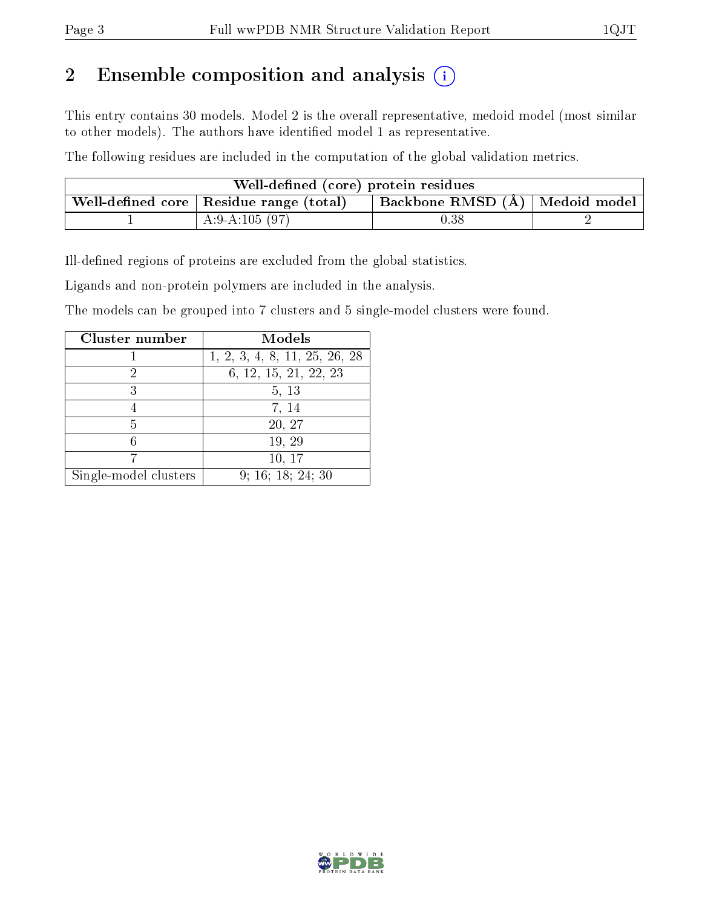# 2 Ensemble composition and analysis  $(i)$

This entry contains 30 models. Model 2 is the overall representative, medoid model (most similar to other models). The authors have identified model 1 as representative.

The following residues are included in the computation of the global validation metrics.

| Well-defined (core) protein residues      |                                |  |
|-------------------------------------------|--------------------------------|--|
| Well-defined core   Residue range (total) | Backbone RMSD (Å) Medoid model |  |
| A:9-A:105 $(97)$                          | $0.38\,$                       |  |

Ill-defined regions of proteins are excluded from the global statistics.

Ligands and non-protein polymers are included in the analysis.

The models can be grouped into 7 clusters and 5 single-model clusters were found.

| Cluster number        | Models                        |
|-----------------------|-------------------------------|
|                       | 1, 2, 3, 4, 8, 11, 25, 26, 28 |
|                       | 6, 12, 15, 21, 22, 23         |
| 3                     | 5, 13                         |
|                       | 7, 14                         |
| 5                     | 20, 27                        |
|                       | 19, 29                        |
|                       | 10, 17                        |
| Single-model clusters | 9; 16; 18; 24; 30             |

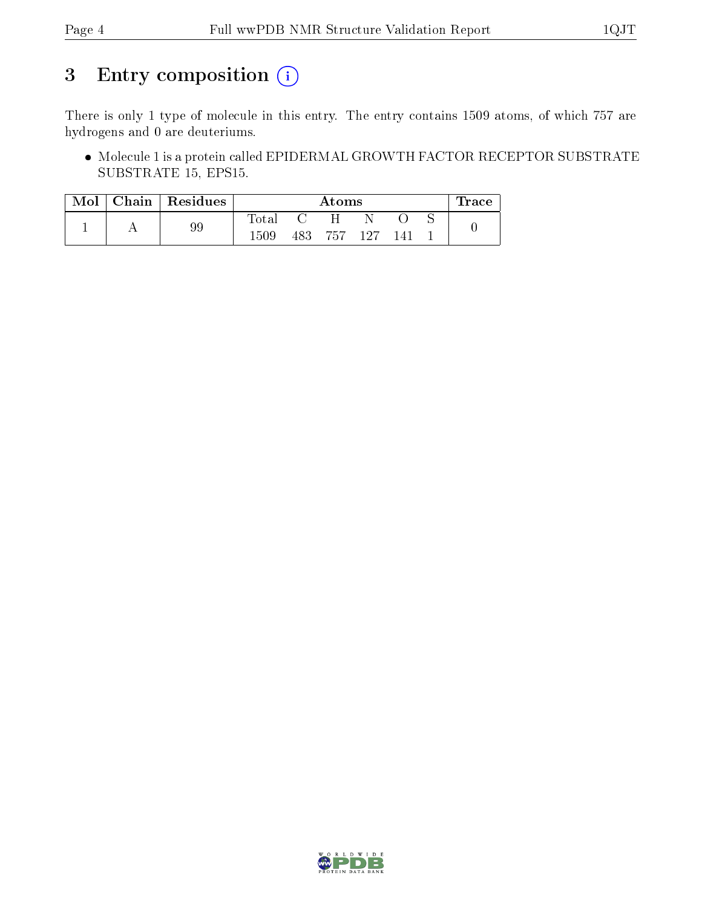# 3 Entry composition (i)

There is only 1 type of molecule in this entry. The entry contains 1509 atoms, of which 757 are hydrogens and 0 are deuteriums.

 Molecule 1 is a protein called EPIDERMAL GROWTH FACTOR RECEPTOR SUBSTRATE SUBSTRATE 15, EPS15.

| Mol | Chain   Residues |       |     | Atoms   |     | lrace |
|-----|------------------|-------|-----|---------|-----|-------|
|     | 99               | Total |     | Η       |     |       |
|     |                  | 1509  | 483 | 757 127 | 141 |       |

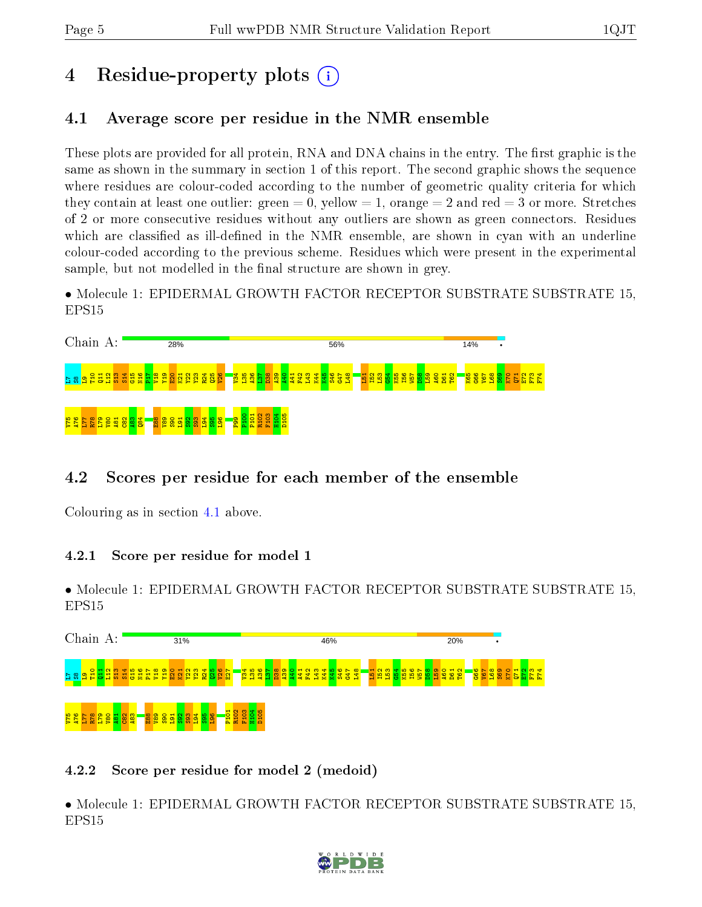# 4 Residue-property plots  $\binom{1}{1}$

### <span id="page-4-0"></span>4.1 Average score per residue in the NMR ensemble

These plots are provided for all protein, RNA and DNA chains in the entry. The first graphic is the same as shown in the summary in section 1 of this report. The second graphic shows the sequence where residues are colour-coded according to the number of geometric quality criteria for which they contain at least one outlier: green  $= 0$ , yellow  $= 1$ , orange  $= 2$  and red  $= 3$  or more. Stretches of 2 or more consecutive residues without any outliers are shown as green connectors. Residues which are classified as ill-defined in the NMR ensemble, are shown in cyan with an underline colour-coded according to the previous scheme. Residues which were present in the experimental sample, but not modelled in the final structure are shown in grey.

• Molecule 1: EPIDERMAL GROWTH FACTOR RECEPTOR SUBSTRATE SUBSTRATE 15, EPS15

| Chain A:          |         |     |  |                                              |  |  |  | 28% |  |                                                   |  |            |          |                                         |                    |                 |            |  | 56% |              |  |  |  |                                    |                                   |             | 14% |  | ٠ |  |        |              |     |  |
|-------------------|---------|-----|--|----------------------------------------------|--|--|--|-----|--|---------------------------------------------------|--|------------|----------|-----------------------------------------|--------------------|-----------------|------------|--|-----|--------------|--|--|--|------------------------------------|-----------------------------------|-------------|-----|--|---|--|--------|--------------|-----|--|
| 8 Z               |         | 음 를 |  | <mark>្តដូដូដូងូងូងូងូងូងូងូងូងូងូន</mark> ូ |  |  |  |     |  |                                                   |  |            |          | <mark>ន្ទីដី ដូច្នេ</mark>              | $\frac{1}{3}$<br>m | <b>RN</b><br>25 | F43<br>L43 |  |     | <u> 휴용용업</u> |  |  |  | <mark>ម្ម ដូន ខ្លួន មិន មិន</mark> | $\circ$ $\pi$<br><mark>ះ ខ</mark> | $\sim$<br>曾 |     |  |   |  | ⊣<br>톱 | $\sim$<br>G. | E E |  |
| $\frac{927}{94A}$ | E<br>Ŀ. |     |  | $\frac{15}{25}$ ខ្ទីខ្ទីខ្ទីខ្ទី             |  |  |  |     |  | <mark>-ឌួឌ ្ល ្ល ្ល ្ល ្ល ្ល ្ឈ ្ល ្ឈ ្ល ្</mark> |  | <b>Pan</b> | ᆔ<br>P10 | $\sim$<br>R <sub>10</sub><br><b>TEX</b> |                    |                 |            |  |     |              |  |  |  |                                    |                                   |             |     |  |   |  |        |              |     |  |

## 4.2 Scores per residue for each member of the ensemble

Colouring as in section [4.1](#page-4-0) above.

#### 4.2.1 Score per residue for model 1

• Molecule 1: EPIDERMAL GROWTH FACTOR RECEPTOR SUBSTRATE SUBSTRATE 15, EPS15

| Chain<br>A:                                                                               | 31%                                                                                                               | 46%                                                                                                                                                                                                       | 20%                                                                                                                                          |
|-------------------------------------------------------------------------------------------|-------------------------------------------------------------------------------------------------------------------|-----------------------------------------------------------------------------------------------------------------------------------------------------------------------------------------------------------|----------------------------------------------------------------------------------------------------------------------------------------------|
| ក្នុ <mark>ះ មិន</mark> ទី<br><b>PM</b>                                                   | တူ<br>$\boldsymbol{\omega}$<br>₩<br>E27<br><b>MA</b><br>-<br>œ<br>$\mathbf{r}$<br>Δ.<br>$\geq$<br><b>DO</b><br>ь. | $\frac{1}{28}$<br>볾<br><b>io</b><br>စ္က<br>$\infty$<br><b>ES2</b><br>孚<br><b>KR</b><br>488<br>$\overline{\phantom{0}}$<br>$\frac{1}{13}$<br><b>G47</b><br>F <sub>1</sub><br>Ë<br>읩<br>a f<br>æ<br>H<br>εb | <b>G66</b><br>V67<br>$\frac{1}{2}$<br>ig.<br>L68<br>S69<br>o.<br>$\frac{8}{2}$<br>Ē<br>D61<br>K <sub>55</sub><br>io<br>×.<br>ಸ<br><b>o</b> M |
| <mark>នួន្ទធ្ថិទីដូវ។ និង</mark><br>$\Omega$ $\Omega$ $\Omega$ $\Omega$ $\Omega$ $\Omega$ | P101<br><b>E88</b><br>388<br>ത<br>$\circ$<br>$\frac{8}{25}$<br>ᆔ<br><b>88</b><br>ള<br><b>P</b><br>$\mathbf{B}$    | R102<br>F103                                                                                                                                                                                              |                                                                                                                                              |

#### 4.2.2 Score per residue for model 2 (medoid)

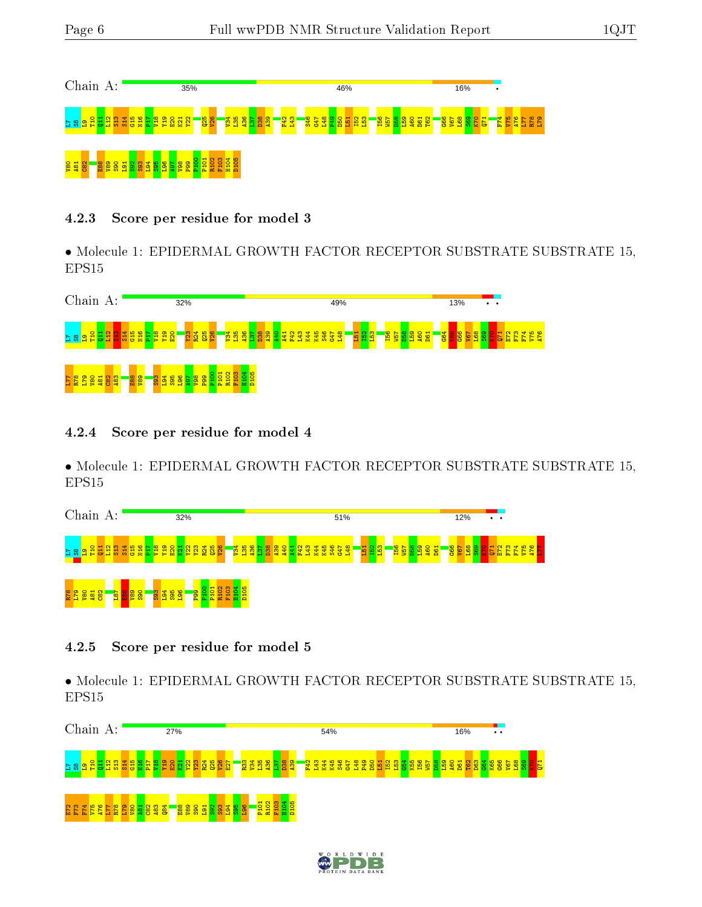

#### 4.2.3 Score per residue for model 3

• Molecule 1: EPIDERMAL GROWTH FACTOR RECEPTOR SUBSTRATE SUBSTRATE 15, EPS15



#### 4.2.4 Score per residue for model 4

• Molecule 1: EPIDERMAL GROWTH FACTOR RECEPTOR SUBSTRATE SUBSTRATE 15, EPS15



#### 4.2.5 Score per residue for model 5

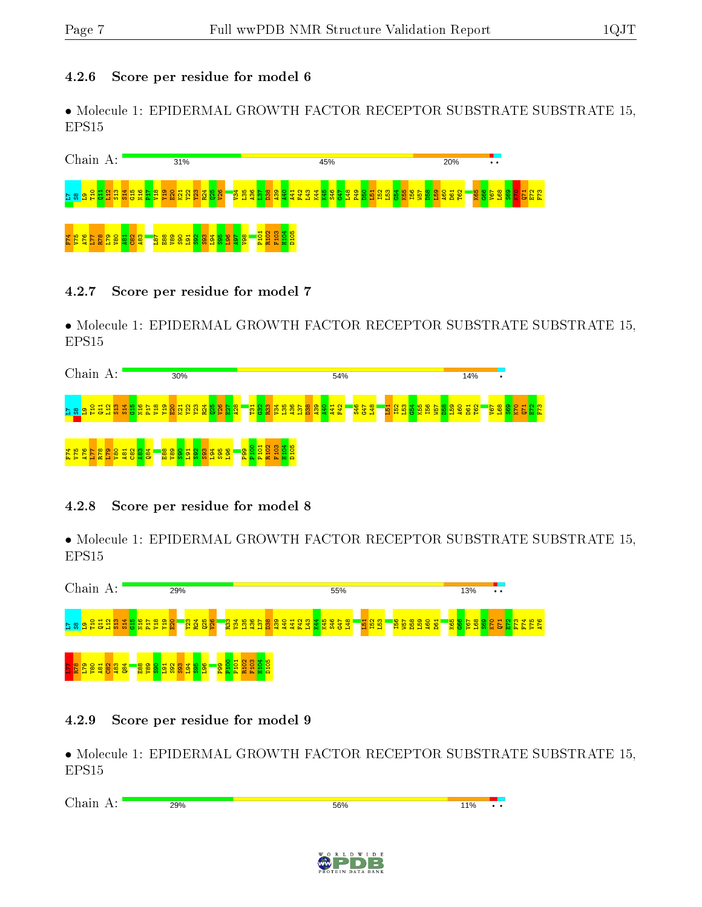#### 4.2.6 Score per residue for model 6

• Molecule 1: EPIDERMAL GROWTH FACTOR RECEPTOR SUBSTRATE SUBSTRATE 15, EPS15

| Chain<br>$A$ :                                    | 31%                                                                                                                                     | 45%                                                                                                                                                                                                                | 20%<br>$\bullet$                                                                               |
|---------------------------------------------------|-----------------------------------------------------------------------------------------------------------------------------------------|--------------------------------------------------------------------------------------------------------------------------------------------------------------------------------------------------------------------|------------------------------------------------------------------------------------------------|
| $N0$ $\sim$<br>$\sim$ $\sim$<br>္တ<br>륢<br>곱<br>Ħ | H N<br>$\circ$ $\sim$ $\circ$<br>$\circ$<br>$\frac{1}{2}$<br><b>25</b><br>26<br>$\sigma$<br>S.<br>룜<br>ß<br>l 8<br>오<br>등 신<br>-53<br>м | <mark>និងនឹ</mark><br>. 않 음 음 음 <mark>.</mark><br>$\frac{1}{2}$ $\frac{1}{2}$ $\frac{1}{2}$ $\frac{1}{2}$<br>ത<br><b>RN</b><br><b>RN</b><br>F42<br><b>B</b><br>4<br><b>REN</b><br>l 9<br>44<br><u>មី ម</u> ិ<br>Ñ. | <b>182</b><br>89<br>88<br>88<br>88<br><u>1991</u><br><b>BBB</b><br>BBB<br>圖<br><u> 기지</u><br>Е |
| ô<br>74<br><b>ggggdia</b>                         | 봀<br>န္တ<br>白面乡<br>↵<br>$\frac{1}{2}$ and $\frac{1}{2}$                                                                                 | $\frac{101}{102}$<br>$\overline{a}$<br>$\frac{8}{2}$<br>$\alpha$ $\alpha$ $\alpha$<br>ρ.                                                                                                                           |                                                                                                |

#### 4.2.7 Score per residue for model 7

• Molecule 1: EPIDERMAL GROWTH FACTOR RECEPTOR SUBSTRATE SUBSTRATE 15, EPS15

| Chain A:            |               |   |                              |   |        |                                     | 30%           |                      |                                           |                  |                          | 54%             |  |                                                  |  |  |            |  |     |  |          |                 |  |                   |    |    | 14%        |    | ٠              |  |   |  |   |               |           |  |  |  |
|---------------------|---------------|---|------------------------------|---|--------|-------------------------------------|---------------|----------------------|-------------------------------------------|------------------|--------------------------|-----------------|--|--------------------------------------------------|--|--|------------|--|-----|--|----------|-----------------|--|-------------------|----|----|------------|----|----------------|--|---|--|---|---------------|-----------|--|--|--|
| - 82<br>굡<br>G      | $Q = N$<br>85 |   | <mark>l ទូទី ទី ទី ទី</mark> |   |        | <b>PLX</b>                          | 뵤<br>v<br>n a | 23                   | ₹                                         |                  | <mark>ន្ទ ន្ទ ន្ទ</mark> |                 |  | <mark>ិគី</mark> ខ្លី <mark>ខ្លី ខ្លី ម</mark> ិ |  |  | <u>និង</u> |  | 439 |  | <b>R</b> | <mark>G时</mark> |  | <b>45<br/>847</b> | A. | 51 | <b>FB2</b> | Тõ | <u>.s</u><br>× |  | ğ |  | 曾 | <b>S</b><br>P | <b>XE</b> |  |  |  |
| 40<br><u>ی</u><br>E | 듩             | 9 | $\blacksquare$<br><b>s</b> & | g | ⇺<br>兽 | <mark>ន្ល្</mark> ឌី <mark>ន</mark> |               | $\sqrt{\frac{6}{9}}$ | $\frac{8}{3}$ $\frac{3}{9}$ $\frac{4}{4}$ | $\frac{88}{396}$ |                          | P <sub>99</sub> |  | <u>ö</u><br>æ<br>ுவ                              |  |  |            |  |     |  |          |                 |  |                   |    |    |            |    |                |  |   |  |   |               |           |  |  |  |

#### 4.2.8 Score per residue for model 8

• Molecule 1: EPIDERMAL GROWTH FACTOR RECEPTOR SUBSTRATE SUBSTRATE 15, EPS15



#### 4.2.9 Score per residue for model 9

| $\sim$<br>$  -$<br>А<br>.<br><br>ັ<br>- | 29%<br>-- - - | 56% | 11% | $\cdot\cdot$ |
|-----------------------------------------|---------------|-----|-----|--------------|
|                                         |               |     |     |              |

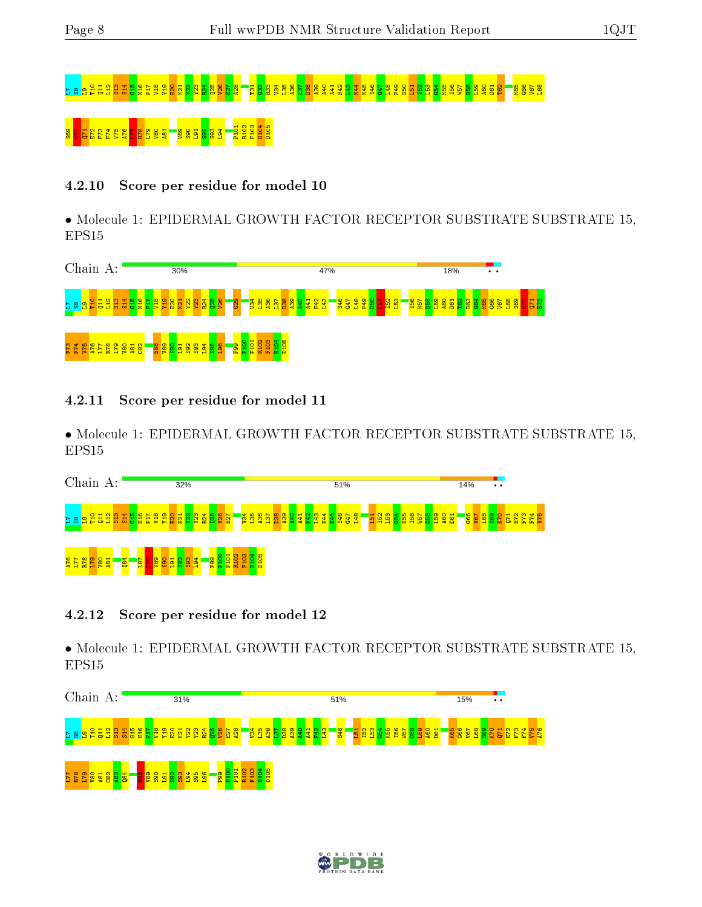# r » ១ ក្នុងអង្គារ ក្នុង អូន ស្រុក ស្រុក ស្រុក ស្រុក ស្រុក ស្រុក ស្រុក ស្រុក ស្រុក ស្រុក ស្រុក ស្រុក ស្រុក ស្រុ<br>ប្រសូត្យ អ្នក អូន អូន អូន ស្រុក ស្រុក ស្រុក ស្រុក ស្រុក ស្រុក ស្រុក ស្រុក ស្រុក ស្រុក ស្រុក ស្រុក ស្រុក ស្រុក 8 8 2 8 <mark>7 8 7 7 7 7 7</mark> 8 8 9

#### 4.2.10 Score per residue for model 10

• Molecule 1: EPIDERMAL GROWTH FACTOR RECEPTOR SUBSTRATE SUBSTRATE 15, EPS15

| Chain A:                                                                                                                                                                                                             | 30%                                                                                                                       | 47%                                                                                               | 18%<br>$\bullet\quad\bullet\quad$                                                         |
|----------------------------------------------------------------------------------------------------------------------------------------------------------------------------------------------------------------------|---------------------------------------------------------------------------------------------------------------------------|---------------------------------------------------------------------------------------------------|-------------------------------------------------------------------------------------------|
| <mark>i   ä   ä   ä   ä   ä   ä   ä</mark><br><mark>ិតខា</mark> នដ<br><b>The Second</b>                                                                                                                              | <b>829</b><br>26<br><b>연 할</b><br>있.<br><b>88</b><br>9<br>₩<br>137<br><u> 유무</u><br>က္<br><b>MAG</b><br>B.<br>Æ<br>æ<br>e | <mark>봉윤용왕</mark><br><b>B2</b><br><b>L53</b><br>156<br>W57<br><u> န</u><br><mark>함원</mark><br>16. | $\frac{25}{25}$ $\frac{25}{25}$ $\frac{25}{25}$ $\frac{25}{25}$<br>D61<br><b>A60</b><br>o |
| $m +$<br>$\sim$<br>$\infty$ $\infty$<br>ю<br>$\blacksquare$<br>$\circ$<br>œ<br>$\circ$<br>留<br><b>igo</b><br>$\frac{8}{8}$ $\frac{8}{8}$ $\frac{8}{8}$ $\frac{1}{1}$ $\frac{4}{1}$ $\frac{1}{5}$ $\frac{5}{1}$<br>건설 | $\frac{8}{25}$<br>8<br>릉<br>$\frac{85}{26}$<br>3<br>S92<br>ത<br>/군<br>률<br>П<br><b>In</b>                                 |                                                                                                   |                                                                                           |

4.2.11 Score per residue for model 11

• Molecule 1: EPIDERMAL GROWTH FACTOR RECEPTOR SUBSTRATE SUBSTRATE 15, EPS15

| Chain<br>А:                                                                                                                  | 32%                                                                                                                                                 | 51%                                                                                                             | 14%<br>$\bullet\hspace{0.1cm} \bullet\hspace{0.1cm} \bullet\hspace{0.1cm} \bullet$                                             |
|------------------------------------------------------------------------------------------------------------------------------|-----------------------------------------------------------------------------------------------------------------------------------------------------|-----------------------------------------------------------------------------------------------------------------|--------------------------------------------------------------------------------------------------------------------------------|
| <mark>agggg</mark><br>봌<br>$\mathbf{e}$<br><mark>역음음</mark><br>$\frac{28}{11}$<br>$n - 2$<br><b>Si</b>                       | <b>R</b> 2<br>ဖွ<br>$\mathbf{\mathbf{H}}$<br><u>호</u><br>▿<br>$\frac{8}{25}$<br><b>IR</b><br>E27<br>품하<br>ч<br><b>MA</b><br><b>DE</b><br><b>COL</b> | L48<br><b>  적용</b><br>  차용<br>143<br><b>582</b><br><b>Base</b><br><b>Base</b><br><mark>학회해</mark> .<br>750<br>æ | ₩<br>Lan<br>88<br>885<br><b>B</b><br><b>B</b><br><b>B</b><br><b>B</b><br><b>B</b><br><b>B</b><br>$\alpha$<br>m<br>Dr. Co<br>T. |
| $\frac{1}{8}$<br><b>S</b><br>$\frac{1}{8}$ $\frac{8}{8}$ $\frac{8}{1}$ $\frac{2}{3}$ $\frac{2}{5}$ $\frac{2}{9}$<br>S90<br>Ē | <mark>.<br/>요요법</mark><br><b>R10</b><br>$\frac{8}{2}$ $\frac{8}{3}$<br><b>191</b><br>ႜ                                                              |                                                                                                                 |                                                                                                                                |

#### 4.2.12 Score per residue for model 12



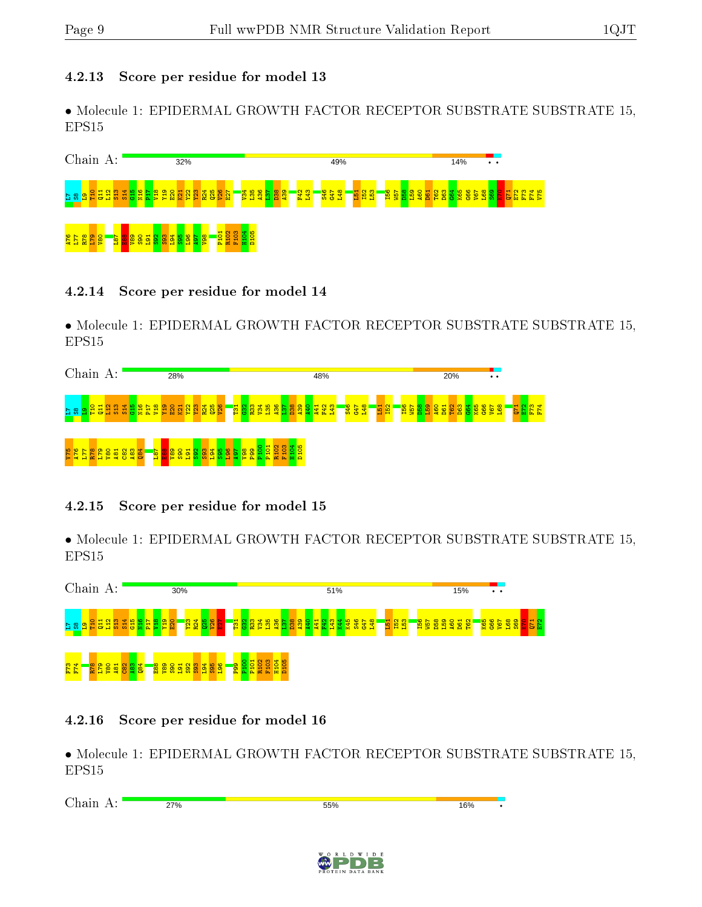#### 4.2.13 Score per residue for model 13

• Molecule 1: EPIDERMAL GROWTH FACTOR RECEPTOR SUBSTRATE SUBSTRATE 15, EPS15



#### 4.2.14 Score per residue for model 14

• Molecule 1: EPIDERMAL GROWTH FACTOR RECEPTOR SUBSTRATE SUBSTRATE 15, EPS15

| Chain A:                                 |   |                 |                      |                  |          | 28%        |    |                             |   |                    |                         |        |            |           | 48% |  |    |  |   |           |  |   | 20% |        |  | $\cdot$ $\cdot$          |                |                   |  |
|------------------------------------------|---|-----------------|----------------------|------------------|----------|------------|----|-----------------------------|---|--------------------|-------------------------|--------|------------|-----------|-----|--|----|--|---|-----------|--|---|-----|--------|--|--------------------------|----------------|-------------------|--|
| $\circ$<br>븀<br>$\frac{5}{2}$            |   | S <sub>13</sub> | 음 <u>일</u> 을<br>1도 3 |                  | erx<br>м | <b>K21</b> | £. | <mark>្គុន ន</mark> ្ទី ន្ទ |   | <mark>គ្</mark> នួ | <b><u>និទ្ធិទ្</u>រ</b> |        | <u>nge</u> | <b>88</b> |     |  | ၯၙ |  | 룲 | <b>B2</b> |  | × | е   | ਲ<br>ŏ |  | <mark>ំនិន្ទ័ន្ធិ</mark> | $\blacksquare$ | $m +$<br>۰.<br>h. |  |
| <b>SAL</b><br>$\circ$ $\sim$<br>n<br>5 Z | ၜ | $\mathbf{H}$    | $\infty$             | $\frac{187}{78}$ | o<br>g   | o          |    |                             | စ |                    |                         | 5<br>ਨ | ၶ<br>Ε     |           |     |  |    |  |   |           |  |   |     |        |  |                          |                |                   |  |

#### 4.2.15 Score per residue for model 15

• Molecule 1: EPIDERMAL GROWTH FACTOR RECEPTOR SUBSTRATE SUBSTRATE 15, EPS15



#### 4.2.16 Score per residue for model 16

| $\sim$<br>$-$<br>--<br>-- | 27% | 55% | 16% |  |
|---------------------------|-----|-----|-----|--|
|                           |     |     |     |  |

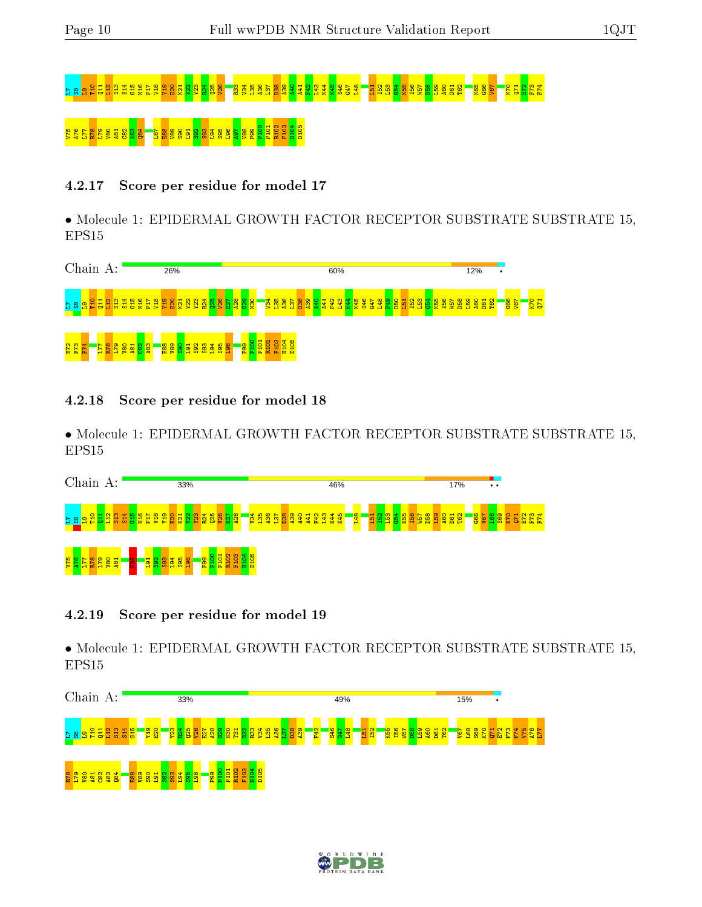# L7S8L9T10 Q11 L12 S13 S14 G15 N16 P17 V18 Y19 E20 K21 Y22 Y23 R24 Q25 V26 R33 V34 L35 A36 L37 D38 A39 A40 A41 F42 L43 K44 K45 S46 G47 L48 L51 I52 L53 G54 K55 I56 W57 D58 L59 A60 D61 T62 K65 G66 V67 K70 Q71 E72 F73 F74 V75 A76 L77 R78 L79 V80 A81 C82 A83 Q84 L87 E88 V89 S90 L91 S92 S93 L94 S95 L96 A97 V98 P99 P100 P101 R102 F103 H104 D105

#### 4.2.17 Score per residue for model 17

• Molecule 1: EPIDERMAL GROWTH FACTOR RECEPTOR SUBSTRATE SUBSTRATE 15, EPS15

| Chain                     |   |                                 | A: |   |                     |  | 26% |                                          |     |                          |     |               |   |                                         |          |            |            |                 |                |           |          |                 | 60% |       |   |                  |   |          |             |                  |   | 12%        |            | $\bullet$ |                         |                   |  |
|---------------------------|---|---------------------------------|----|---|---------------------|--|-----|------------------------------------------|-----|--------------------------|-----|---------------|---|-----------------------------------------|----------|------------|------------|-----------------|----------------|-----------|----------|-----------------|-----|-------|---|------------------|---|----------|-------------|------------------|---|------------|------------|-----------|-------------------------|-------------------|--|
| H<br>က                    | н | Ħ<br>13 B 5 5 5 5 5 5 5         |    | ₩ |                     |  | 0   | N.<br>南离异                                | -54 | 한<br>$E$ $\sigma$ $\geq$ | ဖွာ | <u> វ ន ស</u> | м | $\frac{88}{332}$                        |          | <b>PEV</b> | <b>and</b> | $\frac{28}{36}$ | စ္ထ<br>$\circ$ | ုဇ္တ<br>æ | 0<br>er. | 륳<br><b>COL</b> | n.  | l ≳ ≳ | ¥ | -51<br><b>Ph</b> | ≏ | н<br>- 1 | <b>1988</b> | <b>D58</b><br>п. | ⊐ | <b>A60</b> | T62<br>န္တ |           | <mark>989</mark><br>Sap | $\frac{123}{221}$ |  |
| <u>다. 5</u><br>573<br>574 |   | 8 <mark>율 열 영 업 검</mark> 급<br>∼ |    |   | $-100$<br><u> 영</u> |  |     | <mark>ិន្តន</mark> ្ទីន្ <mark>តី</mark> |     | <b>383</b>               |     | 388           |   | $\circ$<br>lō.<br>P <sub>89</sub><br>12 | 흉<br>/ 훈 | 8<br>눭     | ◠<br>夏     | ⇺<br>붑<br>품     |                |           |          |                 |     |       |   |                  |   |          |             |                  |   |            |            |           |                         |                   |  |

4.2.18 Score per residue for model 18

• Molecule 1: EPIDERMAL GROWTH FACTOR RECEPTOR SUBSTRATE SUBSTRATE 15, EPS15

| Chain<br>A:                                                                                                 | 33%                                                                                                | 46%                                                                                                                                                                                                                                                        | 17%<br>$\bullet\hspace{0.1cm} \bullet\hspace{0.1cm}\bullet$                                                                                                                                  |
|-------------------------------------------------------------------------------------------------------------|----------------------------------------------------------------------------------------------------|------------------------------------------------------------------------------------------------------------------------------------------------------------------------------------------------------------------------------------------------------------|----------------------------------------------------------------------------------------------------------------------------------------------------------------------------------------------|
| <b>e</b><br>118<br>Band<br>Band<br>$\mathbf{a}$<br>$\frac{28}{11}$<br>51<br>$\rightarrow$<br><b>TELESCO</b> | R <sup>24</sup><br>858<br>' <mark>88</mark> .<br>$\mathbf{H}$<br>a<br>ы<br>m<br><b>SC SC</b><br>۰. | <b>B</b><br><b>B</b><br><b>B</b><br><b>B</b><br><b>B</b><br><b>B</b><br><mark>第</mark><br><mark>ន្ទីដ៏នឹងន</mark><br>盟<br>粤<br>캌<br><b>E</b> <sub>1</sub><br>႙ၟ<br>F42<br>유<br><b>I56</b><br>북<br>$\simeq$<br>×<br><b>a</b><br><b>ALC</b><br>A<br><b>a</b> | <mark>395</mark><br>$\omega$ 4<br><mark>ិនីនីទី :</mark><br>$\mathbf{\Omega}$<br><b>162</b><br><b>A60</b><br>D <sub>58</sub><br>V57<br>$\overline{\phantom{a}}$<br><b>Building</b><br>- 1999 |
| <mark>ធ្ងន្តន្ទី</mark><br>5 <sup>1</sup><br>5                                                              | <b>Resear</b><br>$\frac{85}{360}$<br><b>PH</b><br>D <sub>10</sub>                                  |                                                                                                                                                                                                                                                            |                                                                                                                                                                                              |

#### 4.2.19 Score per residue for model 19



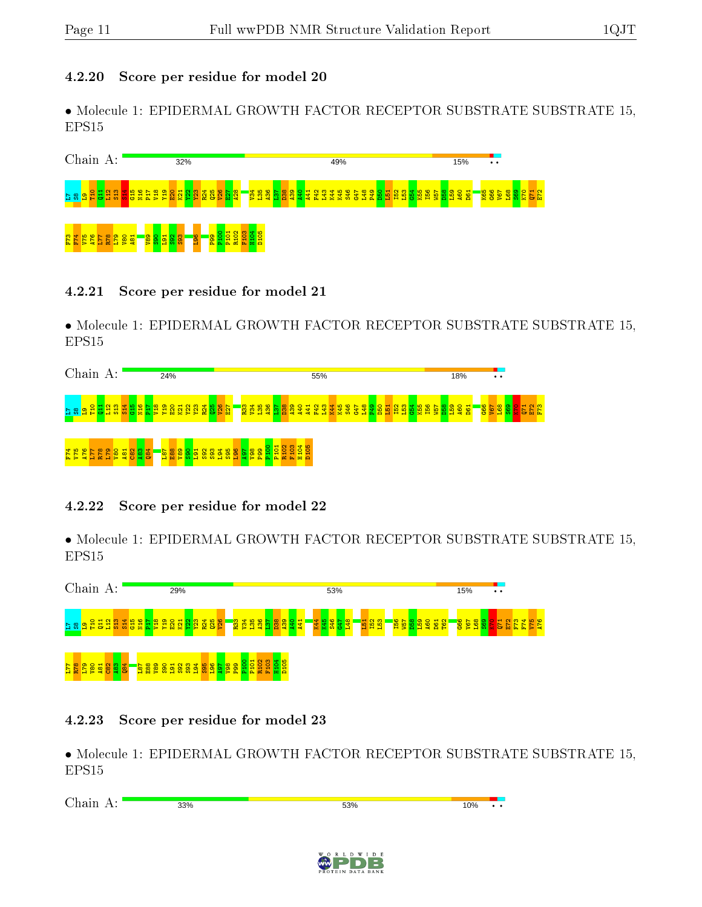#### 4.2.20 Score per residue for model 20

• Molecule 1: EPIDERMAL GROWTH FACTOR RECEPTOR SUBSTRATE SUBSTRATE 15, EPS15

| Chain                                               | $A$ :                        |           |                        |                   | 32%                   |            |                            |                        |                         |  |  |                                   |                |    |   | 49% |                       |    |          |               |                   |   |            | 15% |                   |  | $\bullet\hspace{0.1cm} \bullet\hspace{0.1cm} \bullet\hspace{0.1cm}$ |                        |  |    |
|-----------------------------------------------------|------------------------------|-----------|------------------------|-------------------|-----------------------|------------|----------------------------|------------------------|-------------------------|--|--|-----------------------------------|----------------|----|---|-----|-----------------------|----|----------|---------------|-------------------|---|------------|-----|-------------------|--|---------------------------------------------------------------------|------------------------|--|----|
| <mark>ិតខា</mark> ងជ                                | <mark>결정 않을 통합 효정 정 영</mark> |           |                        |                   | <b>Q</b> <sub>2</sub> |            | <mark>ន្ត្រី និង និ</mark> |                        | ្ត្រី <mark>ន</mark> ិង |  |  | <mark>្ត្រី ដូច្នី ដូច</mark> ្នី | $\frac{11}{2}$ | È. | 롽 |     | <mark>영문</mark><br>물문 | \$ | <b>B</b> | <b>R</b><br>В | <b>156</b><br>W57 | 岂 | <b>Bal</b> | 460 | $\mathbf{H}$<br>8 |  | 1998<br>1998<br>1998                                                | <mark>ಇಜಿ</mark><br>ಜಾ |  | 문민 |
| F <sub>73</sub><br><u>ဖ</u><br>∼<br><b>Contract</b> | E79<br><b>COL</b>            | <b>os</b> | <b>a</b> <sub>81</sub> | <b><u>gag</u></b> | 88                    | <b>agi</b> |                            | <mark>ិក្ខាទីដី</mark> | 102<br>$\alpha$         |  |  |                                   |                |    |   |     |                       |    |          |               |                   |   |            |     |                   |  |                                                                     |                        |  |    |

#### 4.2.21 Score per residue for model 21

• Molecule 1: EPIDERMAL GROWTH FACTOR RECEPTOR SUBSTRATE SUBSTRATE 15, EPS15

| Chain A:                                                                  |    |                |      |  | 24%                          |                   |    |               |            |              |        |      |           |            |        |   |    |                                                           |   | 55% |    |   |                   |   |      |  |                                                                  |  | 18% |  | $\bullet\bullet$       |                    |   |    |  |
|---------------------------------------------------------------------------|----|----------------|------|--|------------------------------|-------------------|----|---------------|------------|--------------|--------|------|-----------|------------|--------|---|----|-----------------------------------------------------------|---|-----|----|---|-------------------|---|------|--|------------------------------------------------------------------|--|-----|--|------------------------|--------------------|---|----|--|
| $\frac{1}{2}$<br>್ಲಿ<br>G                                                 | öü | <b>gasgers</b> |      |  | <b>PL</b>                    | 코<br>₽            | ×. | <b>m</b><br>의 | ₹.         | ន្ទ្រីន្ទ្រី |        |      |           |            |        |   |    | <mark>ិន្ទី ដង្ហុ ដង្ហ</mark> ូ និ នី ភ្នំ <mark>ដ</mark> | 왚 | ್ಲಿ | ŔЯ | Ë | <b>45<br/>842</b> | 孚 | 28 B |  | <mark>ទ្ធិ</mark> ខ្ទី <u>ខ្ទី ខ្ទី ខ្ទី ខ្ទី ខ្ទី ខ្ទី ខ្ទី</u> |  |     |  | 88<br><mark>198</mark> | ြွက္လ<br><b>EX</b> | ь | 四四 |  |
| ¢<br>  <mark>සමු</mark> සියි <u>1</u> 2.<br>E<br>$\overline{\phantom{0}}$ |    |                | 8884 |  | $\overline{181}$<br>$\infty$ | <mark>१</mark> ०० |    |               | 593<br>592 |              | ю<br>需 | an i | <b>S6</b> | <b>POR</b> | ົ<br>ō | 뷽 | h. | E                                                         |   |     |    |   |                   |   |      |  |                                                                  |  |     |  |                        |                    |   |    |  |

#### 4.2.22 Score per residue for model 22

• Molecule 1: EPIDERMAL GROWTH FACTOR RECEPTOR SUBSTRATE SUBSTRATE 15, EPS15



#### 4.2.23 Score per residue for model 23

| $\gamma_{\text{hoin}}$<br>.<br>.<br>◡ | 33% | 53% | 10% | $\cdot\cdot$ |
|---------------------------------------|-----|-----|-----|--------------|
|                                       |     |     |     |              |

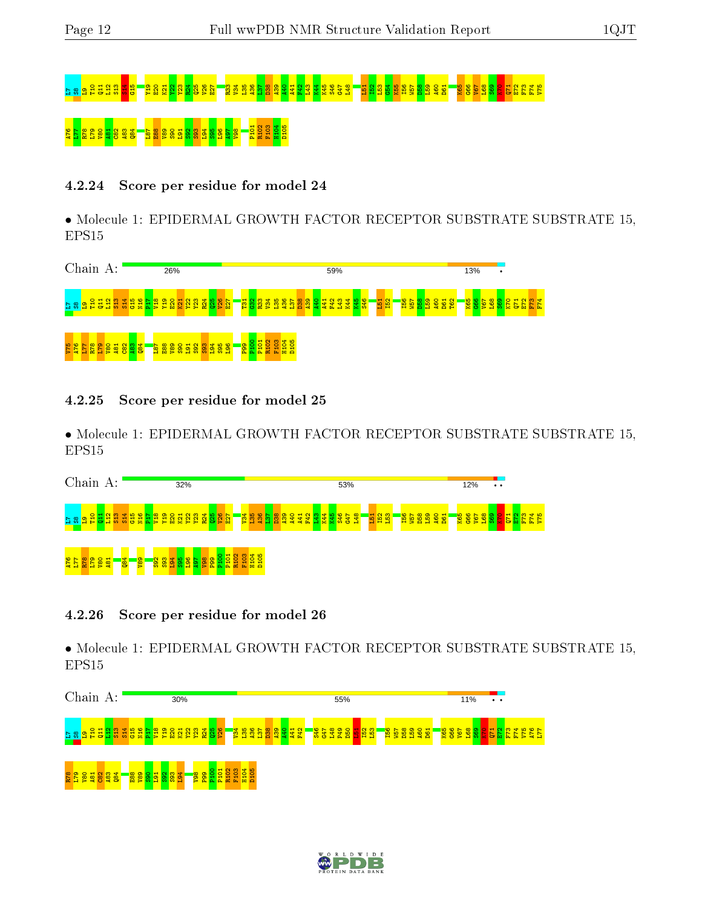# L7S8L9T10 Q11 L12 S13 S14 G15 Y19 E20 K21 Y22 Y23 R24 Q25 V26 E27 R33 V34 L35 A36 L37 D38 A39 A40 A41 F42 L43 K44 K45 S46 G47 L48 L51 I52 L53 G54 K55 I56 W57 D58 L59 A60 D61 K65 G66 V67 L68 S69 K70 Q71 E72 F73 F74 V75  $R^8$ 8 $R^8$  esa

#### 4.2.24 Score per residue for model 24

• Molecule 1: EPIDERMAL GROWTH FACTOR RECEPTOR SUBSTRATE SUBSTRATE 15, EPS15

| Chain A: | 26%                                                                             | 59%                                                                                                                                                                                                                         | 13%<br>$\bullet$                                                                                                                         |
|----------|---------------------------------------------------------------------------------|-----------------------------------------------------------------------------------------------------------------------------------------------------------------------------------------------------------------------------|------------------------------------------------------------------------------------------------------------------------------------------|
|          | <u>ិនទទទទទទទទទទទទទទទទទទទទទទទ</u>                                                | ' <mark>품않</mark><br><b>S46</b><br><mark>\</mark> ខ្លឹទ្ធិ<br>စ္ထ<br><b>Ed</b><br><b>B2</b><br>$\frac{8}{25}$<br><u>isg</u><br><b>Baanaa</b><br>$\frac{88}{13}$<br><b>Ran</b><br>ŏ<br><b>A</b><br>$\mathbf{x}$ $\mathbf{x}$ | $\frac{15}{2}$ $\frac{25}{2}$ $\frac{25}{2}$ $\frac{8}{2}$ $\frac{8}{2}$ $\frac{23}{2}$ $\frac{8}{2}$<br>T <sub>62</sub><br><b>L</b> ega |
|          | <mark>ន្ទ្រី ន្ល ទ</mark> ី<br>ន្ត្រី<br><mark>ក្នុង</mark><br><b>8588</b><br>► | ₩<br><mark>.<br/><mark>R음</mark> 중 없음<br/><mark>R음</mark> 조 요 없</mark><br>o<br>眉音                                                                                                                                           |                                                                                                                                          |

4.2.25 Score per residue for model 25

• Molecule 1: EPIDERMAL GROWTH FACTOR RECEPTOR SUBSTRATE SUBSTRATE 15, EPS15

| Chain<br>А:                                                                                       | 32%                                                                                                                                                                      | 53%                                                                                                    | 12%<br>$\bullet\hspace{0.1cm} \bullet\hspace{0.1cm} \bullet\hspace{0.1cm} \bullet$ |
|---------------------------------------------------------------------------------------------------|--------------------------------------------------------------------------------------------------------------------------------------------------------------------------|--------------------------------------------------------------------------------------------------------|------------------------------------------------------------------------------------|
| <b>៤</b> ន <b>ុទ្ធ ដូ ដូ ដូ ដូ</b><br><b>and and</b><br>and and<br><u>ဇာ</u>                      | <b>SOF</b><br>စ္စ<br> 했<br><b>R</b><br>S<br><b>188</b><br>₩<br><u> 여</u> 운 2<br>Ξ<br>м<br><b>AN 25</b><br>富音<br>æ<br>æ<br>$\sim$<br>$\overline{\phantom{a}}$<br><b>C</b> | <b>B2</b><br>$E_{51}$<br>750<br>PT <sub>1</sub><br><u>ទី ទី</u><br>÷<br>Е<br>ō<br>Р<br><b>Contract</b> | 190<br>199<br>192<br>8<br>0<br>52<br><b>LC</b><br>a<br>lor<br><b>ME</b><br>e.      |
| $\overline{84}$<br><b>es</b><br><b>b</b> osa<br><u>а 17</u><br>171<br>$\overline{5}$<br><b>Ba</b> | 0<br>$\sim$<br>$\blacksquare$<br>त<br>i g<br>La<br><b>SGI</b><br>ю<br>븀<br>Ē<br>8<br>晕<br>XX o<br>-adi                                                                   |                                                                                                        |                                                                                    |

#### 4.2.26 Score per residue for model 26



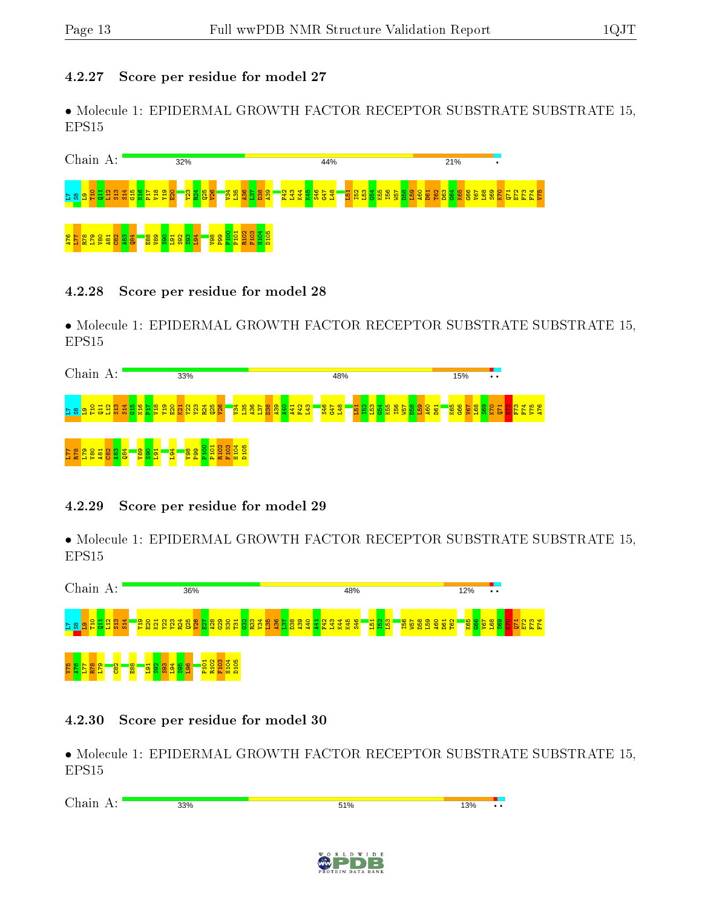#### 4.2.27 Score per residue for model 27

• Molecule 1: EPIDERMAL GROWTH FACTOR RECEPTOR SUBSTRATE SUBSTRATE 15, EPS15



#### 4.2.28 Score per residue for model 28

• Molecule 1: EPIDERMAL GROWTH FACTOR RECEPTOR SUBSTRATE SUBSTRATE 15, EPS15



#### 4.2.29 Score per residue for model 29

• Molecule 1: EPIDERMAL GROWTH FACTOR RECEPTOR SUBSTRATE SUBSTRATE 15, EPS15



#### 4.2.30 Score per residue for model 30

| $\sim$<br><b>TIME</b><br>.<br>. .<br>∼ | 33%<br>-- - - | 51%<br>---- | 13% | . . |
|----------------------------------------|---------------|-------------|-----|-----|
|                                        |               |             |     |     |

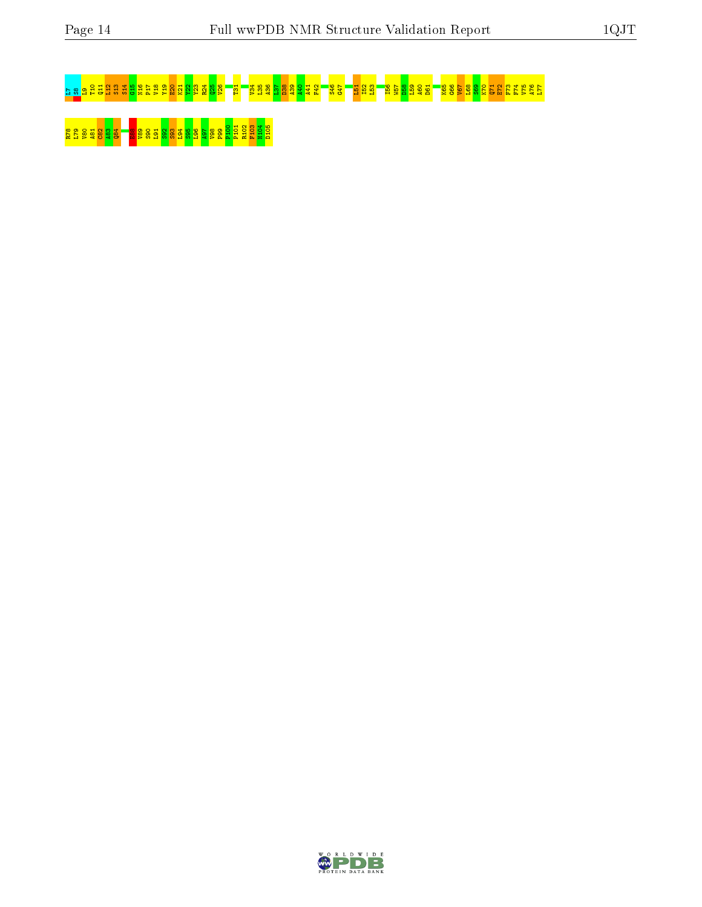# $^{12}$ 8 at 55 g 86 g 87 p38 a30 g 87 8 <mark>36 k<sup>21</sup> r3</mark> a36 a<sub>8</sub> a<sub>3</sub> a<sub>3</sub> a<sub>3</sub> a<sub>3</sub> a<sub>3</sub> A<sub>6</sub> L<sub>8</sub> B<sub>5</sub> B<sub>6</sub> B<sub>6</sub> B<sub>6</sub> B<sub>6</sub> S<sub>6</sub> G<sub>6</sub> C6 C6

# R88 282 283 E<mark>88 S83 S93 S93 S93 S</mark>93 S93 S93 E99

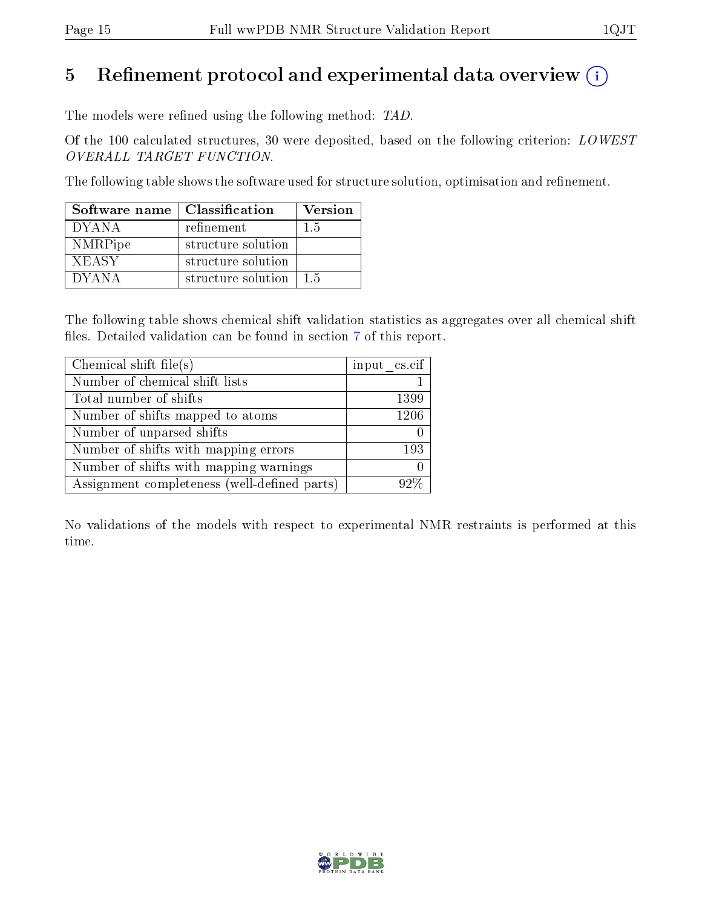## 5 Refinement protocol and experimental data overview  $\binom{1}{k}$

The models were refined using the following method: TAD.

Of the 100 calculated structures, 30 were deposited, based on the following criterion: LOWEST OVERALL TARGET FUNCTION.

The following table shows the software used for structure solution, optimisation and refinement.

| Software name   Classification |                    | <b>Version</b> |
|--------------------------------|--------------------|----------------|
| <b>DYANA</b>                   | refinement         | 15             |
| NMRPipe                        | structure solution |                |
| <b>XEASY</b>                   | structure solution |                |
| <b>DYANA</b>                   | structure solution | 15             |

The following table shows chemical shift validation statistics as aggregates over all chemical shift files. Detailed validation can be found in section [7](#page-29-0) of this report.

| Chemical shift file $(s)$                    | input cs.cif |
|----------------------------------------------|--------------|
| Number of chemical shift lists               |              |
| Total number of shifts                       | 1399         |
| Number of shifts mapped to atoms             | 1206         |
| Number of unparsed shifts                    |              |
| Number of shifts with mapping errors         | 193          |
| Number of shifts with mapping warnings       |              |
| Assignment completeness (well-defined parts) | $92\%$       |

No validations of the models with respect to experimental NMR restraints is performed at this time.

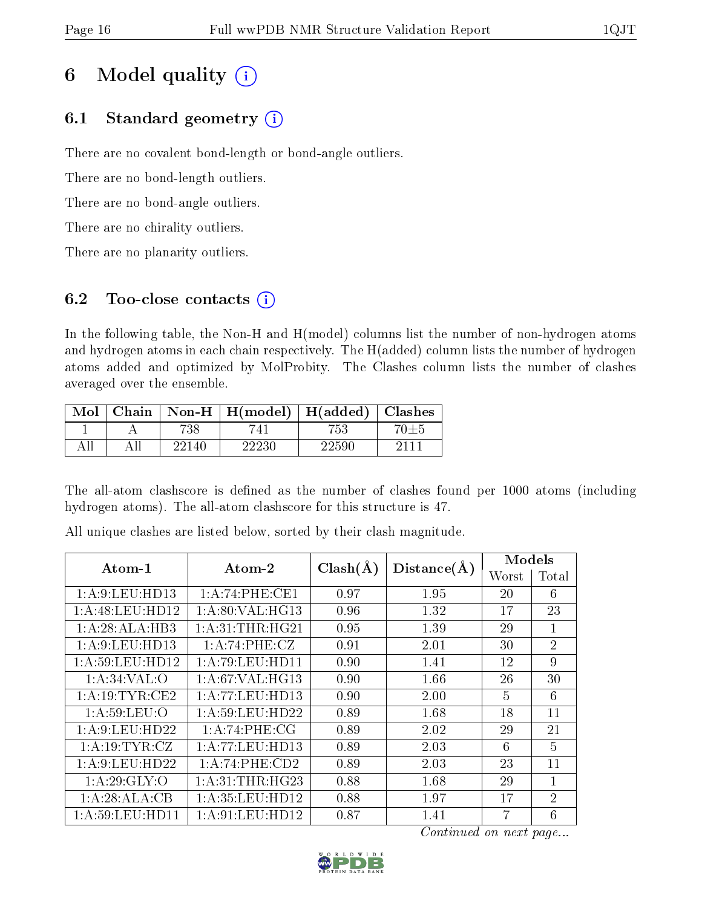## 6 Model quality  $(i)$

## 6.1 Standard geometry  $(i)$

There are no covalent bond-length or bond-angle outliers.

There are no bond-length outliers.

There are no bond-angle outliers.

There are no chirality outliers.

There are no planarity outliers.

### 6.2 Too-close contacts  $(i)$

In the following table, the Non-H and H(model) columns list the number of non-hydrogen atoms and hydrogen atoms in each chain respectively. The H(added) column lists the number of hydrogen atoms added and optimized by MolProbity. The Clashes column lists the number of clashes averaged over the ensemble.

| Mol | Chain |       | $\textbf{Non-H} \mid \textbf{H}(\text{model})$ | H(added)  | <b>Clashes</b> |
|-----|-------|-------|------------------------------------------------|-----------|----------------|
|     |       | 738   |                                                | 753       |                |
|     |       | 22140 | 22230                                          | $22590\,$ |                |

The all-atom clashscore is defined as the number of clashes found per 1000 atoms (including hydrogen atoms). The all-atom clashscore for this structure is 47.

| Atom-1            | $\boldsymbol{\mathrm{Atom}\text{-}2}$ | $Clash(\AA)$ | Distance(A) | Models |                |
|-------------------|---------------------------------------|--------------|-------------|--------|----------------|
|                   |                                       |              |             | Worst  | Total          |
| 1: A:9: LEU: HD13 | 1:A:74:PHE:CE1                        | 0.97         | 1.95        | 20     | 6              |
| 1: A:48: LEU:HD12 | 1:A:80:VAL:HG13                       | 0.96         | 1.32        | 17     | 23             |
| 1:A:28:ALA:HB3    | 1: A:31:THR:HG21                      | 0.95         | 1.39        | 29     | $\mathbf{1}$   |
| 1: A:9: LEU: HD13 | 1:A:74:PHE:CZ                         | 0.91         | 2.01        | 30     | $\overline{2}$ |
| 1: A:59:LEU:HD12  | 1: A:79: LEU: HD11                    | 0.90         | 1.41        | 12     | 9              |
| 1: A:34:VAL:O     | 1: A:67: VAL:HG13                     | 0.90         | 1.66        | 26     | 30             |
| 1: A:19:TYR:CE2   | 1: A: 77: LEU: HD13                   | 0.90         | 2.00        | 5      | 6              |
| 1: A:59:LEU:O     | 1: A:59: LEU: HD22                    | 0.89         | 1.68        | 18     | 11             |
| 1: A:9: LEU: HD22 | 1: A:74:PHE:CG                        | 0.89         | 2.02        | 29     | 21             |
| 1: A: 19: TYR: CZ | 1:A:77:LEU:HD13                       | 0.89         | 2.03        | 6      | 5              |
| 1: A:9: LEU: HD22 | 1:A:74:PHE:CD2                        | 0.89         | 2.03        | 23     | 11             |
| 1: A:29: GLY:O    | 1: A:31:THR:HG23                      | 0.88         | 1.68        | 29     | $\mathbf{1}$   |
| 1:A:28:ALA:CB     | 1: A: 35: LEU: HD12                   | 0.88         | 1.97        | 17     | $\overline{2}$ |
| 1: A:59:LEU:HD11  | 1:A:91:LEU:HD12                       | 0.87         | 1.41        |        | 6              |

All unique clashes are listed below, sorted by their clash magnitude.

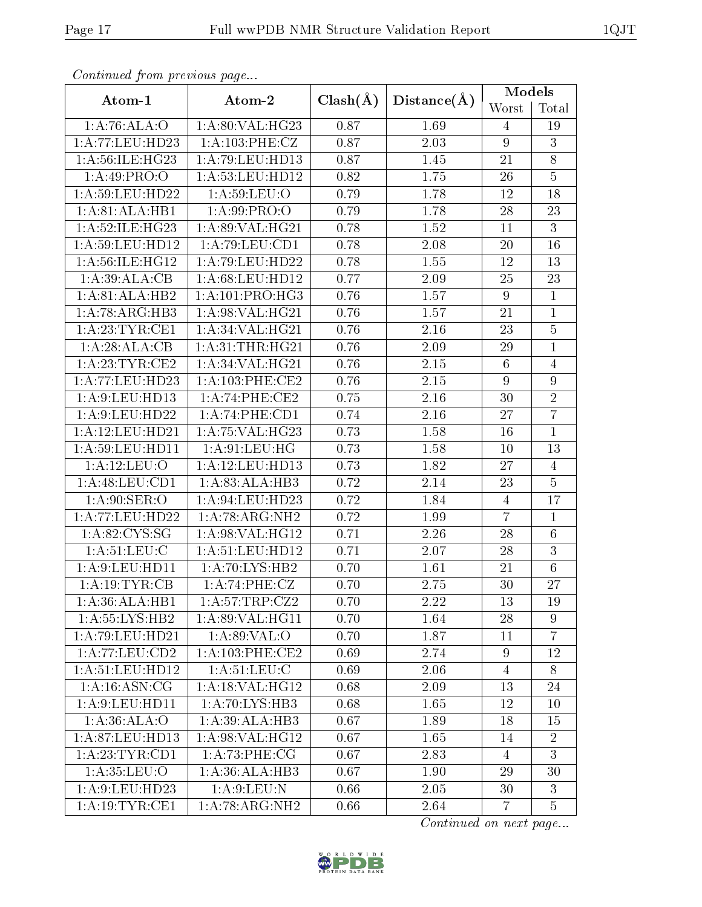| оонынаса јтот ртолово раде                |                     |              |                   |                  | Models         |  |
|-------------------------------------------|---------------------|--------------|-------------------|------------------|----------------|--|
| Atom-1                                    | Atom-2              | $Clash(\AA)$ | Distance(A)       | Worst            | Total          |  |
| 1:A:76:ALA:O                              | 1:A:80:VAL:HG23     | 0.87         | 1.69              | 4                | 19             |  |
| 1:A:77:LEU:HD23                           | 1:A:103:PHE:CZ      | 0.87         | 2.03              | $9\phantom{.}$   | $\overline{3}$ |  |
| 1: A:56: ILE: HG23                        | 1: A:79: LEU: HD13  | 0.87         | $1.45\,$          | 21               | $\overline{8}$ |  |
| 1:A:49:PRO:O                              | 1: A: 53: LEU: HD12 | 0.82         | 1.75              | 26               | $\overline{5}$ |  |
| 1:A:59:LEU:HD22                           | 1: A:59: LEU:O      | 0.79         | 1.78              | 12               | 18             |  |
| 1:A:81:ALA:HB1                            | 1: A:99: PRO:       | 0.79         | 1.78              | 28               | 23             |  |
| 1:A:52:ILE:HG23                           | 1:A:89:VAL:HG21     | 0.78         | 1.52              | 11               | $\overline{3}$ |  |
| 1: A:59:LEU:HD12                          | 1: A:79: LEU: CD1   | 0.78         | 2.08              | 20               | 16             |  |
| 1:A:56:ILE:HG12                           | 1:A:79:LEU:HD22     | 0.78         | 1.55              | 12               | 13             |  |
| 1:A:39:ALA:CB                             | 1: A:68:LEU:HD12    | 0.77         | 2.09              | 25               | 23             |  |
| 1:A:81:ALA:HB2                            | 1: A:101:PRO:HG3    | 0.76         | $\overline{1.57}$ | $\overline{9}$   | $\overline{1}$ |  |
| 1:A:78:ARG:HB3                            | 1:A:98:VAL:HG21     | 0.76         | 1.57              | 21               | $\mathbf{1}$   |  |
| 1:A:23:TYR:CE1                            | 1:A:34:VAL:HG21     | 0.76         | 2.16              | 23               | $\overline{5}$ |  |
| 1:A:28:ALA:CB                             | 1: A:31:THR:HG21    | 0.76         | 2.09              | 29               | $\overline{1}$ |  |
| 1: A:23:TYR:CE2                           | 1:A:34:VAL:HG21     | 0.76         | 2.15              | $\,6\,$          | $\overline{4}$ |  |
| 1: A:77:LEU:HD23                          | 1: A:103:PHE:CE2    | 0.76         | 2.15              | $\overline{9}$   | $\overline{9}$ |  |
| 1:A:9:LEU:HD13                            | 1:A:74:PHE:CE2      | 0.75         | 2.16              | 30               | $\overline{2}$ |  |
| 1: A:9: LEU: HD22                         | 1:A:74:PHE:CD1      | 0.74         | 2.16              | 27               | $\overline{7}$ |  |
| 1: A:12:LEU:HD21                          | 1: A:75: VAL:HG23   | 0.73         | 1.58              | 16               | $\mathbf{1}$   |  |
| 1: A:59:LEU:HD11                          | 1: A:91: LEU: HG    | 0.73         | 1.58              | 10               | 13             |  |
| 1:A:12:LEU:O                              | 1:A:12:LEU:HD13     | 0.73         | 1.82              | 27               | $\overline{4}$ |  |
| 1: A:48: LEU: CD1                         | 1:A:83:ALA:HB3      | 0.72         | 2.14              | $23\,$           | $\overline{5}$ |  |
| 1:A:90:SER:O                              | 1:A:94:LEU:HD23     | 0.72         | 1.84              | $\overline{4}$   | 17             |  |
| 1:A:77:LEU:HD22                           | 1: A:78: ARG: NH2   | 0.72         | 1.99              | $\overline{7}$   | $\mathbf{1}$   |  |
| 1: A:82:CYS:SG                            | 1:A:98:VAL:HG12     | 0.71         | 2.26              | 28               | $6\,$          |  |
| 1: A:51:LEU:C                             | 1: A:51:LEU:HD12    | 0.71         | $\overline{2.07}$ | 28               | $\overline{3}$ |  |
| 1:A:9:LEU:HD11                            | 1: A:70: LYS: HB2   | 0.70         | 1.61              | 21               | $\,6\,$        |  |
| 1:A:19:TYR:CB                             | 1:A:74:PHE:CZ       | 0.70         | 2.75              | 30               | 27             |  |
| 1:A:36:ALA:HB1                            | 1: A:57:TRP:CZ2     | 0.70         | 2.22              | 13               | 19             |  |
| 1:A:55:LYS:HB2                            | 1:A:89:VAL:HG11     | 0.70         | 1.64              | 28               | 9              |  |
| 1: A:79:LEU:HD21                          | 1: A:89: VAL:O      | 0.70         | 1.87              | 11               | $\overline{7}$ |  |
| $1:A:77:\text{LEU}:\overline{\text{CD2}}$ | 1: A:103:PHE:CE2    | 0.69         | 2.74              | $\boldsymbol{9}$ | 12             |  |
| 1: A:51:LEU:HD12                          | 1: A:51: LEU: C     | 0.69         | 2.06              | $\overline{4}$   | 8              |  |
| 1: A:16: ASN:CG                           | 1: A:18: VAL:HG12   | 0.68         | 2.09              | 13               | 24             |  |
| 1:A:9:LEU:HD11                            | 1:A:70:LYS:HB3      | 0.68         | 1.65              | 12               | 10             |  |
| 1:A:36:ALA:O                              | 1:A:39:ALA:HB3      | 0.67         | 1.89              | 18               | 15             |  |
| 1:A:87:LEU:HD13                           | 1:A:98:VAL:HG12     | 0.67         | 1.65              | 14               | $\overline{2}$ |  |
| 1: A:23:TYR:CD1                           | 1: A:73:PHE:CG      | 0.67         | 2.83              | $\overline{4}$   | $\overline{3}$ |  |
| 1: A:35:LEU:O                             | 1: A:36:ALA:HB3     | 0.67         | 1.90              | 29               | 30             |  |
| 1: A:9: LEU: HD23                         | 1: A:9: LEU: N      | 0.66         | 2.05              | 30               | 3              |  |
| 1: A:19: TYR: CE1                         | 1: A:78: ARG: NH2   | 0.66         | 2.64              | $\overline{7}$   | $\overline{5}$ |  |

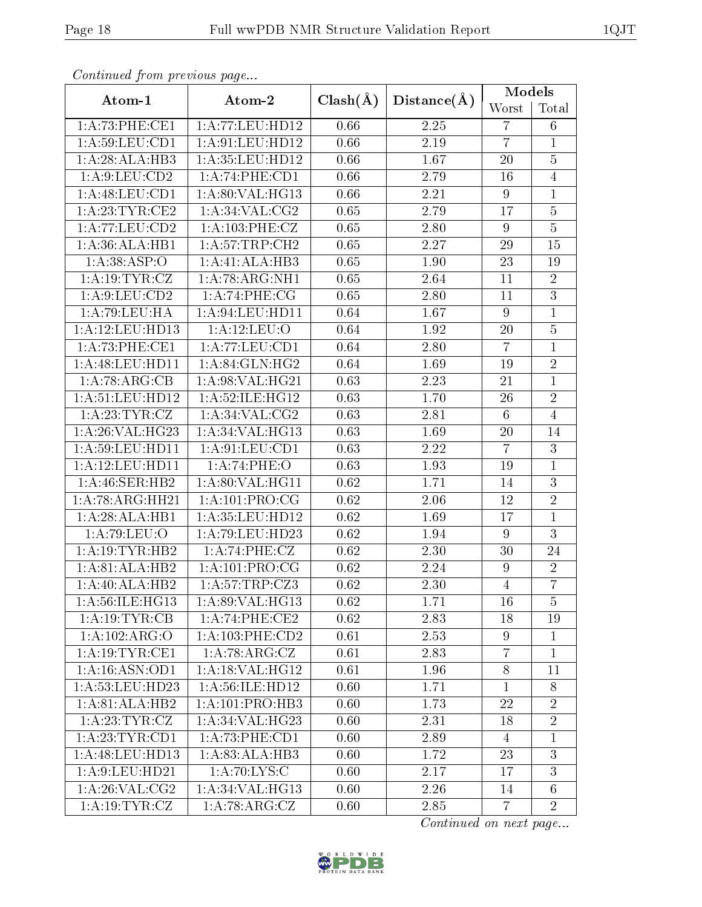| Continuati pont previous page       |                             |              |                   | Models           |                 |
|-------------------------------------|-----------------------------|--------------|-------------------|------------------|-----------------|
| Atom-1                              | Atom-2                      | $Clash(\AA)$ | Distance(A)       | Worst            | Total           |
| 1:A:73:PHE:CE1                      | 1: A:77:LEU:HD12            | 0.66         | 2.25              | $\overline{7}$   | $6\phantom{.}6$ |
| 1:A:59:LEU:CD1                      | 1: A:91: LEU: HD12          | 0.66         | 2.19              | $\overline{7}$   | $\mathbf{1}$    |
| 1:A:28:ALA:HB3                      | 1: A: 35: LEU: HD12         | 0.66         | 1.67              | 20               | $\overline{5}$  |
| 1: A:9: LEU: CD2                    | 1:A:74:PHE:CD1              | 0.66         | 2.79              | 16               | $\overline{4}$  |
| 1:A:48:LEU:CD1                      | 1: A:80: VAL:HG13           | 0.66         | 2.21              | $\boldsymbol{9}$ | $\mathbf{1}$    |
| 1: A:23:TYR:CE2                     | 1: A:34:VAL:CG2             | 0.65         | 2.79              | 17               | $\overline{5}$  |
| 1:A:77:LEU:CD2                      | 1: A: 103:PHE: CZ           | 0.65         | 2.80              | 9                | $\overline{5}$  |
| 1:A:36:ALA:HB1                      | 1: A:57:TRP:CH2             | 0.65         | 2.27              | 29               | 15              |
| 1:A:38:ASP:O                        | 1:A:41:ALA:HB3              | 0.65         | 1.90              | 23               | 19              |
| 1: A: 19: TYR: CZ                   | 1:A:78:ARG:NH1              | 0.65         | 2.64              | 11               | $\overline{2}$  |
| $1:A:\overline{9:LEU:CD2}$          | $1: A:74:\overline{PHE:CG}$ | 0.65         | 2.80              | 11               | $\overline{3}$  |
| 1:A:79:LEU:HA                       | 1: A:94:LEU:HD11            | 0.64         | 1.67              | $\overline{9}$   | $\overline{1}$  |
| 1:A:12:LEU:HD13                     | 1:A:12:LEU:O                | 0.64         | 1.92              | 20               | $\overline{5}$  |
| 1: A:73:PHE:CE1                     | 1: A:77:LEU:CD1             | 0.64         | 2.80              | $\overline{7}$   | $\mathbf{1}$    |
| 1:A:48:LEU:HD11                     | 1:A:84:GLN:HG2              | 0.64         | 1.69              | 19               | $\overline{2}$  |
| 1:A:78:ARG:CB                       | 1:A:98:VAL:HG21             | 0.63         | 2.23              | 21               | $\overline{1}$  |
| 1: A:51:LEU:HD12                    | 1:A:52:ILE:HG12             | 0.63         | 1.70              | 26               | $\overline{2}$  |
| 1:A:23:TYR:CZ                       | 1: A:34: VAL: CG2           | 0.63         | 2.81              | $\,6\,$          | $\overline{4}$  |
| 1:A:26:VAL:HG23                     | 1:A:34:VAL:HG13             | 0.63         | 1.69              | 20               | 14              |
| 1: A:59:LEU:HD11                    | 1: A:91: LEU: CD1           | 0.63         | 2.22              | $\overline{7}$   | 3               |
| 1:A:12:LEU:HD11                     | 1:A:74:PHE:O                | 0.63         | 1.93              | 19               | $\mathbf{1}$    |
| 1: A:46: SER:HB2                    | 1: A:80: VAL:HGI1           | 0.62         | 1.71              | 14               | $\overline{3}$  |
| $1:A:78:A\overline{\text{RG:HH}21}$ | 1: A:101:PRO:CG             | 0.62         | 2.06              | 12               | $\overline{2}$  |
| 1:A:28:ALA:HB1                      | 1: A: 35: LEU: HD12         | 0.62         | 1.69              | $17\,$           | $\overline{1}$  |
| 1:A:79:LEU:O                        | 1:A:79:LEU:HD23             | 0.62         | 1.94              | $\overline{9}$   | 3               |
| 1:A:19:TYR:HB2                      | 1:A:74:PHE:CZ               | 0.62         | 2.30              | 30               | 24              |
| 1:A:81:ALA:HB2                      | 1: A:101:PRO:CG             | 0.62         | 2.24              | 9                | $\overline{2}$  |
| 1:A:40:ALA:HB2                      | 1:A:57:TRP:CZ3              | 0.62         | $\overline{2.30}$ | $\overline{4}$   | $\overline{7}$  |
| 1:A:56:ILE:HG13                     | 1: A:89: VAL: HG13          | 0.62         | 1.71              | 16               | $\overline{5}$  |
| 1:A:19:TYR:CB                       | 1:A:74:PHE:CE2              | 0.62         | 2.83              | 18               | 19              |
| 1:A:102:ARG:O                       | 1: A: 103: PHE: CD2         | 0.61         | 2.53              | 9                | $\mathbf{1}$    |
| 1: A:19:TYR:CE1                     | 1:A:78:ARG:CZ               | 0.61         | 2.83              | $\overline{7}$   | $\mathbf{1}$    |
| 1: A:16: ASN:OD1                    | 1: A:18: VAL:HG12           | 0.61         | 1.96              | $\overline{8}$   | 11              |
| 1: A:53:LEU:HD23                    | 1: A:56: ILE: HD12          | 0.60         | 1.71              | $\mathbf{1}$     | $8\,$           |
| 1:A:81:ALA:HB2                      | 1:A:101:PRO:HB3             | 0.60         | 1.73              | 22               | $\overline{2}$  |
| 1:A:23:TYR:CZ                       | 1:A:34:VAL:HG23             | 0.60         | 2.31              | 18               | $\overline{2}$  |
| 1: A:23:TYR:CD1                     | 1:A:73:PHE:CD1              | 0.60         | 2.89              | $\overline{4}$   | $\mathbf{1}$    |
| 1:A:48:LEU:HD13                     | 1:A:83:ALA:HB3              | 0.60         | 1.72              | 23               | 3               |
| 1: A:9: LEU: HD21                   | 1: A:70: LYS: C             | 0.60         | 2.17              | 17               | 3               |
| 1: A:26: VAL:CG2                    | 1:A:34:VAL:HG13             | 0.60         | 2.26              | 14               | $6\phantom{.}6$ |
| 1:A:19:TYR:CZ                       | 1:A:78:ARG:CZ               | 0.60         | 2.85              | $\overline{7}$   | $\overline{2}$  |

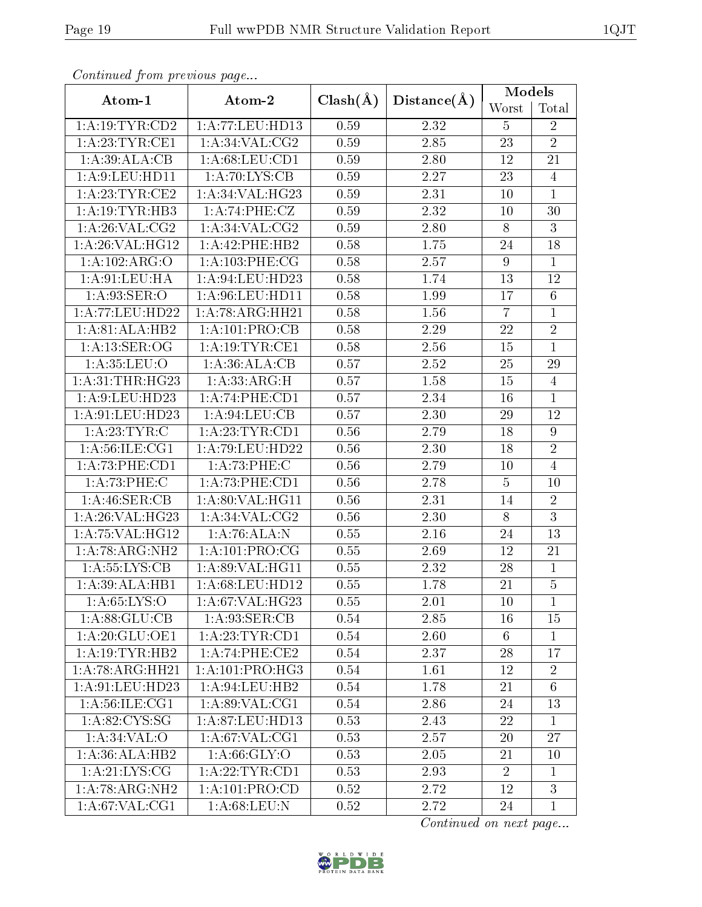| Commaca jibin previous page |                                     |              |                   | Models         |                |  |
|-----------------------------|-------------------------------------|--------------|-------------------|----------------|----------------|--|
| Atom-1                      | Atom-2                              | $Clash(\AA)$ | Distance(A)       | Worst          | Total          |  |
| 1: A: 19: TYR: CD2          | 1:A:77:LEU:HD13                     | 0.59         | 2.32              | 5              | $\overline{2}$ |  |
| 1: A:23:TYR:CE1             | 1: A:34: VAL: CG2                   | 0.59         | 2.85              | 23             | $\overline{2}$ |  |
| 1: A:39: ALA:CB             | 1: A:68:LEU:CD1                     | 0.59         | 2.80              | 12             | 21             |  |
| 1:A:9:LEU:HD11              | 1: A:70: LYS: CB                    | 0.59         | 2.27              | 23             | $\overline{4}$ |  |
| 1: A:23:TYR:CE2             | 1:A:34:VAL:HG23                     | 0.59         | 2.31              | 10             | $\mathbf{1}$   |  |
| 1: A: 19: TYR: HB3          | 1:A:74:PHE:CZ                       | 0.59         | $\overline{2.32}$ | 10             | 30             |  |
| 1: A:26: VAL:CG2            | 1: A:34: VAL: CG2                   | 0.59         | 2.80              | $8\,$          | $\overline{3}$ |  |
| 1: A:26: VAL:HG12           | 1: A:42: PHE:HB2                    | 0.58         | 1.75              | $24\,$         | 18             |  |
| 1:A:102:ARG:O               | $1: A:103:$ PHE:CG                  | 0.58         | 2.57              | 9              | $\mathbf{1}$   |  |
| 1: A:91: LEU: HA            | 1: A:94:LEU:HD23                    | 0.58         | 1.74              | 13             | 12             |  |
| 1: A:93: SER:O              | 1:A:96:LEU:HD11                     | 0.58         | 1.99              | 17             | $\overline{6}$ |  |
| 1:A:77:LEU:HD22             | 1:A:78:ARG:HH21                     | 0.58         | 1.56              | $\overline{7}$ | $\mathbf 1$    |  |
| 1:A:81:ALA:HB2              | 1:A:101:PRO:CB                      | 0.58         | 2.29              | $22\,$         | $\overline{2}$ |  |
| 1: A: 13: SER: OG           | 1: A:19:TYR:CE1                     | 0.58         | 2.56              | 15             | $\mathbf{1}$   |  |
| 1: A:35:LEU:O               | 1:A:36:ALA:CB                       | 0.57         | 2.52              | $25\,$         | 29             |  |
| 1: A:31:THR:HG23            | 1:A:33:ARG:H                        | 0.57         | 1.58              | 15             | $\overline{4}$ |  |
| 1:A:9:LEU:HD23              | 1:A:74:PHE:CD1                      | 0.57         | 2.34              | 16             | $\mathbf{1}$   |  |
| 1: A:91:LEU:HD23            | $1:A:94:\overline{\textrm{LEU:CB}}$ | 0.57         | 2.30              | 29             | 12             |  |
| 1:A:23:TYR:C                | 1: A:23:TYR:CD1                     | 0.56         | 2.79              | 18             | $\overline{9}$ |  |
| 1: A:56: ILE: CG1           | 1:A:79:LEU:HD22                     | 0.56         | 2.30              | 18             | $\overline{2}$ |  |
| 1: A:73:PHE:CD1             | 1: A:73:PHE: C                      | 0.56         | 2.79              | 10             | $\overline{4}$ |  |
| 1:A:73:PHE:C                | 1:A:73:PHE:CD1                      | 0.56         | 2.78              | $\bf 5$        | 10             |  |
| 1:A:46:SER:CB               | 1:A:80:VAL:HG11                     | 0.56         | 2.31              | 14             | $\overline{2}$ |  |
| 1:A:26:VAL:HG23             | 1: A:34: VAL: CG2                   | 0.56         | 2.30              | 8              | $\overline{3}$ |  |
| 1: A:75: VAL:HG12           | 1:A:76:ALA:N                        | 0.55         | 2.16              | $24\,$         | 13             |  |
| 1:A:78:ARG:NH2              | 1:A:101:PRO:CG                      | 0.55         | 2.69              | 12             | 21             |  |
| 1: A: 55: LYS: CB           | 1: A:89: VAL: HG11                  | 0.55         | 2.32              | 28             | $\mathbf{1}$   |  |
| 1:A:39:ALA:HB1              | 1: A:68:LEU:HD12                    | 0.55         | 1.78              | 21             | $\overline{5}$ |  |
| 1: A:65: LYS:O              | 1: A:67: VAL:HG23                   | 0.55         | 2.01              | 10             | $\mathbf{1}$   |  |
| 1:A:88:GLU:CB               | 1:A:93:SER:CB                       | 0.54         | $\overline{2.85}$ | 16             | 15             |  |
| 1: A:20: GLU:OE1            | 1:A:23:TYR:CD1                      | 0.54         | 2.60              | 6              | $\mathbf{1}$   |  |
| 1:A:19:TYR:HB2              | 1:A:74:PHE:CE2                      | 0.54         | 2.37              | 28             | 17             |  |
| 1: A:78: ARG: HH21          | 1: A:101:PRO:HG3                    | 0.54         | 1.61              | 12             | $\overline{2}$ |  |
| 1: A:91:LEU:HD23            | 1: A:94:LEU:HB2                     | 0.54         | 1.78              | 21             | $6\,$          |  |
| 1: A:56: ILE: CG1           | 1: A:89: VAL:CG1                    | 0.54         | 2.86              | 24             | 13             |  |
| 1: A:82: CYS:SG             | 1: A:87:LEU:HD13                    | 0.53         | 2.43              | 22             | $\mathbf{1}$   |  |
| 1: A:34:VAL:O               | 1: A:67: VAL:CG1                    | 0.53         | 2.57              | 20             | 27             |  |
| 1:A:36:ALA:HB2              | 1: A:66: GLY:O                      | 0.53         | 2.05              | 21             | 10             |  |
| 1: A:21: LYS: CG            | $1:$ A:22:TYR:CD1                   | 0.53         | 2.93              | $\overline{2}$ | $\mathbf{1}$   |  |
| 1:A:78:ARG:NH2              | 1:A:101:PRO:CD                      | 0.52         | 2.72              | 12             | $\overline{3}$ |  |
| 1: A:67: VAL:CG1            | 1: A:68:LEU: N                      | 0.52         | 2.72              | 24             | $\mathbf{1}$   |  |

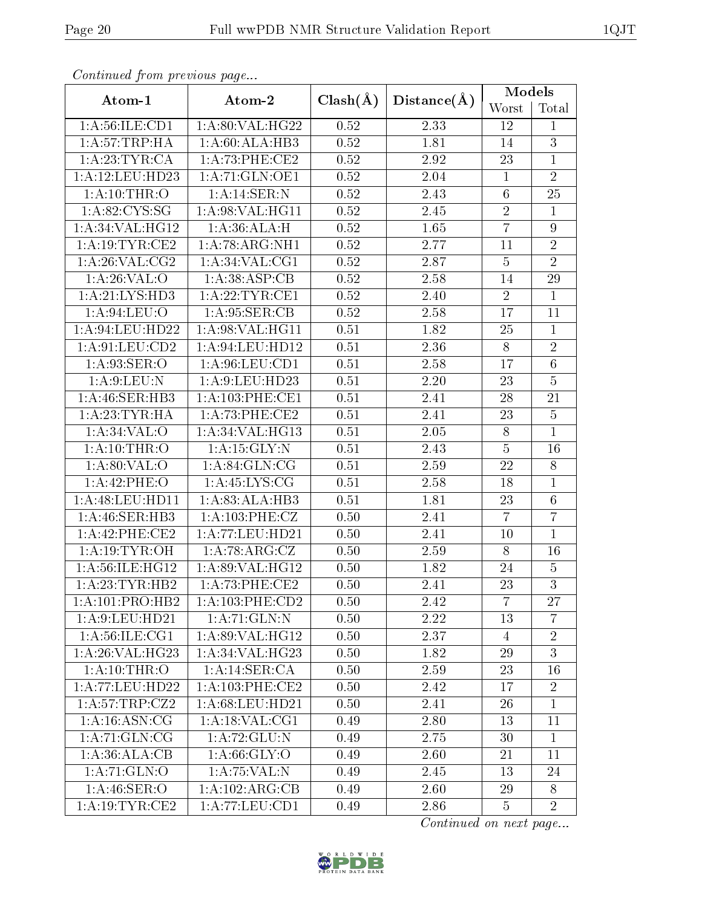| Commaca jibin previous page |                                    |              |             | Models         |                |
|-----------------------------|------------------------------------|--------------|-------------|----------------|----------------|
| Atom-1                      | Atom-2                             | $Clash(\AA)$ | Distance(A) | Worst          | Total          |
| 1: A:56: ILE: CD1           | 1:A:80:VAL:HG22                    | 0.52         | 2.33        | 12             | 1              |
| 1:A:57:TRP:HA               | 1:A:60:ALA:HB3                     | 0.52         | 1.81        | 14             | $\overline{3}$ |
| 1: A:23:TYR:CA              | 1:A:73:PHE:CE2                     | 0.52         | 2.92        | $23\,$         | $\overline{1}$ |
| 1:A:12:LEU:HD23             | 1:A:71:GLN:OE1                     | 0.52         | 2.04        | $\mathbf{1}$   | $\overline{2}$ |
| 1: A: 10: THR:O             | 1: A:14: SER: N                    | 0.52         | 2.43        | $\,6\,$        | 25             |
| 1: A:82: CYS:SG             | 1: A:98:VAL:HG11                   | 0.52         | 2.45        | $\overline{2}$ | $\mathbf{1}$   |
| 1: A:34: VAL:HG12           | 1:A:36:ALA:H                       | 0.52         | 1.65        | $\overline{7}$ | $\overline{9}$ |
| 1:A:19:TYR:CE2              | 1: A:78: ARG: NH1                  | 0.52         | 2.77        | 11             | $\sqrt{2}$     |
| 1: A:26: VAL: CG2           | 1: A:34: VAL: CG1                  | 0.52         | 2.87        | $\overline{5}$ | $\overline{2}$ |
| 1: A:26: VAL:O              | 1: A:38: ASP:CB                    | 0.52         | 2.58        | 14             | 29             |
| 1:A:21:LYS:HD3              | 1: A:22:TYR:CE1                    | 0.52         | 2.40        | $\overline{2}$ | $\overline{1}$ |
| 1: A:94:LEU:O               | 1: A:95: SER:CB                    | 0.52         | 2.58        | 17             | 11             |
| 1:A:94:LEU:HD22             | 1:A:98:VAL:HG11                    | 0.51         | 1.82        | 25             | $\overline{1}$ |
| 1:A:91:LEU:CD2              | 1: A:94:LEU:HD12                   | 0.51         | 2.36        | $8\,$          | $\overline{2}$ |
| 1:A:93:SER:O                | 1: A:96: LEU:CD1                   | 0.51         | 2.58        | 17             | $\overline{6}$ |
| 1: A:9: LEU: N              | 1:A:9:LEU:HD23                     | 0.51         | 2.20        | 23             | $\overline{5}$ |
| 1: A:46: SER:HB3            | 1: A:103:PHE:CE1                   | 0.51         | 2.41        | 28             | 21             |
| 1: A:23:TYR:HA              | 1:A:73:PHE:CE2                     | 0.51         | 2.41        | 23             | $\mathbf 5$    |
| 1: A:34:VAL:O               | 1:A:34:VAL:HG13                    | 0.51         | 2.05        | $8\,$          | $\mathbf{1}$   |
| 1: A: 10: THR:O             | $1:$ A:15:GLY:N                    | 0.51         | 2.43        | $\bf 5$        | 16             |
| 1: A:80: VAL:O              | 1: A:84: GLN:CG                    | 0.51         | 2.59        | 22             | $\overline{8}$ |
| 1:A:42:PHE:O                | 1:A:45:LYS:CG                      | 0.51         | 2.58        | 18             | $\mathbf{1}$   |
| 1:A:48:LEU:HD11             | 1:A:83:ALA:HB3                     | 0.51         | 1.81        | 23             | $\overline{6}$ |
| 1: A:46: SER:HB3            | 1:A:103:PHE:CZ                     | 0.50         | 2.41        | $\overline{7}$ | $\overline{7}$ |
| 1:A:42:PHE:CE2              | 1: A: 77: LEU: HD21                | 0.50         | 2.41        | 10             | $\mathbf{1}$   |
| 1: A:19: TYR:OH             | 1:A:78:ARG:CZ                      | 0.50         | 2.59        | 8              | 16             |
| 1: A:56: ILE: HG12          | 1:A:89:VAL:HG12                    | 0.50         | 1.82        | $24\,$         | $\overline{5}$ |
| 1:A:23:TYR:HB2              | $1:A:73:PHE:\overline{\text{CE2}}$ | 0.50         | 2.41        | 23             | $\overline{3}$ |
| 1:A:101:PRO:HB2             | 1:A:103:PHE:CD2                    | 0.50         | 2.42        | $\overline{7}$ | 27             |
| 1:A:9:LEU:HD21              | 1: A:71: GLN:N                     | 0.50         | 2.22        | 13             | $\overline{7}$ |
| 1: A:56: ILE: CG1           | 1:A:89:VAL:HG12                    | 0.50         | 2.37        | $\overline{4}$ | $\overline{2}$ |
| 1:A:26:VAL:HG23             | 1:A:34:VAL:HG23                    | 0.50         | 1.82        | 29             | $\overline{3}$ |
| 1: A:10:THR:O               | 1:A:14:SER:CA                      | 0.50         | 2.59        | 23             | 16             |
| 1:A:77:LEU:HD22             | 1: A:103:PHE:CE2                   | 0.50         | 2.42        | 17             | $\overline{2}$ |
| 1:A:57:TRP:CZ2              | 1: A:68:LEU:HD21                   | 0.50         | 2.41        | 26             | $\mathbf{1}$   |
| 1: A:16: ASN: CG            | 1: A:18: VAL:CG1                   | 0.49         | 2.80        | 13             | 11             |
| 1:A:71:GLN:CG               | 1: A:72: GLU:N                     | 0.49         | 2.75        | 30             | 1              |
| 1: A:36:ALA:CB              | 1: A:66: GLY:O                     | 0.49         | 2.60        | 21             | 11             |
| 1:A:71:GLN:O                | 1:A:75:VAL:N                       | 0.49         | 2.45        | 13             | 24             |
| 1: A:46: SER:O              | 1:A:102:ARG:CB                     | 0.49         | 2.60        | 29             | 8              |
| 1: A:19:TYR:CE2             | 1:A:77:LEU:CD1                     | 0.49         | 2.86        | $\overline{5}$ | $\overline{2}$ |

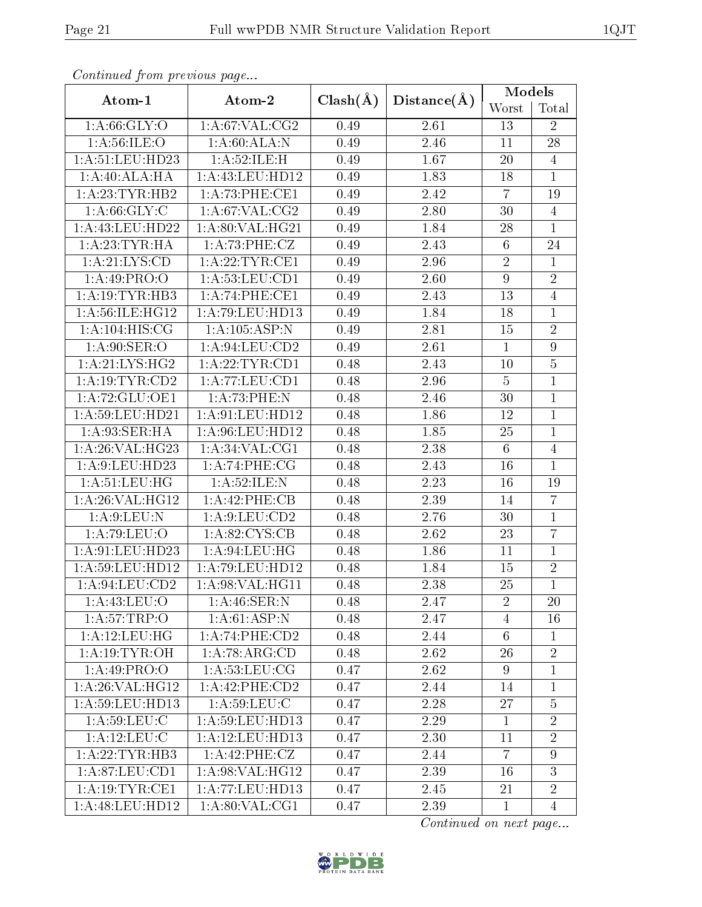| Continuou jiom protivus pago |                    |              |             | Models           |                |
|------------------------------|--------------------|--------------|-------------|------------------|----------------|
| Atom-1                       | Atom-2             | $Clash(\AA)$ | Distance(A) | Worst            | Total          |
| 1: A:66: GLY:O               | 1: A:67: VAL: CG2  | 0.49         | 2.61        | 13               | $\overline{2}$ |
| 1: A:56: ILE: O              | 1:A:60:ALA:N       | 0.49         | 2.46        | 11               | 28             |
| 1: A:51:LEU:HD23             | 1:A:52:ILE:H       | 0.49         | 1.67        | 20               | $\overline{4}$ |
| 1:A:40:ALA:HA                | 1:A:43:LEU:HD12    | 0.49         | 1.83        | 18               | $\mathbf{1}$   |
| 1:A:23:TYR:HB2               | 1: A:73: PHE:CE1   | 0.49         | 2.42        | $\overline{7}$   | 19             |
| 1: A:66: GLY: C              | 1: A:67: VAL: CG2  | 0.49         | 2.80        | 30               | $\overline{4}$ |
| 1:A:43:LEU:HD22              | 1:A:80:VAL:HG21    | 0.49         | 1.84        | 28               | $\overline{1}$ |
| 1: A:23:TYR:HA               | 1:A:73:PHE:CZ      | 0.49         | 2.43        | $\,6\,$          | 24             |
| 1:A:21:LYS:CD                | 1: A:22:TYR:CE1    | 0.49         | 2.96        | $\overline{2}$   | $\overline{1}$ |
| 1:A:49:PRO:O                 | 1: A: 53: LEU: CD1 | 0.49         | 2.60        | $\boldsymbol{9}$ | $\sqrt{2}$     |
| 1:A:19:TYR:HB3               | 1:A:74:PHE:CE1     | 0.49         | 2.43        | 13               | $\overline{4}$ |
| 1:A:56:ILE:HG12              | 1: A:79: LEU: HD13 | 0.49         | 1.84        | 18               | $\mathbf{1}$   |
| 1: A:104: HIS: CG            | 1: A: 105: ASP: N  | 0.49         | 2.81        | 15               | $\overline{2}$ |
| 1: A:90: SER:O               | 1: A:94:LEU:CD2    | 0.49         | 2.61        | $\mathbf{1}$     | $\overline{9}$ |
| 1: A:21:LYS:HG2              | 1: A:22:TYR:CD1    | 0.48         | 2.43        | 10               | $\overline{5}$ |
| 1: A: 19: TYR: CD2           | 1:A:77:LEU:CD1     | 0.48         | 2.96        | $\mathbf 5$      | $\mathbf{1}$   |
| 1:A:72:GLU:OE1               | 1:A:73:PHE:N       | 0.48         | 2.46        | 30               | $\mathbf{1}$   |
| 1:A:59:LEU:HD21              | 1: A:91: LEU: HD12 | 0.48         | 1.86        | 12               | $\overline{1}$ |
| 1: A:93: SER: HA             | 1:A:96:LEU:HD12    | 0.48         | 1.85        | $25\,$           | $\overline{1}$ |
| 1:A:26:VAL:HG23              | 1: A:34: VAL:CG1   | 0.48         | 2.38        | $\sqrt{6}$       | $\overline{4}$ |
| 1:A:9:LEU:HD23               | 1:A:74:PHE:CG      | 0.48         | 2.43        | 16               | $\mathbf{1}$   |
| 1: A: 51: LEU: HG            | 1:A:52:ILE:N       | 0.48         | 2.23        | 16               | 19             |
| 1:A:26:VAL:HG12              | 1:A:42:PHE:CB      | 0.48         | 2.39        | 14               | $\overline{7}$ |
| 1: A:9: LEU: N               | 1: A:9: LEU: CD2   | 0.48         | 2.76        | 30               | $\mathbf{1}$   |
| 1:A:79:LEU:O                 | 1:A:82:CYS:CB      | 0.48         | 2.62        | 23               | $\overline{7}$ |
| 1: A:91:LEU:HD23             | 1: A:94:LEU:HG     | 0.48         | 1.86        | 11               | $\mathbf{1}$   |
| 1: A:59:LEU:HD12             | 1: A:79: LEU: HD12 | 0.48         | 1.84        | 15               | $\sqrt{2}$     |
| 1: A:94:LEU:CD2              | 1:A:98:VAL:HG11    | 0.48         | 2.38        | $\overline{25}$  | $\overline{1}$ |
| 1: A:43:LEU:O                | 1: A:46: SER: N    | 0.48         | 2.47        | $\overline{2}$   | 20             |
| 1: A:57:TRP:O                | 1:A:61:ASP:N       | 0.48         | 2.47        | $\overline{4}$   | 16             |
| 1: A: 12: LEU: HG            | 1:A:74:PHE:CD2     | 0.48         | 2.44        | $6\,$            | $\mathbf{1}$   |
| 1: A:19: TYR:OH              | 1: A:78: ARG:CD    | 0.48         | 2.62        | 26               | $\overline{2}$ |
| 1:A:49:PRO:O                 | 1: A: 53: LEU: CG  | 0.47         | 2.62        | 9                | $\mathbf{1}$   |
| 1:A:26:VAL:HG12              | 1:A:42:PHE:CD2     | 0.47         | 2.44        | 14               | $\mathbf{1}$   |
| 1:A:59:LEU:HD13              | 1: A:59:LEU: C     | 0.47         | 2.28        | 27               | $\overline{5}$ |
| 1: A:59:LEU: C               | 1:A:59:LEU:HD13    | 0.47         | 2.29        | $\mathbf{1}$     | $\overline{2}$ |
| 1: A:12:LEU: C               | 1: A:12:LEU:HD13   | 0.47         | 2.30        | 11               | $\overline{2}$ |
| 1:A:22:TYR:HB3               | 1:A:42:PHE:CZ      | 0.47         | 2.44        | $\overline{7}$   | 9              |
| 1: A:87:LEU:CD1              | 1: A:98: VAL:HG12  | 0.47         | 2.39        | 16               | 3              |
| 1: A:19: TYR: CE1            | 1:A:77:LEU:HD13    | 0.47         | 2.45        | 21               | $\overline{2}$ |
| 1: A:48: LEU: HD12           | 1: A:80: VAL:CG1   | 0.47         | 2.39        | $\mathbf{1}$     | $\overline{4}$ |

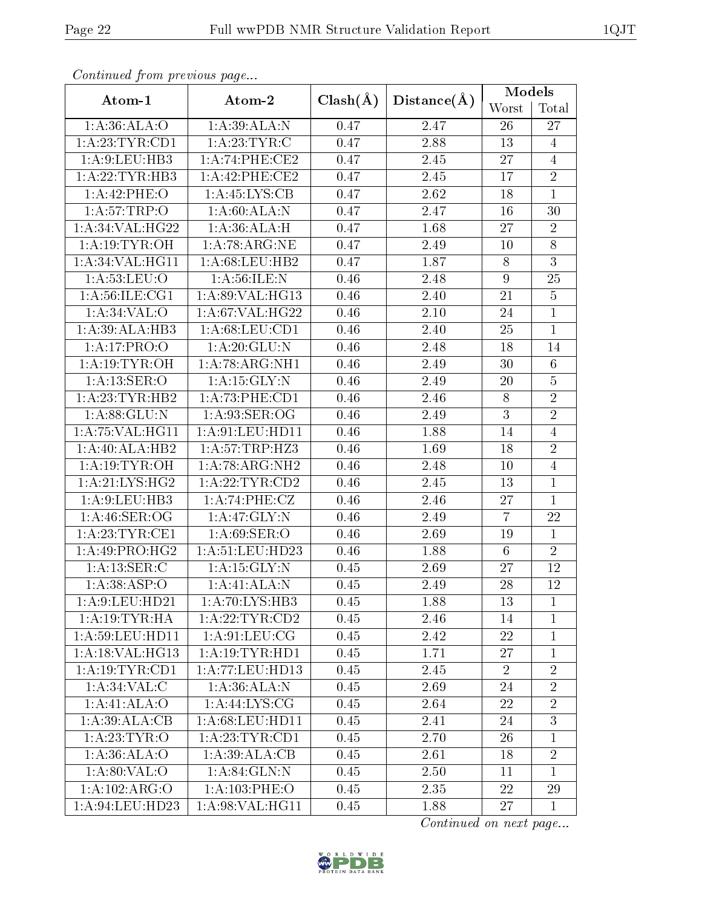| оонынаса јтот ртолово раде  |                     |              |                   | Models           |                 |
|-----------------------------|---------------------|--------------|-------------------|------------------|-----------------|
| Atom-1                      | Atom-2              | $Clash(\AA)$ | Distance(A)       | Worst            | Total           |
| 1: A:36: ALA:O              | 1:A:39:ALA:N        | 0.47         | 2.47              | 26               | 27              |
| 1: A:23:TYR:CD1             | 1: A:23:TYR:C       | 0.47         | 2.88              | 13               | $\overline{4}$  |
| 1:A:9:LEU:HB3               | 1:A:74:PHE:CE2      | 0.47         | 2.45              | 27               | $\overline{4}$  |
| 1:A:22:TYR:HB3              | 1:A:42:PHE:CE2      | 0.47         | 2.45              | 17               | $\overline{2}$  |
| 1:A:42:PHE:O                | 1: A:45:LYS:CB      | 0.47         | 2.62              | 18               | $\overline{1}$  |
| 1: A:57:TRP:O               | 1:A:60:ALA:N        | 0.47         | 2.47              | 16               | 30              |
| 1:A:34:VAL:HG22             | 1:A:36:ALA:H        | 0.47         | $\overline{1.68}$ | 27               | $\overline{2}$  |
| 1:A:19:TYR:OH               | 1: A:78: ARG: NE    | 0.47         | 2.49              | 10               | $8\,$           |
| $1:$ A:34:VAL:HG11          | 1: A:68: LEU:HB2    | 0.47         | 1.87              | $8\,$            | $\overline{3}$  |
| 1: A:53:LEU:O               | 1: A:56: ILE:N      | 0.46         | 2.48              | $\boldsymbol{9}$ | 25              |
| $1:\overline{A:56:ILE:CG1}$ | 1:A:89:VAL:HG13     | 0.46         | $\overline{2.40}$ | 21               | $\overline{5}$  |
| 1: A:34:VAL:O               | 1: A:67: VAL:HG22   | 0.46         | 2.10              | 24               | $\overline{1}$  |
| 1:A:39:ALA:HB3              | 1: A:68: LEU:CD1    | 0.46         | 2.40              | 25               | $\overline{1}$  |
| 1:A:17:PRO:O                | 1: A:20: GLU:N      | 0.46         | 2.48              | 18               | 14              |
| 1: A:19:TYR:OH              | 1: A:78: ARG: NH1   | 0.46         | 2.49              | 30               | $6\phantom{.}6$ |
| 1:A:13:SER:O                | 1: A:15: GLY:N      | 0.46         | 2.49              | 20               | $\overline{5}$  |
| 1:A:23:TYR:HB2              | 1:A:73:PHE:CD1      | 0.46         | 2.46              | $8\,$            | $\overline{2}$  |
| 1: A:88: GLU:N              | 1: A:93: SER:OG     | 0.46         | 2.49              | $\overline{3}$   | $\overline{2}$  |
| 1: A: 75: VAL: HG11         | 1: A:91: LEU: HD11  | 0.46         | 1.88              | 14               | $\overline{4}$  |
| 1:A:40:ALA:HB2              | 1: A:57:TRP:HZ3     | 0.46         | 1.69              | 18               | $\sqrt{2}$      |
| 1:A:19:TYR:OH               | 1: A:78: ARG: NH2   | 0.46         | 2.48              | 10               | $\overline{4}$  |
| 1: A:21: LYS: HG2           | 1: A:22:TYR:CD2     | 0.46         | 2.45              | 13               | $\mathbf{1}$    |
| 1:A:9:LEU:HB3               | 1:A:74:PHE:CZ       | 0.46         | 2.46              | 27               | $\mathbf{1}$    |
| 1: A:46: SER:OG             | 1:A:47:GLY:N        | 0.46         | 2.49              | $\overline{7}$   | 22              |
| 1:A:23:TYR:CE1              | 1:A:69:SER:O        | 0.46         | 2.69              | 19               | $\mathbf{1}$    |
| 1: A:49: PRO:HG2            | 1: A:51:LEU:HD23    | 0.46         | 1.88              | $\overline{6}$   | $\overline{2}$  |
| 1: A: 13: SER: C            | 1:A:15:GLY:N        | 0.45         | 2.69              | 27               | 12              |
| 1: A: 38: ASP: O            | 1:A:41:ALA:N        | 0.45         | 2.49              | 28               | $\overline{12}$ |
| 1: A:9: LEU: HD21           | 1: A:70: LYS: HB3   | 0.45         | 1.88              | 13               | $\mathbf{1}$    |
| 1:A:19:TYR:HA               | 1: A:22:TYR:CD2     | 0.45         | 2.46              | 14               | $\mathbf{1}$    |
| 1: A:59:LEU:HD11            | 1: A:91: LEU: CG    | 0.45         | 2.42              | 22               | 1               |
| 1:A:18:VAL:HG13             | 1: A:19: TYR: HD1   | 0.45         | 1.71              | 27               | $\mathbf{1}$    |
| 1: A: 19: TYR: CD1          | 1: A: 77: LEU: HD13 | 0.45         | 2.45              | $\overline{2}$   | $\overline{2}$  |
| 1: A:34:VAL: C              | 1:A:36:ALA:N        | 0.45         | 2.69              | 24               | $\overline{2}$  |
| 1:A:41:ALA:O                | 1: A: 44: LYS: CG   | 0.45         | 2.64              | 22               | $\overline{2}$  |
| 1:A:39:ALA:CB               | 1: A:68:LEU:HD11    | 0.45         | 2.41              | 24               | $\overline{3}$  |
| 1: A:23:TYR:O               | 1: A:23:TYR:CD1     | 0.45         | 2.70              | 26               | $\mathbf{1}$    |
| 1: A:36: ALA:O              | 1: A:39: ALA:CB     | 0.45         | 2.61              | 18               | $\overline{2}$  |
| 1: A:80: VAL:O              | 1: A:84: GLN:N      | 0.45         | 2.50              | 11               | $\mathbf{1}$    |
| 1:A:102:ARG:O               | 1: A: 103: PHE: O   | 0.45         | 2.35              | 22               | 29              |
| 1: A:94:LEU:HD23            | 1: A:98: VAL:HG11   | 0.45         | 1.88              | 27               | $\mathbf{1}$    |

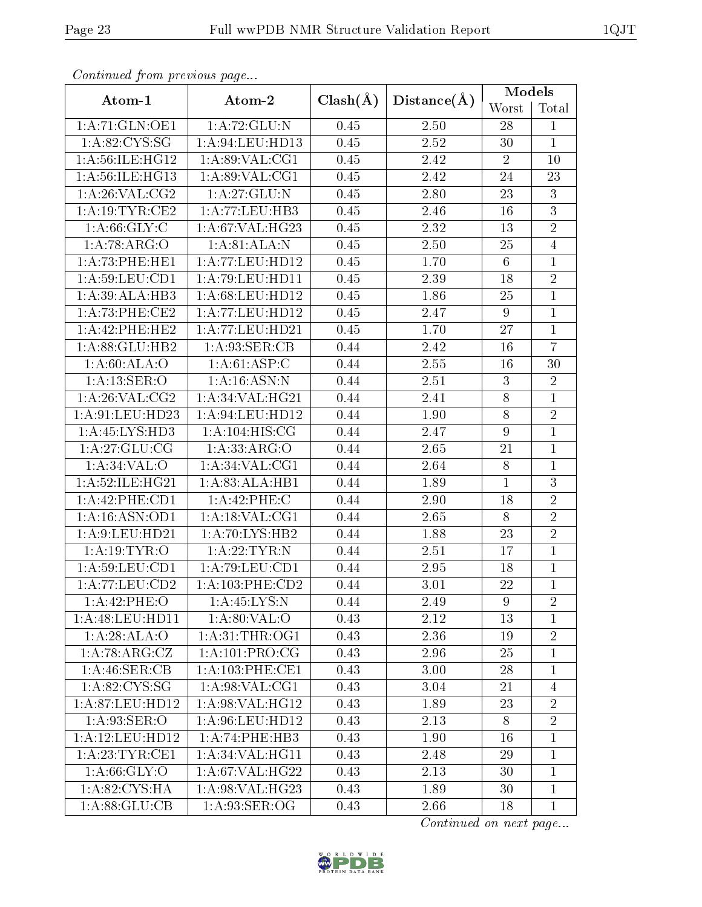| continual from previous page |                    |              |             | Models           |                |
|------------------------------|--------------------|--------------|-------------|------------------|----------------|
| Atom-1                       | Atom-2             | $Clash(\AA)$ | Distance(A) | Worst            | Total          |
| 1:A:71:GLN:OE1               | 1: A:72: GLU:N     | 0.45         | 2.50        | 28               | $\mathbf{1}$   |
| 1: A:82: CYS:SG              | 1: A:94:LEU:HD13   | 0.45         | 2.52        | 30               | $\mathbf{1}$   |
| 1: A:56: ILE: HG12           | 1: A:89: VAL:CG1   | 0.45         | 2.42        | $\overline{2}$   | 10             |
| 1:A:56:ILE:HG13              | 1: A:89: VAL:CG1   | 0.45         | 2.42        | 24               | 23             |
| 1: A:26: VAL:CG2             | 1: A:27: GLU:N     | 0.45         | 2.80        | 23               | $\overline{3}$ |
| 1: A:19:TYR:CE2              | 1:A:77:LEU:HB3     | 0.45         | 2.46        | $16\,$           | $\overline{3}$ |
| 1: A:66: GLY: C              | 1:A:67:VAL:HG23    | 0.45         | 2.32        | $13\,$           | $\overline{2}$ |
| 1:A:78:ARG:O                 | 1:A:81:ALA:N       | 0.45         | 2.50        | 25               | $\overline{4}$ |
| 1:A:73:PHE:HE1               | 1:A:77:LEU:HD12    | 0.45         | 1.70        | $\overline{6}$   | $\mathbf{1}$   |
| 1:A:59:LEU:CD1               | 1: A:79: LEU: HD11 | 0.45         | 2.39        | 18               | $\overline{2}$ |
| 1:A:39:ALA:HB3               | 1:A:68:LEU:HD12    | 0.45         | 1.86        | 25               | $\overline{1}$ |
| $1: A:73:$ PHE:CE2           | 1:A:77:LEU:HD12    | 0.45         | 2.47        | 9                | $\mathbf{1}$   |
| 1:A:42:PHE:HE2               | 1:A:77:LEU:HD21    | 0.45         | 1.70        | 27               | $\mathbf{1}$   |
| 1:A:88:GLU:HB2               | 1:A:93:SER:CB      | 0.44         | 2.42        | 16               | $\overline{7}$ |
| 1: A:60: ALA:O               | 1: A:61: ASP:C     | 0.44         | 2.55        | 16               | 30             |
| 1: A: 13: SER: O             | 1: A:16: ASN:N     | 0.44         | 2.51        | $\sqrt{3}$       | $\overline{2}$ |
| 1: A:26: VAL: CG2            | 1: A:34: VAL:HG21  | 0.44         | 2.41        | 8                | $\mathbf{1}$   |
| 1:A:91:LEU:HD23              | 1: A:94:LEU:HD12   | 0.44         | 1.90        | $\overline{8}$   | $\overline{2}$ |
| 1:A:45:LYS:HD3               | 1: A:104: HIS: CG  | 0.44         | 2.47        | $\boldsymbol{9}$ | $\mathbf{1}$   |
| 1:A:27:GLU:CG                | 1: A: 33: ARG: O   | 0.44         | 2.65        | $21\,$           | $\mathbf{1}$   |
| 1: A:34:VAL:O                | 1: A:34: VAL: CG1  | 0.44         | 2.64        | $8\,$            | $\mathbf{1}$   |
| 1: A:52: ILE: HG21           | 1:A:83:ALA:HB1     | 0.44         | 1.89        | $\mathbf{1}$     | $\overline{3}$ |
| 1:A:42:PHE:CD1               | $1:$ A:42:PHE:C    | 0.44         | 2.90        | 18               | $\overline{2}$ |
| 1:A:16:ASN:OD1               | 1:A:18:VAL:CG1     | 0.44         | 2.65        | 8                | $\overline{2}$ |
| 1:A:9:LEU:HD21               | 1: A:70: LYS: HB2  | 0.44         | 1.88        | 23               | $\overline{2}$ |
| 1: A:19:TYR:O                | 1: A:22:TYR:N      | 0.44         | 2.51        | 17               | $\overline{1}$ |
| 1: A:59:LEU:CD1              | 1:A:79:LEU:CD1     | 0.44         | 2.95        | 18               | $\mathbf 1$    |
| 1:A:77:LEU:CD2               | 1:A:103:PHE:CD2    | 0.44         | 3.01        | 22               | $\overline{1}$ |
| 1:A:42:PHE:O                 | 1:A:45:LYS:N       | 0.44         | 2.49        | 9                | $\overline{2}$ |
| 1: A:48: LEU: HD11           | 1: A:80: VAL:O     | 0.43         | 2.12        | 13               | $\mathbf{1}$   |
| 1:A:28:ALA:O                 | 1: A:31:THR:OG1    | 0.43         | 2.36        | 19               | $\overline{2}$ |
| $1:A:78:A\overline{RG:CZ}$   | 1: A:101:PRO:CG    | 0.43         | 2.96        | 25               | $\mathbf{1}$   |
| 1:A:46:SER:CB                | 1: A:103:PHE:CE1   | 0.43         | 3.00        | 28               | 1              |
| 1: A:82:CYS:SG               | 1: A:98: VAL:CG1   | 0.43         | 3.04        | 21               | $\overline{4}$ |
| 1: A:87:LEU:HD12             | 1: A:98: VAL: HG12 | 0.43         | 1.89        | 23               | $\overline{2}$ |
| 1: A:93: SER:O               | 1:A:96:LEU:HD12    | 0.43         | 2.13        | 8                | $\overline{2}$ |
| 1:A:12:LEU:HD12              | 1:A:74:PHE:HB3     | 0.43         | 1.90        | 16               | $\mathbf{1}$   |
| 1: A:23:TYR:CE1              | 1: A:34: VAL:HGI1  | 0.43         | 2.48        | 29               | $\mathbf{1}$   |
| 1: A:66: GLY:O               | 1: A:67: VAL:HG22  | 0.43         | 2.13        | 30               | $\mathbf{1}$   |
| 1: A:82: CYS:HA              | 1:A:98:VAL:HG23    | 0.43         | 1.89        | 30               | $\mathbf{1}$   |
| 1: A:88: GLU:CB              | 1: A:93: SER:OG    | 0.43         | 2.66        | 18               | $\mathbf{1}$   |

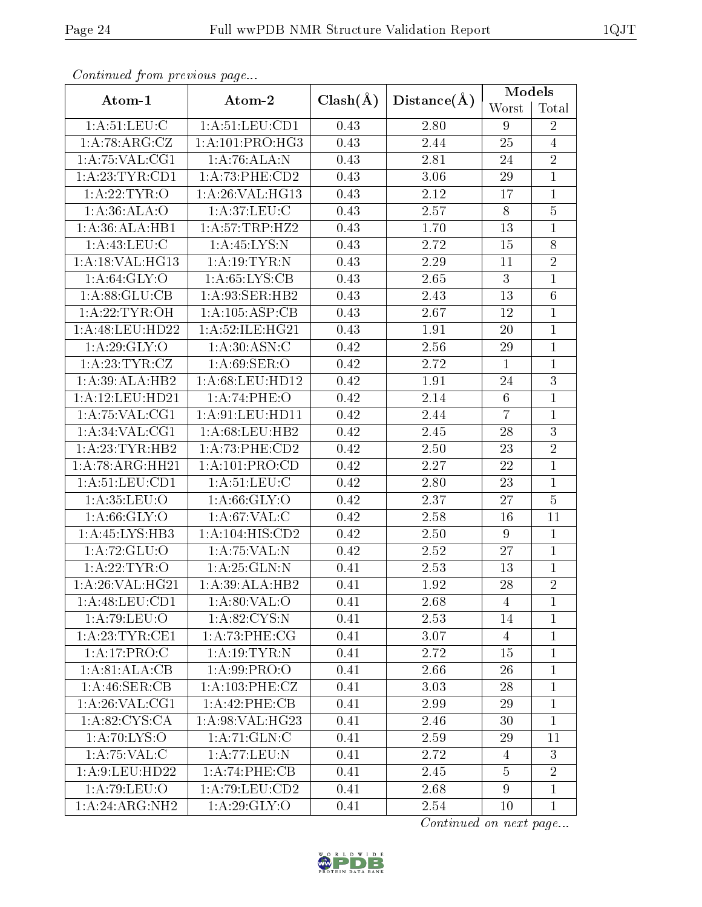| Continuea from previous page |                    |              |             | Models          |                |
|------------------------------|--------------------|--------------|-------------|-----------------|----------------|
| Atom-1                       | Atom-2             | $Clash(\AA)$ | Distance(A) | Worst           | Total          |
| 1: A:51:LEU: C               | 1: A: 51: LEU: CD1 | 0.43         | 2.80        | 9               | $\overline{2}$ |
| 1:A:78:ARG:CZ                | 1: A: 101: PRO:HG3 | 0.43         | 2.44        | 25              | $\overline{4}$ |
| 1: A:75: VAL:CG1             | 1:A:76:ALA:N       | 0.43         | 2.81        | 24              | $\overline{2}$ |
| 1: A:23:TYR:CD1              | 1:A:73:PHE:CD2     | 0.43         | 3.06        | 29              | $\mathbf{1}$   |
| 1: A:22:TYR:O                | 1:A:26:VAL:HG13    | 0.43         | 2.12        | 17              | $\mathbf{1}$   |
| 1: A:36: ALA:O               | 1: A:37: LEU: C    | 0.43         | 2.57        | 8               | $\overline{5}$ |
| 1:A:36:ALA:HB1               | 1: A:57:TRP:HZ2    | 0.43         | 1.70        | $13\,$          | $\mathbf{1}$   |
| 1: A:43:LEU:C                | 1:A:45:LYS:N       | 0.43         | 2.72        | 15              | 8              |
| 1: A:18: VAL:HG13            | 1: A:19:TYR:N      | 0.43         | 2.29        | 11              | $\overline{2}$ |
| 1: A:64: GLY:O               | 1: A:65:LYS:CB     | 0.43         | 2.65        | $\mathbf{3}$    | $\mathbf{1}$   |
| 1: A:88: GLU:CB              | 1: A:93: SER: HB2  | 0.43         | 2.43        | $\overline{13}$ | $\overline{6}$ |
| 1: A:22:TYR:OH               | 1:A:105:ASP:CB     | 0.43         | 2.67        | 12              | $\mathbf{1}$   |
| 1:A:48:LEU:HD22              | 1:A:52:ILE:HG21    | 0.43         | 1.91        | 20              | $\overline{1}$ |
| 1: A:29: GLY:O               | 1: A:30: ASN: C    | 0.42         | 2.56        | 29              | $\mathbf{1}$   |
| 1:A:23:TYR:CZ                | 1: A:69: SER:O     | 0.42         | 2.72        | $\mathbf{1}$    | $\mathbf{1}$   |
| 1:A:39:ALA:HB2               | 1: A:68:LEU:HD12   | 0.42         | 1.91        | $24\,$          | $\overline{3}$ |
| 1:A:12:LEU:HD21              | 1:A:74:PHE:O       | 0.42         | 2.14        | $\,6$           | $\mathbf{1}$   |
| 1:A:75:VAL:CG1               | 1: A:91: LEU: HD11 | 0.42         | 2.44        | $\overline{7}$  | $\mathbf 1$    |
| 1: A:34: VAL:CG1             | 1:A:68:LEU:HB2     | 0.42         | 2.45        | 28              | $\overline{3}$ |
| 1:A:23:TYR:HB2               | 1:A:73:PHE:CD2     | 0.42         | 2.50        | 23              | $\overline{2}$ |
| 1:A:78:ARG:HH21              | 1:A:101:PRO:CD     | 0.42         | 2.27        | 22              | $\overline{1}$ |
| 1: A: 51: LEU: CD1           | 1: A:51: LEU: C    | 0.42         | 2.80        | 23              | $\mathbf{1}$   |
| 1:A:35:LEU:O                 | 1: A:66: GLY:O     | 0.42         | 2.37        | 27              | $\overline{5}$ |
| 1: A:66: GLY:O               | 1: A:67: VAL:C     | 0.42         | 2.58        | 16              | 11             |
| 1:A:45:LYS:HB3               | 1:A:104:HIS:CD2    | 0.42         | 2.50        | $\overline{9}$  | $\mathbf{1}$   |
| 1:A:72:GLU:O                 | 1:A:75:VAL:N       | 0.42         | 2.52        | 27              | $\mathbf{1}$   |
| 1: A:22:TYR:O                | 1: A:25: GLN:N     | 0.41         | 2.53        | 13              | 1              |
| 1:A:26:VAL:HG21              | 1:A:39:ALA:HB2     | 0.41         | 1.92        | 28              | $\overline{2}$ |
| 1: A:48: LEU: CD1            | 1: A:80: VAL:O     | 0.41         | 2.68        | 4               | $\mathbf{1}$   |
| 1:A:79:LEU:O                 | 1: A:82:CYS:N      | 0.41         | 2.53        | 14              | $\mathbf{1}$   |
| 1: A:23:TYR:CE1              | 1: A:73:PHE:CG     | 0.41         | 3.07        | $\overline{4}$  | $\mathbf 1$    |
| 1:A:17:PRO:C                 | 1: A:19:TYR:N      | 0.41         | 2.72        | 15              | $\mathbf{1}$   |
| 1:A:81:ALA:CB                | 1: A:99: PRO:O     | 0.41         | 2.66        | 26              | 1              |
| 1:A:46:SER:CB                | 1:A:103:PHE:CZ     | 0.41         | 3.03        | 28              | $\mathbf{1}$   |
| 1: A:26: VAL:CG1             | 1:A:42:PHE:CB      | 0.41         | 2.99        | 29              | $\mathbf{1}$   |
| 1: A:82: CYS:CA              | 1:A:98:VAL:HG23    | 0.41         | 2.46        | 30              | $\overline{1}$ |
| 1:A:70:LYS:O                 | 1: A:71: GLN: C    | 0.41         | 2.59        | 29              | 11             |
| 1: A: 75: VAL: C             | 1:A:77:LEU:N       | 0.41         | 2.72        | $\overline{4}$  | $\overline{3}$ |
| 1: A:9: LEU: HD22            | 1:A:74:PHE:CB      | 0.41         | 2.45        | $\overline{5}$  | $\overline{2}$ |
| 1: A:79: LEU:O               | 1:A:79:LEU:CD2     | 0.41         | 2.68        | 9               | $\mathbf{1}$   |
| 1:A:24:ARG:NH2               | 1: A:29: GLY:O     | 0.41         | 2.54        | 10              | $\mathbf{1}$   |

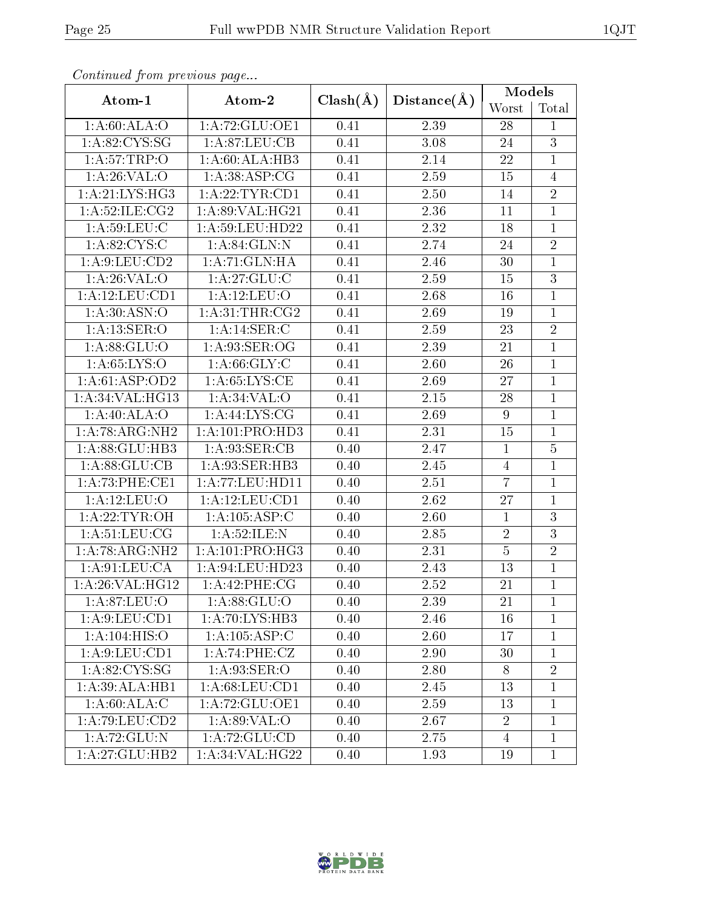| Continueu from previous page |                     |              |             | Models         |                |  |
|------------------------------|---------------------|--------------|-------------|----------------|----------------|--|
| Atom-1                       | Atom-2              | $Clash(\AA)$ | Distance(A) | Worst          | Total          |  |
| 1: A:60:ALA:O                | 1:A:72:GLU:OE1      | 0.41         | 2.39        | 28             | $\mathbf{1}$   |  |
| 1: A:82: CYS:SG              | 1: A:87: LEU:CB     | 0.41         | 3.08        | 24             | 3              |  |
| 1: A:57:TRP:O                | 1: A:60:ALA:HB3     | 0.41         | 2.14        | 22             | $\mathbf{1}$   |  |
| 1: A:26: VAL:O               | 1: A:38: ASP:CG     | 0.41         | 2.59        | 15             | $\overline{4}$ |  |
| 1: A:21: LYS: HG3            | 1: A:22:TYR:CD1     | 0.41         | 2.50        | 14             | $\overline{2}$ |  |
| 1: A:52:ILE: CG2             | 1:A:89:VAL:HG21     | 0.41         | 2.36        | 11             | $\mathbf{1}$   |  |
| 1: A:59:LEU:C                | 1:A:59:LEU:HD22     | 0.41         | 2.32        | 18             | $\mathbf{1}$   |  |
| 1: A:82: CYS:C               | 1: A:84: GLN:N      | 0.41         | 2.74        | 24             | $\overline{2}$ |  |
| $1:A:\overline{9:LEU:CD2}$   | 1: A:71:GLN:HA      | 0.41         | 2.46        | 30             | $\mathbf{1}$   |  |
| 1: A:26: VAL:O               | 1:A:27:GLU:C        | 0.41         | 2.59        | 15             | 3              |  |
| 1:A:12:LEU:CD1               | $1:$ A:12:LEU:O     | 0.41         | 2.68        | 16             | $\overline{1}$ |  |
| 1: A:30: ASN:O               | 1: A:31:THR:CG2     | 0.41         | 2.69        | 19             | $\mathbf{1}$   |  |
| 1:A:13:SER:O                 | 1:A:14:SER:C        | 0.41         | 2.59        | 23             | $\overline{2}$ |  |
| 1: A:88: GLU:O               | 1: A:93: SER:OG     | 0.41         | 2.39        | 21             | $\mathbf{1}$   |  |
| 1: A:65:LYS:O                | 1: A:66: GLY: C     | 0.41         | 2.60        | $26\,$         | $\mathbf{1}$   |  |
| 1: A:61: ASP:OD2             | 1: A:65:LYS:CE      | 0.41         | 2.69        | 27             | $\mathbf{1}$   |  |
| 1:A:34:VAL:HG13              | 1: A:34:VAL:O       | 0.41         | 2.15        | 28             | $\mathbf{1}$   |  |
| 1:A:40:ALA:O                 | 1:A:44:LYS:CG       | 0.41         | 2.69        | 9              | $\mathbf{1}$   |  |
| 1:A:78:ARG:NH2               | 1:A:101:PRO:HD3     | 0.41         | 2.31        | 15             | $\mathbf{1}$   |  |
| 1:A:88:GLU:HB3               | 1:A:93:SER:CB       | 0.40         | 2.47        | $\mathbf{1}$   | $\overline{5}$ |  |
| 1:A:88:GLU:CB                | 1:A:93:SER:HB3      | 0.40         | 2.45        | $\overline{4}$ | $\mathbf{1}$   |  |
| 1:A:73:PHE:CE1               | 1: A: 77: LEU: HD11 | 0.40         | 2.51        | $\overline{7}$ | $\mathbf{1}$   |  |
| $1:$ A:12:LEU:O              | 1: A: 12: LEU: CD1  | 0.40         | 2.62        | 27             | $\mathbf{1}$   |  |
| 1: A:22:TYR:OH               | 1:A:105:ASP:C       | 0.40         | 2.60        | $\mathbf{1}$   | $\overline{3}$ |  |
| 1: A:51:LEU:CG               | 1:A:52:ILE:N        | 0.40         | 2.85        | $\overline{2}$ | $\overline{3}$ |  |
| 1:A:78:ARG:NH2               | 1:A:101:PRO:HG3     | 0.40         | 2.31        | $\overline{5}$ | $\overline{2}$ |  |
| 1: A:91:LEU:CA               | 1: A:94:LEU:HD23    | 0.40         | 2.43        | 13             | $\mathbf{1}$   |  |
| 1:A:26:VAL:HG12              | 1:A:42:PHE:CG       | 0.40         | 2.52        | 21             | $\overline{1}$ |  |
| 1: A:87:LEU:O                | 1: A:88: GLU:O      | 0.40         | 2.39        | 21             | $\mathbf{1}$   |  |
| 1: A:9: LEU: CD1             | 1:A:70:LYS:HB3      | 0.40         | 2.46        | 16             | $\mathbf{1}$   |  |
| 1:A:104:HIS:O                | 1: A: 105: ASP: C   | 0.40         | 2.60        | 17             | 1              |  |
| 1: A:9: LEU: CD1             | 1:A:74:PHE:CZ       | 0.40         | 2.90        | 30             | $\mathbf{1}$   |  |
| 1: A:82: CYS:SG              | 1:A:93:SER:O        | 0.40         | 2.80        | 8              | $\overline{2}$ |  |
| 1:A:39:ALA:HB1               | 1:A:68:LEU:CD1      | 0.40         | 2.45        | 13             | $\mathbf{1}$   |  |
| 1: A:60:ALA:C                | 1:A:72:GLU:OE1      | 0.40         | 2.59        | 13             | $\mathbf{1}$   |  |
| 1:A:79:LEU:CD2               | 1: A:89: VAL:O      | 0.40         | 2.67        | $\overline{2}$ | $\mathbf{1}$   |  |
| 1: A:72: GLU:N               | 1: A:72: GLU:CD     | 0.40         | 2.75        | $\overline{4}$ | $\mathbf 1$    |  |
| 1:A:27:GLU:HB2               | 1:A:34:VAL:HG22     | 0.40         | 1.93        | 19             | $\mathbf{1}$   |  |

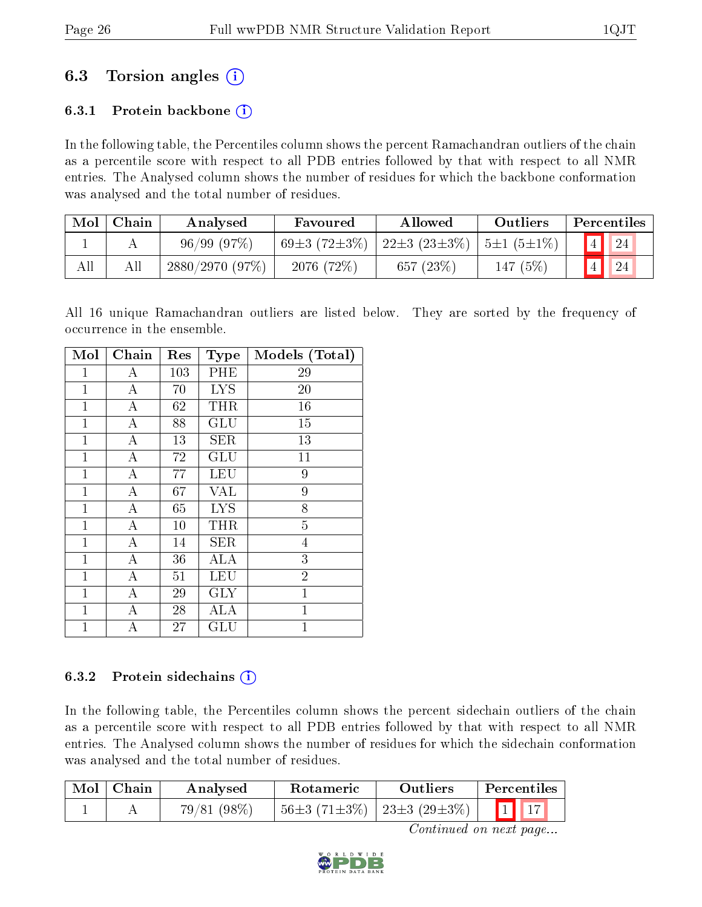## 6.3 Torsion angles (i)

#### 6.3.1 Protein backbone  $(i)$

In the following table, the Percentiles column shows the percent Ramachandran outliers of the chain as a percentile score with respect to all PDB entries followed by that with respect to all NMR entries. The Analysed column shows the number of residues for which the backbone conformation was analysed and the total number of residues.

| Mol | Chain | Analysed       | Allowed<br>Favoured      |                               | Outliers          | Percentiles |    |
|-----|-------|----------------|--------------------------|-------------------------------|-------------------|-------------|----|
|     |       | 96/99(97%)     | 69 $\pm$ 3 (72 $\pm$ 3%) | 22 $\pm$ 3 (23 $\pm$ 3 $\%$ ) | $ 5\pm1(5\pm1\%)$ |             |    |
| All |       | 2880/2970(97%) | 2076 (72%)               | 657 $(23%)$                   | 147 (5%)          |             | 24 |

All 16 unique Ramachandran outliers are listed below. They are sorted by the frequency of occurrence in the ensemble.

| Mol          | Chain            | Res | <b>Type</b> | Models (Total) |
|--------------|------------------|-----|-------------|----------------|
| 1            | А                | 103 | PHE         | 29             |
| $\mathbf{1}$ | А                | 70  | <b>LYS</b>  | 20             |
| $\mathbf{1}$ | $\boldsymbol{A}$ | 62  | THR         | 16             |
| 1            | $\boldsymbol{A}$ | 88  | GLU         | 15             |
| $\mathbf{1}$ | $\bf{A}$         | 13  | <b>SER</b>  | 13             |
| $\mathbf{1}$ | $\boldsymbol{A}$ | 72  | GLU         | 11             |
| 1            | А                | 77  | LEU         | 9              |
| $\mathbf{1}$ | $\boldsymbol{A}$ | 67  | <b>VAL</b>  | 9              |
| $\mathbf{1}$ | $\boldsymbol{A}$ | 65  | <b>LYS</b>  | 8              |
| $\mathbf{1}$ | $\boldsymbol{A}$ | 10  | <b>THR</b>  | $\overline{5}$ |
| $\mathbf{1}$ | $\bf{A}$         | 14  | <b>SER</b>  | $\overline{4}$ |
| $\mathbf{1}$ | $\boldsymbol{A}$ | 36  | ALA         | $\overline{3}$ |
| $\mathbf 1$  | А                | 51  | <b>LEU</b>  | $\overline{2}$ |
| $\mathbf{1}$ | $\boldsymbol{A}$ | 29  | <b>GLY</b>  | $\mathbf{1}$   |
| $\mathbf{1}$ | $\boldsymbol{A}$ | 28  | <b>ALA</b>  | $\mathbf 1$    |
| $\mathbf 1$  | А                | 27  | ${\rm GLU}$ | $\mathbf{1}$   |

#### 6.3.2 Protein sidechains  $(i)$

In the following table, the Percentiles column shows the percent sidechain outliers of the chain as a percentile score with respect to all PDB entries followed by that with respect to all NMR entries. The Analysed column shows the number of residues for which the sidechain conformation was analysed and the total number of residues.

| Mol   Chain | Analysed   | <b>Rotameric</b>            | <b>Outliers</b> | Percentiles                                                                                                                                                                                                                                               |  |
|-------------|------------|-----------------------------|-----------------|-----------------------------------------------------------------------------------------------------------------------------------------------------------------------------------------------------------------------------------------------------------|--|
|             | 79/81(98%) | 56±3 (71±3%)   23±3 (29±3%) |                 | $\begin{array}{ccc} \begin{array}{ccc} \end{array} & \begin{array}{ccc} \end{array} & \begin{array}{ccc} \end{array} & \begin{array}{ccc} \end{array} & \begin{array}{ccc} \end{array} & \begin{array}{ccc} \end{array} & \begin{array}{ccc} \end{array}$ |  |

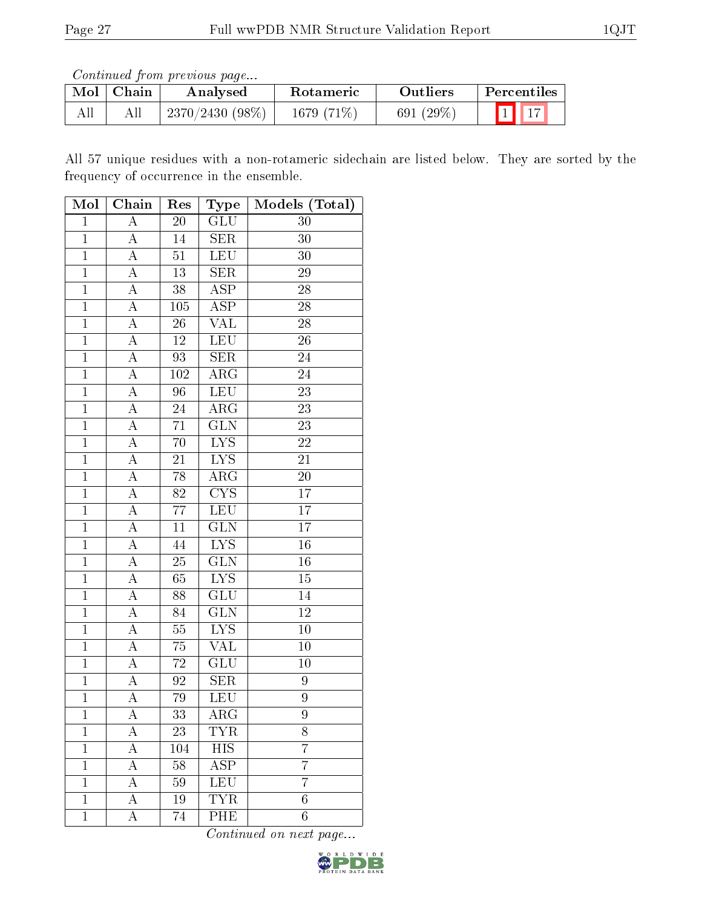| ' Mol | Chain | Analysed          | Rotameric     | Outliers     | ' Percentiles                  |
|-------|-------|-------------------|---------------|--------------|--------------------------------|
|       |       | $2370/2430(98\%)$ | 1679 $(71\%)$ | 691 $(29\%)$ | $\vert 1 \vert \vert 17 \vert$ |

All 57 unique residues with a non-rotameric sidechain are listed below. They are sorted by the frequency of occurrence in the ensemble.

| Mol            | Chain              | Res             | $_{\rm Type}$           | Models (Total)  |
|----------------|--------------------|-----------------|-------------------------|-----------------|
| $\mathbf{1}$   | $\overline{A}$     | <b>20</b>       | $\overline{\text{GLU}}$ | 30              |
| $\mathbf 1$    | $\overline{A}$     | 14              | $\overline{\text{SER}}$ | 30              |
| $\overline{1}$ | $\overline{\rm A}$ | 51              | <b>LEU</b>              | 30              |
| $\overline{1}$ | $\overline{A}$     | 13              | $\overline{\text{SER}}$ | 29              |
| $\mathbf{1}$   | $\boldsymbol{A}$   | $\overline{3}8$ | <b>ASP</b>              | 28              |
| $\overline{1}$ | $\overline{A}$     | 105             | $\overline{\text{ASP}}$ | 28              |
| $\overline{1}$ | Ā                  | 26              | VAL                     | 28              |
| $\overline{1}$ | $\boldsymbol{A}$   | 12              | LEU                     | 26              |
| $\overline{1}$ | $\overline{A}$     | 93              | SER                     | 24              |
| $\mathbf{1}$   | $\overline{A}$     | 102             | $\rm{ARG}$              | 24              |
| $\overline{1}$ | $\overline{\rm A}$ | 96              | <b>LEU</b>              | $\overline{23}$ |
| $\mathbf{1}$   | $\boldsymbol{A}$   | 24              | $\rm{ARG}$              | 23              |
| $\overline{1}$ | $\boldsymbol{A}$   | 71              | $\overline{\text{GLN}}$ | 23              |
| $\mathbf{1}$   | $\overline{A}$     | 70              | <b>LYS</b>              | <b>22</b>       |
| $\mathbf{1}$   | $\boldsymbol{A}$   | 21              | $\overline{\text{LYS}}$ | 21              |
| $\overline{1}$ | $\overline{A}$     | $78\,$          | $\overline{\text{ARG}}$ | $\overline{20}$ |
| $\mathbf 1$    | $\boldsymbol{A}$   | 82              | $\overline{\text{CYS}}$ | 17              |
| $\overline{1}$ | $\overline{A}$     | $\overline{77}$ | <b>LEU</b>              | $\overline{17}$ |
| $\mathbf 1$    | $\overline{\rm A}$ | 11              | <b>GLN</b>              | 17              |
| $\mathbf{1}$   | $\overline{\rm A}$ | 44              | $\overline{\text{LYS}}$ | 16              |
| $\mathbf{1}$   | $\overline{A}$     | 25              | $\overline{\text{GLN}}$ | $16\,$          |
| $\overline{1}$ | $\overline{A}$     | 65              | <b>LYS</b>              | $15\,$          |
| $\overline{1}$ | $\overline{A}$     | 88              | $\overline{\text{GLU}}$ | $\overline{14}$ |
| $\mathbf{1}$   | A                  | 84              | GLN                     | $12\,$          |
| $\mathbf{1}$   | $\boldsymbol{A}$   | $55\,$          | $\overline{LYS}$        | $10\,$          |
| $\mathbf{1}$   | $\overline{A}$     | 75              | $\overline{\text{VAL}}$ | $\overline{10}$ |
| $\overline{1}$ | $\boldsymbol{A}$   | 72              | GLU                     | 10              |
| $\overline{1}$ | $\overline{\rm A}$ | $\overline{92}$ | $\overline{\text{SER}}$ | 9               |
| $\mathbf{1}$   | $\boldsymbol{A}$   | 79              | LEU                     | $\overline{9}$  |
| 1              | А                  | 33              | ${\rm ARG}$             | 9               |
| $\mathbf 1$    | А                  | 23              | TYR                     | 8               |
| $\mathbf{1}$   | A                  | 104             | <b>HIS</b>              | $\overline{7}$  |
| $\mathbf{1}$   | А                  | 58              | $\overline{\text{ASP}}$ | $\overline{7}$  |
| $\mathbf{1}$   | А                  | 59              | <b>LEU</b>              | 7               |
| $\mathbf{1}$   | A                  | 19              | $\overline{\text{TYR}}$ | $6\phantom{.}$  |
| $\mathbf{1}$   | А                  | 74              | PHE                     | 6               |

Continued on next page...

D W I D E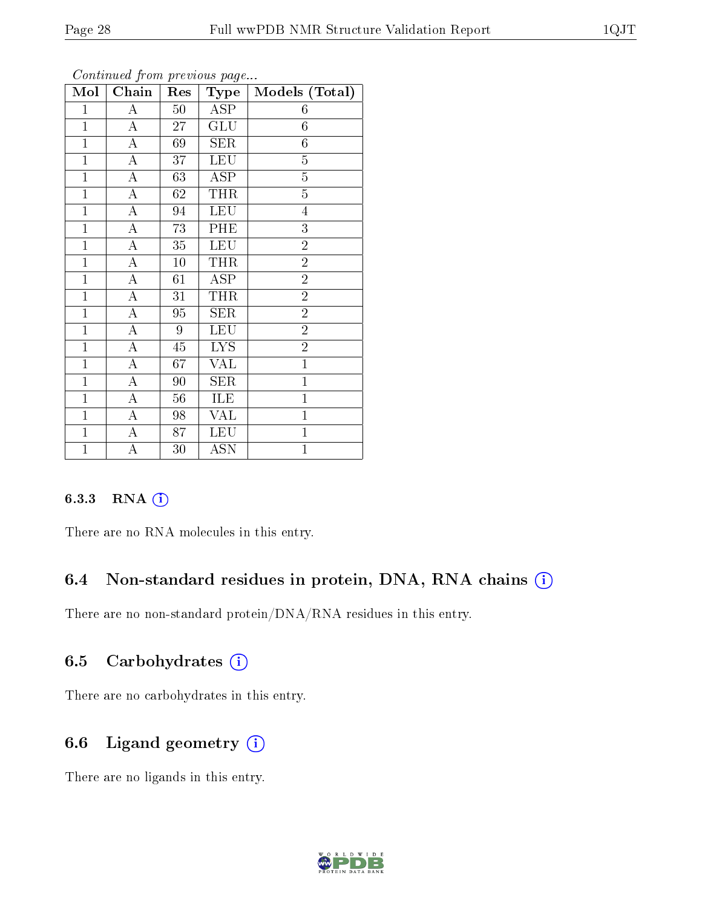| Mol            | Chain              | Res    | Type                    | Models (Total) |
|----------------|--------------------|--------|-------------------------|----------------|
| $\mathbf{1}$   | A                  | $50\,$ | ASP                     | 6              |
| $\mathbf{1}$   | А                  | 27     | GLU                     | 6              |
| $\mathbf{1}$   | $\overline{\rm A}$ | 69     | <b>SER</b>              | $\sqrt{6}$     |
| $\mathbf{1}$   | $\boldsymbol{A}$   | 37     | <b>LEU</b>              | $\overline{5}$ |
| $\mathbf{1}$   | A                  | 63     | $\overline{\rm ASP}$    | $\overline{5}$ |
| $\mathbf{1}$   | A                  | 62     | THR                     | $\overline{5}$ |
| $\mathbf{1}$   | A                  | 94     | <b>LEU</b>              | $\overline{4}$ |
| $\overline{1}$ | $\overline{\rm A}$ | 73     | PHE                     | $\overline{3}$ |
| $\mathbf{1}$   | $\overline{\rm A}$ | 35     | <b>LEU</b>              | $\overline{2}$ |
| $\mathbf{1}$   | A                  | 10     | <b>THR</b>              | $\overline{2}$ |
| $\overline{1}$ | A                  | 61     | ASP                     | $\overline{2}$ |
| $\overline{1}$ | $\overline{\rm A}$ | 31     | THR                     | $\overline{2}$ |
| $\mathbf{1}$   | A                  | 95     | <b>SER</b>              | $\overline{2}$ |
| $\overline{1}$ | A                  | 9      | <b>LEU</b>              | $\overline{2}$ |
| $\mathbf{1}$   | $\overline{\rm A}$ | 45     | <b>LYS</b>              | $\overline{2}$ |
| $\mathbf{1}$   | A                  | 67     | <b>VAL</b>              | $\overline{1}$ |
| $\overline{1}$ | $\overline{\rm A}$ | 90     | <b>SER</b>              | $\mathbf 1$    |
| $\mathbf{1}$   | A                  | 56     | ILE                     | $\mathbf{1}$   |
| $\overline{1}$ | $\boldsymbol{A}$   | 98     | $\overline{\text{VAL}}$ | $\overline{1}$ |
| $\mathbf{1}$   | $\overline{\rm A}$ | 87     | <b>LEU</b>              | $\mathbf{1}$   |
| $\mathbf{1}$   | A                  | 30     | <b>ASN</b>              | $\mathbf{1}$   |

Continued from previous page...

#### 6.3.3 RNA [O](https://www.wwpdb.org/validation/2017/NMRValidationReportHelp#rna)i

There are no RNA molecules in this entry.

#### 6.4 Non-standard residues in protein, DNA, RNA chains (i)

There are no non-standard protein/DNA/RNA residues in this entry.

#### 6.5 Carbohydrates  $(i)$

There are no carbohydrates in this entry.

#### 6.6 Ligand geometry  $(i)$

There are no ligands in this entry.

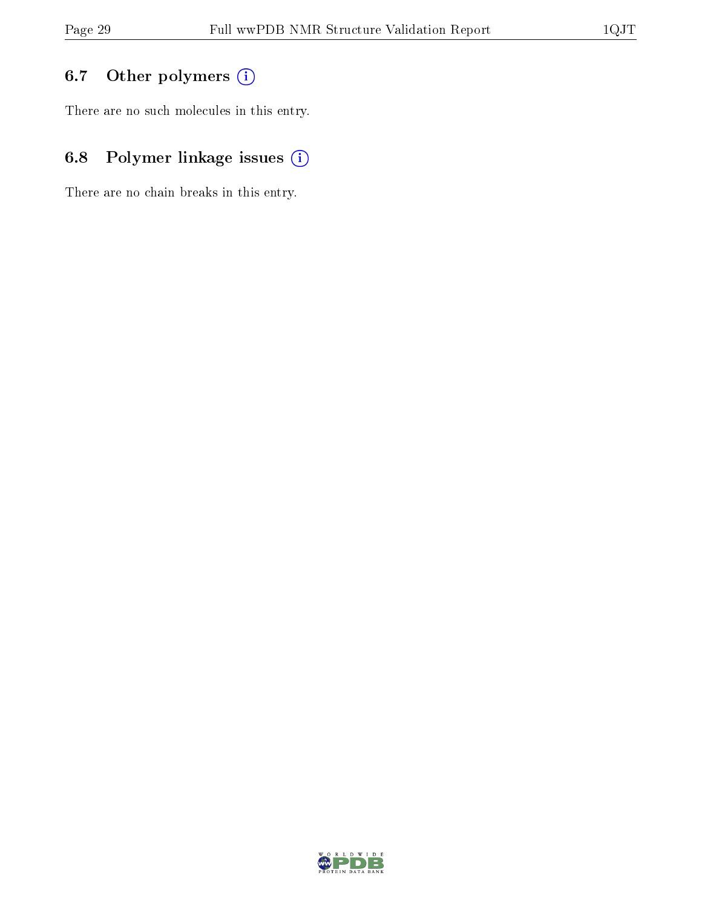## 6.7 [O](https://www.wwpdb.org/validation/2017/NMRValidationReportHelp#nonstandard_residues_and_ligands)ther polymers (i)

There are no such molecules in this entry.

## 6.8 Polymer linkage issues (i)

There are no chain breaks in this entry.

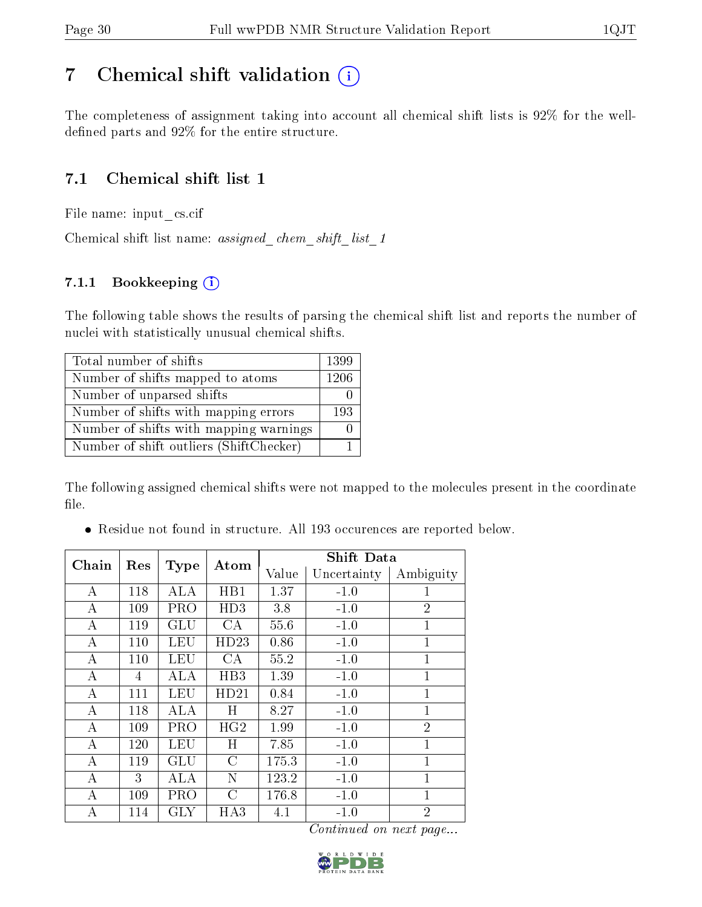## <span id="page-29-0"></span>7 Chemical shift validation  $(i)$

The completeness of assignment taking into account all chemical shift lists is 92% for the welldefined parts and  $92\%$  for the entire structure.

### 7.1 Chemical shift list 1

File name: input\_cs.cif

Chemical shift list name: assigned\_chem\_shift\_list\_1

#### 7.1.1 Bookkeeping (i)

The following table shows the results of parsing the chemical shift list and reports the number of nuclei with statistically unusual chemical shifts.

| Total number of shifts                  | 1399 |
|-----------------------------------------|------|
| Number of shifts mapped to atoms        | 1206 |
| Number of unparsed shifts               |      |
| Number of shifts with mapping errors    | 193  |
| Number of shifts with mapping warnings  |      |
| Number of shift outliers (ShiftChecker) |      |

The following assigned chemical shifts were not mapped to the molecules present in the coordinate file.

Residue not found in structure. All 193 occurences are reported below.

| Chain |     |             | Atom          | <b>Shift Data</b> |             |                |
|-------|-----|-------------|---------------|-------------------|-------------|----------------|
|       | Res | <b>Type</b> |               | Value             | Uncertainty | Ambiguity      |
| А     | 118 | ALA         | HB1           | 1.37              | $-1.0$      | 1              |
| А     | 109 | <b>PRO</b>  | HD3           | 3.8               | $-1.0$      | $\overline{2}$ |
| А     | 119 | GLU         | CA            | 55.6              | $-1.0$      | $\mathbf{1}$   |
| А     | 110 | LEU         | HD23          | 0.86              | $-1.0$      | $\mathbf{1}$   |
| А     | 110 | LEU         | CA            | 55.2              | $-1.0$      | $\mathbf{1}$   |
| А     | 4   | ALA         | HB3           | 1.39              | $-1.0$      | $\mathbf{1}$   |
| А     | 111 | LEU         | HD21          | 0.84              | $-1.0$      | $\overline{1}$ |
| А     | 118 | <b>ALA</b>  | H             | 8.27              | $-1.0$      | $\mathbf{1}$   |
| А     | 109 | PRO         | HG2           | 1.99              | $-1.0$      | $\overline{2}$ |
| А     | 120 | LEU         | Η             | 7.85              | $-1.0$      | $\overline{1}$ |
| А     | 119 | <b>GLU</b>  | $\mathcal{C}$ | 175.3             | $-1.0$      | $\mathbf{1}$   |
| А     | 3   | ALA         | N             | 123.2             | $-1.0$      | 1              |
| А     | 109 | PRO         | C             | 176.8             | $-1.0$      | 1              |
| А     | 114 | GLY         | HA3           | 4.1               | $-1.0$      | $\overline{2}$ |

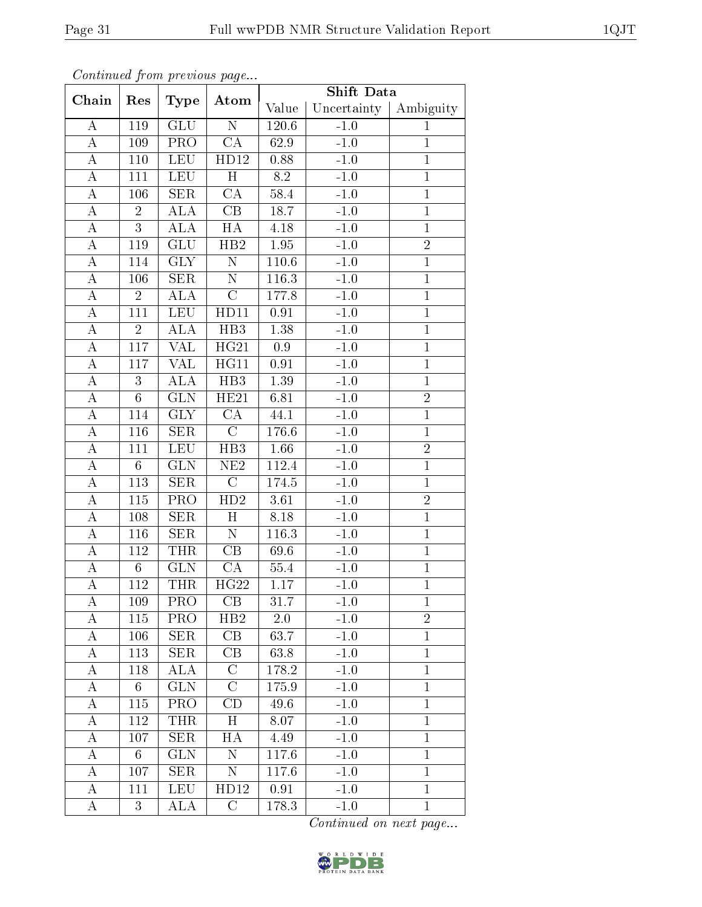|                    |                  |                         |                          | Shift Data        |             |                |
|--------------------|------------------|-------------------------|--------------------------|-------------------|-------------|----------------|
| Chain              | Res              | <b>Type</b>             | Atom                     | Value             | Uncertainty | Ambiguity      |
| A                  | 119              | <b>GLU</b>              | $\overline{\rm N}$       | 120.6             | $-1.0$      | $\mathbf{1}$   |
| $\bf{A}$           | 109              | PRO                     | $\overline{\text{CA}}$   | 62.9              | $-1.0$      | $\mathbf{1}$   |
| $\bf{A}$           | 110              | <b>LEU</b>              | $\overline{H\rm{D}1}2$   | 0.88              | $-1.0$      | $\overline{1}$ |
| $\overline{A}$     | 111              | <b>LEU</b>              | $\overline{H}$           | $8.2\,$           | $-1.0$      | $\overline{1}$ |
| $\bf{A}$           | 106              | <b>SER</b>              | CA                       | 58.4              | $-1.0$      | $\mathbf{1}$   |
| $\boldsymbol{A}$   | $\overline{2}$   | ALA                     | $\overline{\text{CB}}$   | 18.7              | $-1.0$      | $\overline{1}$ |
| A                  | $\overline{3}$   | ALA                     | $\overline{H}A$          | $4.18\,$          | $-1.0$      | $\mathbf{1}$   |
| $\bf{A}$           | 119              | <b>GLU</b>              | HB2                      | $1.95\,$          | $-1.0$      | $\overline{2}$ |
| A                  | 114              | $\overline{\text{GLY}}$ | $\overline{\rm N}$       | $110.6\,$         | $-1.0$      | $\overline{1}$ |
| A                  | 106              | ${\rm SER}$             | $\overline{\rm N}$       | 116.3             | $-1.0$      | $\mathbf 1$    |
| A                  | $\overline{2}$   | <b>ALA</b>              | $\mathcal{C}$            | 177.8             | $-1.0$      | $\mathbf{1}$   |
| $\boldsymbol{A}$   | 111              | $\operatorname{LEU}$    | HD11                     | $0.91\,$          | $-1.0$      | $\mathbf 1$    |
| $\boldsymbol{A}$   | $\overline{2}$   | <b>ALA</b>              | HB <sub>3</sub>          | 1.38              | $-1.0$      | $\overline{1}$ |
| $\overline{A}$     | 117              | <b>VAL</b>              | $\overline{\text{HG21}}$ | 0.9               | $-1.0$      | $\overline{1}$ |
| $\boldsymbol{A}$   | 117              | <b>VAL</b>              | HG11                     | 0.91              | $-1.0$      | $\mathbf{1}$   |
| $\overline{\rm A}$ | $\overline{3}$   | $\overline{\rm ALA}$    | $\overline{HB3}$         | $\overline{1.39}$ | $-1.0$      | $\,1$          |
| $\bf{A}$           | $6\phantom{.}6$  | <b>GLN</b>              | HE21                     | 6.81              | $-1.0$      | $\overline{2}$ |
| $\overline{\rm A}$ | $\overline{114}$ | $\overline{\text{GLY}}$ | $\overline{\text{CA}}$   | 44.1              | $-1.0$      | $\overline{1}$ |
| $\overline{A}$     | 116              | <b>SER</b>              | $\overline{C}$           | 176.6             | $-1.0$      | $\mathbf{1}$   |
| $\boldsymbol{A}$   | 111              | <b>LEU</b>              | HB <sub>3</sub>          | 1.66              | $-1.0$      | $\sqrt{2}$     |
| $\boldsymbol{A}$   | $6\phantom{.}6$  | GLN                     | NE2                      | 112.4             | $-1.0$      | $\overline{1}$ |
| $\bf{A}$           | 113              | <b>SER</b>              | $\overline{C}$           | 174.5             | $-1.0$      | $\overline{1}$ |
| $\overline{\rm A}$ | 115              | PRO                     | HD2                      | 3.61              | $-1.0$      | $\overline{2}$ |
| $\boldsymbol{A}$   | 108              | <b>SER</b>              | H                        | 8.18              | $-1.0$      | $\overline{1}$ |
| $\boldsymbol{A}$   | 116              | <b>SER</b>              | ${\rm N}$                | 116.3             | $-1.0$      | $\mathbf{1}$   |
| A                  | 112              | <b>THR</b>              | $\overline{\text{CB}}$   | 69.6              | $-1.0$      | $\mathbf{1}$   |
| $\overline{A}$     | $6\phantom{.}6$  | <b>GLN</b>              | CA                       | 55.4              | $-1.0$      | $\overline{1}$ |
| $\overline{A}$     | 112              | <b>THR</b>              | HG22                     | 1.17              | $-1.0$      | $\overline{1}$ |
| A                  | 109              | <b>PRO</b>              | CB                       | 31.7              | $-1.0$      | $\mathbf 1$    |
| A                  | 115              | PRO                     | HB2                      | 2.0               | $-1.0$      | $\overline{2}$ |
| A                  | 106              | <b>SER</b>              | CB                       | 63.7              | $-1.0$      | $\mathbf{1}$   |
| А                  | 113              | <b>SER</b>              | CB                       | 63.8              | $-1.0$      | $\mathbf{1}$   |
| $\bf{A}$           | 118              | $\overline{\rm ALA}$    | $\overline{\rm C}$       | 178.2             | $-1.0$      | $\mathbf{1}$   |
| Α                  | 6                | <b>GLN</b>              | $\rm C$                  | 175.9             | $-1.0$      | $\mathbf{1}$   |
| А                  | 115              | PRO                     | $\overline{\mathrm{CD}}$ | 49.6              | $-1.0$      | $\mathbf{1}$   |
| А                  | 112              | THR                     | H                        | 8.07              | $-1.0$      | $\mathbf{1}$   |
| A                  | 107              | <b>SER</b>              | HA                       | 4.49              | $-1.0$      | $\mathbf{1}$   |
| А                  | 6                | <b>GLN</b>              | $\mathbf N$              | 117.6             | $-1.0$      | $\mathbf{1}$   |
| A                  | 107              | <b>SER</b>              | N                        | 117.6             | $-1.0$      | $\mathbf{1}$   |
| Α                  | 111              | <b>LEU</b>              | HD12                     | 0.91              | $-1.0$      | $\mathbf{1}$   |
| A                  | 3                | ALA                     | $\overline{C}$           | 178.3             | $-1.0$      | $\mathbf{1}$   |

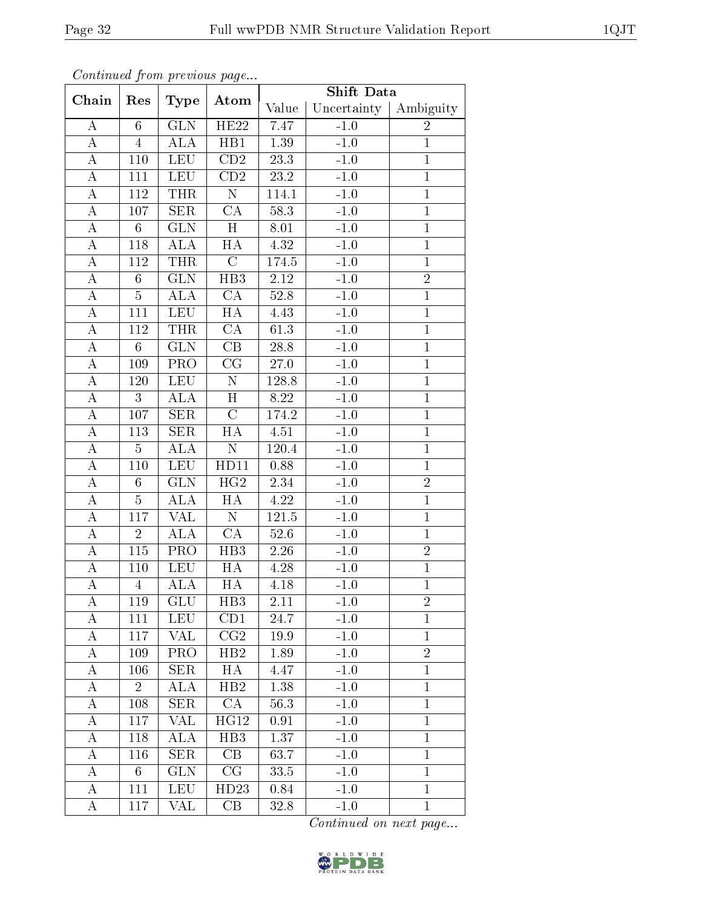|                    |                 |                         |                        | <b>Shift Data</b> |             |                |
|--------------------|-----------------|-------------------------|------------------------|-------------------|-------------|----------------|
| Chain              | Res             | Type                    | Atom                   | Value             | Uncertainty | Ambiguity      |
| A                  | $6\phantom{.}6$ | <b>GLN</b>              | HE22                   | 7.47              | $-1.0$      | $\overline{2}$ |
| $\bf{A}$           | $\overline{4}$  | ALA                     | HB1                    | $1.39\,$          | $-1.0$      | $\mathbf{1}$   |
| A                  | 110             | <b>LEU</b>              | CD2                    | $23.3\,$          | $-1.0$      | $\mathbf{1}$   |
| $\boldsymbol{A}$   | 111             | <b>LEU</b>              | $\overline{CD2}$       | 23.2              | $-1.0$      | $\,1$          |
| А                  | 112             | <b>THR</b>              | N                      | 114.1             | $-1.0$      | $\mathbf 1$    |
| $\overline{\rm A}$ | 107             | SER                     | $\overline{\text{CA}}$ | 58.3              | $-1.0$      | $\overline{1}$ |
| $\boldsymbol{A}$   | $6\phantom{.}6$ | <b>GLN</b>              | H                      | 8.01              | $-1.0$      | $\mathbf 1$    |
| $\boldsymbol{A}$   | 118             | $AL\overline{A}$        | HA                     | $4.32\,$          | $-1.0$      | $\mathbf 1$    |
| $\overline{\rm A}$ | 112             | <b>THR</b>              | $\overline{C}$         | 174.5             | $-1.0$      | $\mathbf 1$    |
| $\bf{A}$           | $6\phantom{.}6$ | <b>GLN</b>              | HB <sub>3</sub>        | 2.12              | $-1.0$      | $\overline{2}$ |
| $\boldsymbol{A}$   | $\overline{5}$  | ALA                     | CA                     | 52.8              | $-1.0$      | $\overline{1}$ |
| $\boldsymbol{A}$   | 111             | <b>LEU</b>              | HA                     | 4.43              | $-1.0$      | $\mathbf{1}$   |
| $\boldsymbol{A}$   | 112             | <b>THR</b>              | CA                     | 61.3              | $-1.0$      | $\mathbf{1}$   |
| А                  | $6\phantom{.}6$ | GLN                     | $\overline{\text{CB}}$ | 28.8              | $-1.0$      | $\mathbf{1}$   |
| $\bf{A}$           | 109             | PRO                     | CG                     | 27.0              | $-1.0$      | $\overline{1}$ |
| $\bf{A}$           | 120             | <b>LEU</b>              | $\overline{\rm N}$     | 128.8             | $-1.0$      | $\overline{1}$ |
| $\boldsymbol{A}$   | 3               | ALA                     | H                      | 8.22              | $-1.0$      | $\mathbf{1}$   |
| A                  | 107             | SER                     | $\overline{\rm C}$     | 174.2             | $-1.0$      | $\overline{1}$ |
| A                  | 113             | <b>SER</b>              | HA                     | 4.51              | $-1.0$      | $\,1$          |
| A                  | $\overline{5}$  | <b>ALA</b>              | ${\rm N}$              | 120.4             | $-1.0$      | $\mathbf{1}$   |
| $\boldsymbol{A}$   | 110             | <b>LEU</b>              | HD11                   | 0.88              | $-1.0$      | $\mathbf 1$    |
| A                  | 6               | <b>GLN</b>              | HG2                    | 2.34              | $-1.0$      | $\sqrt{2}$     |
| A                  | $\overline{5}$  | <b>ALA</b>              | HA                     | 4.22              | $-1.0$      | $\,1$          |
| A                  | 117             | VAL                     | N                      | 121.5             | $-1.0$      | $\mathbf{1}$   |
| $\boldsymbol{A}$   | $\overline{2}$  | <b>ALA</b>              | $\overline{\text{CA}}$ | 52.6              | $-1.0$      | $\overline{1}$ |
| $\boldsymbol{A}$   | 115             | PRO                     | HB <sub>3</sub>        | 2.26              | $-1.0$      | $\overline{2}$ |
| A                  | 110             | <b>LEU</b>              | HA                     | $4.28\,$          | $-1.0$      | $\mathbf{1}$   |
| $\overline{A}$     | $\overline{4}$  | $\rm AL\overline{A}$    | HA                     | 4.18              | $-1.0$      | $\mathbf 1$    |
| A                  | 119             | <b>GLU</b>              | H <sub>B</sub> 3       | 2.11              | $-1.0$      | $\overline{2}$ |
| A                  | 111             | <b>LEU</b>              | CD1                    | 24.7              | $-1.0$      | $\mathbf{1}$   |
| А                  | 117             | VAL                     | CG2                    | 19.9              | $-1.0$      | $\mathbf{1}$   |
| A                  | 109             | PRO                     | HB2                    | 1.89              | $-1.0$      | $\overline{2}$ |
| Α                  | 106             | <b>SER</b>              | HA                     | 4.47              | $-1.0$      | $\mathbf{1}$   |
| Α                  | $\overline{2}$  | ALA                     | HB2                    | 1.38              | $-1.0$      | $\mathbf{1}$   |
| А                  | 108             | $\overline{\text{SER}}$ | CA                     | 56.3              | $-1.0$      | $\mathbf{1}$   |
| Α                  | 117             | VAL                     | HG12                   | 0.91              | $-1.0$      | $\mathbf{1}$   |
| А                  | 118             | ALA                     | H <sub>B3</sub>        | 1.37              | $-1.0$      | $\mathbf{1}$   |
| A                  | 116             | <b>SER</b>              | CB                     | 63.7              | $-1.0$      | $\mathbf{1}$   |
| A                  | 6               | GLN                     | CG                     | 33.5              | $-1.0$      | $\mathbf{1}$   |
| A                  | 111             | LEU                     | HD23                   | 0.84              | $-1.0$      | $\mathbf{1}$   |
| A                  | 117             | VAL                     | CB                     | 32.8              | $-1.0$      | $\mathbf{1}$   |

Continued from previous page...

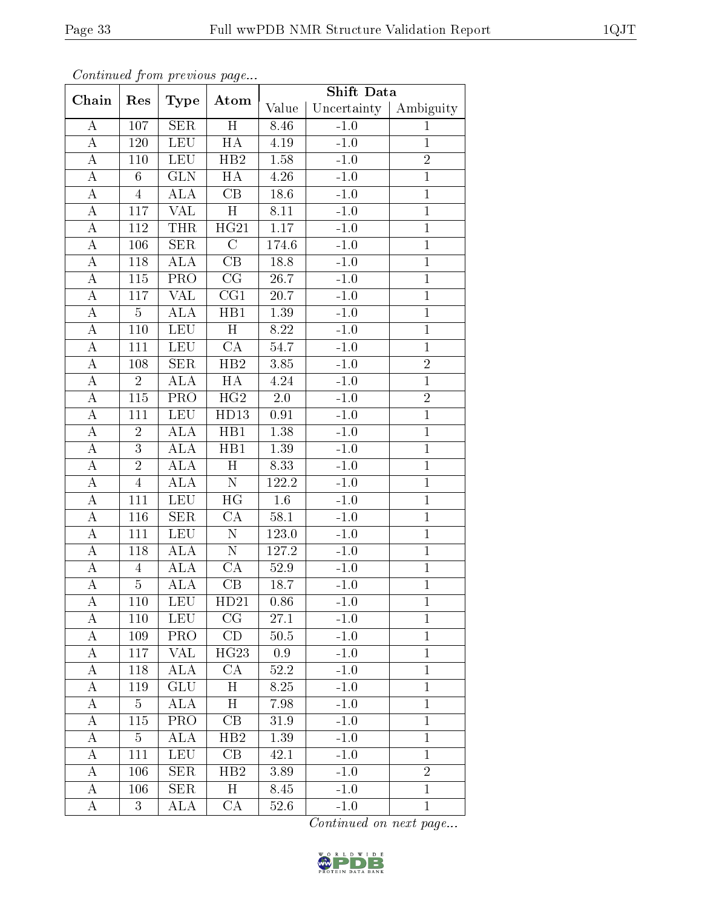|                    |                |                         |                         | <b>Shift Data</b> |             |                |
|--------------------|----------------|-------------------------|-------------------------|-------------------|-------------|----------------|
| Chain              | Res            | Type                    | Atom                    | Value             | Uncertainty | Ambiguity      |
| A                  | 107            | <b>SER</b>              | H                       | 8.46              | $-1.0$      | $\mathbf{1}$   |
| $\bf{A}$           | 120            | <b>LEU</b>              | HA                      | $4.19\,$          | $-1.0$      | $\mathbf{1}$   |
| A                  | 110            | LEU                     | HB2                     | 1.58              | $-1.0$      | $\overline{2}$ |
| $\boldsymbol{A}$   | 6              | GLN                     | HA                      | $\overline{4.26}$ | $-1.0$      | $\,1$          |
| А                  | $\overline{4}$ | ALA                     | CB                      | 18.6              | $-1.0$      | $\mathbf 1$    |
| $\overline{\rm A}$ | 117            | $\overline{\text{VAL}}$ | $\overline{\mathrm{H}}$ | 8.11              | $-1.0$      | $\overline{1}$ |
| $\boldsymbol{A}$   | 112            | <b>THR</b>              | HG21                    | $1.17\,$          | $-1.0$      | $\mathbf 1$    |
| $\boldsymbol{A}$   | 106            | <b>SER</b>              | $\mathcal{C}$           | 174.6             | $-1.0$      | $\mathbf{1}$   |
| $\overline{\rm A}$ | 118            | ALA                     | $\overline{\text{CB}}$  | 18.8              | $-1.0$      | $\mathbf 1$    |
| $\bf{A}$           | 115            | PRO                     | $\overline{\text{CG}}$  | 26.7              | $-1.0$      | $\mathbf{1}$   |
| $\boldsymbol{A}$   | 117            | $\overline{\text{VAL}}$ | CG1                     | 20.7              | $-1.0$      | $\overline{1}$ |
| $\boldsymbol{A}$   | $\overline{5}$ | ALA                     | HB1                     | 1.39              | $-1.0$      | $\mathbf{1}$   |
| $\boldsymbol{A}$   | 110            | <b>LEU</b>              | H                       | 8.22              | $-1.0$      | $\mathbf{1}$   |
| А                  | 111            | <b>LEU</b>              | $\overline{\text{CA}}$  | 54.7              | $-1.0$      | $\mathbf{1}$   |
| $\bf{A}$           | 108            | <b>SER</b>              | HB2                     | 3.85              | $-1.0$      | $\sqrt{2}$     |
| $\bf{A}$           | $\overline{2}$ | <b>ALA</b>              | $\overline{HA}$         | 4.24              | $-1.0$      | $\overline{1}$ |
| $\boldsymbol{A}$   | 115            | <b>PRO</b>              | HG2                     | 2.0               | $-1.0$      | $\overline{2}$ |
| A                  | 111            | <b>LEU</b>              | HD13                    | 0.91              | $-1.0$      | $\overline{1}$ |
| A                  | $\overline{2}$ | ALA                     | HB1                     | $1.38\,$          | $-1.0$      | $\mathbf{1}$   |
| A                  | $\overline{3}$ | ALA                     | HB1                     | 1.39              | $-1.0$      | $\overline{1}$ |
| $\boldsymbol{A}$   | $\overline{2}$ | ALA                     | $\overline{H}$          | 8.33              | $-1.0$      | $\mathbf 1$    |
| A                  | $\overline{4}$ | ALA                     | ${\bf N}$               | 122.2             | $-1.0$      | $\mathbf{1}$   |
| A                  | 111            | <b>LEU</b>              | $\overline{HG}$         | $1.6\,$           | $-1.0$      | $\,1$          |
| A                  | 116            | <b>SER</b>              | CA                      | 58.1              | $-1.0$      | $\mathbf{1}$   |
| $\bf{A}$           | 111            | <b>LEU</b>              | $\overline{\rm N}$      | 123.0             | $-1.0$      | $\overline{1}$ |
| $\boldsymbol{A}$   | 118            | $\widehat{ALA}$         | $\overline{\rm N}$      | 127.2             | $-1.0$      | $\mathbf{1}$   |
| $\boldsymbol{A}$   | $\overline{4}$ | $AL\overline{A}$        | CA                      | $52.9\,$          | $-1.0$      | $\mathbf{1}$   |
| $\overline{A}$     | $\overline{5}$ | ALA                     | CB                      | 18.7              | $-1.0$      | $\mathbf 1$    |
| А                  | 110            | <b>LEU</b>              | HD21                    | 0.86              | $-1.0$      | $\mathbf{1}$   |
| A                  | 110            | <b>LEU</b>              | CG                      | 27.1              | $-1.0$      | $\mathbf{1}$   |
| Α                  | 109            | PRO                     | CD                      | $50.5$            | $-1.0$      | $\mathbf{1}$   |
| A                  | 117            | <b>VAL</b>              | HG23                    | 0.9               | $-1.0$      | $\mathbf{1}$   |
| Α                  | 118            | <b>ALA</b>              | CA                      | 52.2              | $-1.0$      | $\mathbf{1}$   |
| Α                  | 119            | GLU                     | $\mathbf H$             | 8.25              | $-1.0$      | $\mathbf{1}$   |
| А                  | $\overline{5}$ | ALA                     | H                       | 7.98              | $-1.0$      | $\overline{1}$ |
| А                  | 115            | PRO                     | CB                      | 31.9              | $-1.0$      | $\mathbf{1}$   |
| Α                  | $\overline{5}$ | ALA                     | HB2                     | 1.39              | $-1.0$      | $\mathbf{1}$   |
| A                  | 111            | <b>LEU</b>              | CB                      | 42.1              | $-1.0$      | $\mathbf{1}$   |
| Α                  | 106            | <b>SER</b>              | HB2                     | 3.89              | $-1.0$      | $\overline{2}$ |
| A                  | 106            | <b>SER</b>              | H                       | 8.45              | $-1.0$      | $\mathbf{1}$   |
| A                  | 3              | ALA                     | CA                      | 52.6              | $-1.0$      | $\mathbf{1}$   |

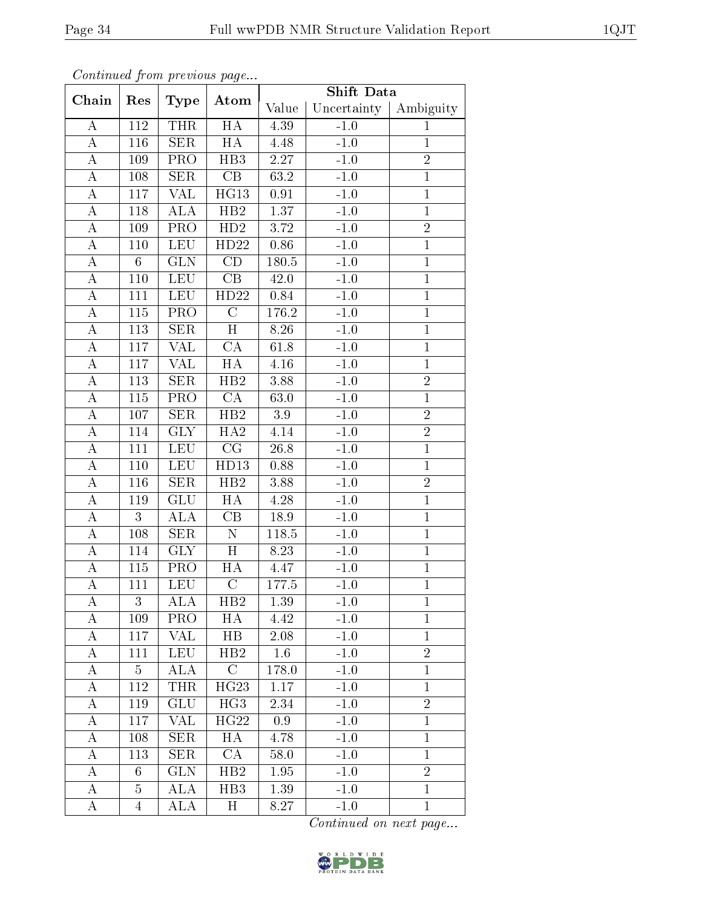|                    |                 |                         | $\mathbf{r}$ $\sim$ $\mathbf{v}$ $\sim$ | Shift Data                        |        |                |
|--------------------|-----------------|-------------------------|-----------------------------------------|-----------------------------------|--------|----------------|
| Chain              | Res             | <b>Type</b>             | Atom                                    | Uncertainty<br>Value<br>Ambiguity |        |                |
| A                  | 112             | <b>THR</b>              | $\overline{HA}$                         | 4.39                              | $-1.0$ | $\mathbf{1}$   |
| $\boldsymbol{A}$   | 116             | $\overline{\text{SER}}$ | HA                                      | 4.48                              | $-1.0$ | $\mathbf{1}$   |
| $\bf{A}$           | 109             | PRO                     | H <sub>B3</sub>                         | $2.27\,$                          | $-1.0$ | $\overline{2}$ |
| $\boldsymbol{A}$   | 108             | <b>SER</b>              | CB                                      | 63.2                              | $-1.0$ | $\overline{1}$ |
| $\bf{A}$           | 117             | VAL                     | $\overline{\mathrm{HG}}13$              | 0.91                              | $-1.0$ | $\overline{1}$ |
| $\bf{A}$           | 118             | ALA                     | HB2                                     | 1.37                              | $-1.0$ | $\overline{1}$ |
| А                  | 109             | PRO                     | HD2                                     | $3.72\,$                          | $-1.0$ | $\overline{2}$ |
| A                  | 110             | $\operatorname{LEU}$    | HD22                                    | 0.86                              | $-1.0$ | $\mathbf 1$    |
| $\boldsymbol{A}$   | $6\phantom{.}6$ | GLN                     | $\overline{\text{CD}}$                  | 180.5                             | $-1.0$ | $\mathbf{1}$   |
| $\boldsymbol{A}$   | 110             | <b>LEU</b>              | CB                                      | 42.0                              | $-1.0$ | $\overline{1}$ |
| $\bf{A}$           | 111             | <b>LEU</b>              | HD22                                    | 0.84                              | $-1.0$ | $\mathbf{1}$   |
| $\boldsymbol{A}$   | 115             | PRO                     | $\overline{C}$                          | 176.2                             | $-1.0$ | $\mathbf{1}$   |
| $\boldsymbol{A}$   | 113             | <b>SER</b>              | H                                       | 8.26                              | $-1.0$ | $\mathbf{1}$   |
| $\bf{A}$           | 117             | <b>VAL</b>              | $\overline{\text{CA}}$                  | 61.8                              | $-1.0$ | $\mathbf{1}$   |
| $\bf{A}$           | 117             | <b>VAL</b>              | HA                                      | $4.16\,$                          | $-1.0$ | $\mathbf{1}$   |
| $\overline{A}$     | 113             | SER                     | $\overline{HB2}$                        | 3.88                              | $-1.0$ | $\overline{2}$ |
| А                  | 115             | PRO                     | CA                                      | 63.0                              | $-1.0$ | $\mathbf{1}$   |
| $\bf{A}$           | 107             | SER                     | $\overline{HB2}$                        | $\overline{3.9}$                  | $-1.0$ | $\overline{2}$ |
| A                  | 114             | <b>GLY</b>              | HA2                                     | 4.14                              | $-1.0$ | $\overline{2}$ |
| $\bf{A}$           | 111             | <b>LEU</b>              | CG                                      | $26.8\,$                          | $-1.0$ | $\overline{1}$ |
| $\overline{\rm A}$ | 110             | <b>LEU</b>              | HD13                                    | 0.88                              | $-1.0$ | $\overline{1}$ |
| $\bf{A}$           | 116             | <b>SER</b>              | HB2                                     | 3.88                              | $-1.0$ | $\sqrt{2}$     |
| $\boldsymbol{A}$   | 119             | GLU                     | HA                                      | 4.28                              | $-1.0$ | $\overline{1}$ |
| A                  | 3               | ALA                     | CB                                      | 18.9                              | $-1.0$ | $\mathbf{1}$   |
| $\bf{A}$           | 108             | <b>SER</b>              | ${\rm N}$                               | 118.5                             | $-1.0$ | $\overline{1}$ |
| А                  | 114             | <b>GLY</b>              | $\overline{H}$                          | 8.23                              | $-1.0$ | $\mathbf{1}$   |
| A                  | $115\,$         | PRO                     | HA                                      | 4.47                              | $-1.0$ | $\mathbf 1$    |
| $\boldsymbol{A}$   | 111             | <b>LEU</b>              | $\mathcal{C}$                           | 177.5                             | $-1.0$ | $\mathbf{1}$   |
| A                  | 3               | ALA                     | HB2                                     | 1.39                              | $-1.0$ | $\mathbf{1}$   |
| A                  | 109             | PRO                     | HA                                      | 4.42                              | $-1.0$ | $\mathbf{1}$   |
| A                  | 117             | <b>VAL</b>              | $_{\rm HB}$                             | 2.08                              | $-1.0$ | $\mathbf{1}$   |
| А                  | 111             | LEU                     | HB2                                     | 1.6                               | $-1.0$ | $\overline{2}$ |
| A                  | $\overline{5}$  | ALA                     | $\overline{C}$                          | 178.0                             | $-1.0$ | $\mathbf{1}$   |
| A                  | 112             | <b>THR</b>              | HG23                                    | $1.17\,$                          | $-1.0$ | $\mathbf{1}$   |
| A                  | 119             | GLU                     | $\overline{\text{HG3}}$                 | 2.34                              | $-1.0$ | $\overline{2}$ |
| Α                  | 117             | <b>VAL</b>              | HG22                                    | 0.9                               | $-1.0$ | $\mathbf{1}$   |
| A                  | 108             | <b>SER</b>              | HA                                      | 4.78                              | $-1.0$ | $\mathbf{1}$   |
| A                  | 113             | <b>SER</b>              | CA                                      | 58.0                              | $-1.0$ | $\mathbf{1}$   |
| A                  | 6               | <b>GLN</b>              | HB2                                     | 1.95                              | $-1.0$ | $\overline{2}$ |
| Α                  | 5               | ALA                     | H <sub>B</sub> 3                        | 1.39                              | $-1.0$ | $\mathbf{1}$   |
| A                  | $\overline{4}$  | ALA                     | $H_{\rm}$                               | 8.27                              | $-1.0$ | $\mathbf{1}$   |

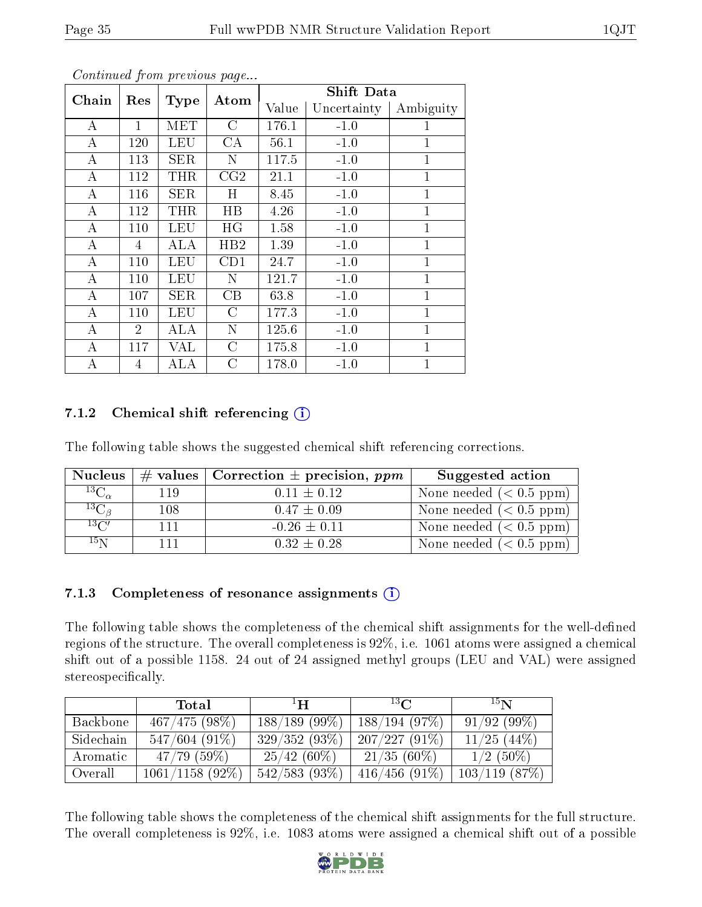| o o neenewow gro ne proceso wo pwgo |                |             |             | <b>Shift Data</b> |             |              |  |
|-------------------------------------|----------------|-------------|-------------|-------------------|-------------|--------------|--|
| Chain                               | Res            | <b>Type</b> | Atom        | Value             | Uncertainty | Ambiguity    |  |
| A                                   | 1              | MET         | C           | 176.1             | $-1.0$      | 1            |  |
| A                                   | 120            | LEU         | CA          | 56.1              | $-1.0$      | $\mathbf{1}$ |  |
| A                                   | 113            | SER         | N           | 117.5             | $-1.0$      | $\mathbf{1}$ |  |
| А                                   | 112            | <b>THR</b>  | CG2         | 21.1              | $-1.0$      | 1            |  |
| А                                   | 116            | SER         | Η           | 8.45              | $-1.0$      | $\mathbf{1}$ |  |
| А                                   | 112            | THR         | $_{\rm HB}$ | 4.26              | $-1.0$      | $\mathbf 1$  |  |
| А                                   | 110            | LEU         | HG          | 1.58              | $-1.0$      | $\mathbf{1}$ |  |
| A                                   | 4              | ALA         | HB2         | 1.39              | $-1.0$      | $\mathbf{1}$ |  |
| A                                   | 110            | LEU         | CD1         | 24.7              | $-1.0$      | $\mathbf{1}$ |  |
| А                                   | 110            | LEU         | N           | 121.7             | $-1.0$      | $\mathbf{1}$ |  |
| А                                   | 107            | <b>SER</b>  | CB          | 63.8              | $-1.0$      | $\mathbf{1}$ |  |
| А                                   | 110            | LEU         | $\rm C$     | 177.3             | $-1.0$      | $\mathbf{1}$ |  |
| $\boldsymbol{A}$                    | $\overline{2}$ | ALA         | N           | 125.6             | $-1.0$      | $\mathbf{1}$ |  |
| А                                   | 117            | VAL         | С           | 175.8             | $-1.0$      | $\mathbf 1$  |  |
| А                                   | 4              | ALA         | C           | 178.0             | $-1.0$      | $\mathbf{1}$ |  |

#### 7.1.2 Chemical shift referencing  $(i)$

The following table shows the suggested chemical shift referencing corrections.

| <b>Nucleus</b>                        |     | $\#$ values   Correction $\pm$ precision, ppm | Suggested action          |
|---------------------------------------|-----|-----------------------------------------------|---------------------------|
| $^{13}\overline{\mathrm{C}}_{\alpha}$ | 119 | $0.11 \pm 0.12$                               | None needed $(0.5 ppm)$   |
| $^{13}C_{\beta}$                      | 108 | $0.47 \pm 0.09$                               | None needed $(0.5 ppm)$   |
| $13\text{C}$                          | 111 | $-0.26 \pm 0.11$                              | None needed $(< 0.5$ ppm) |
| 15 <sub>N</sub>                       | 111 | $0.32 \pm 0.28$                               | None needed $(< 0.5$ ppm) |

#### 7.1.3 Completeness of resonance assignments  $(i)$

The following table shows the completeness of the chemical shift assignments for the well-defined regions of the structure. The overall completeness is 92%, i.e. 1061 atoms were assigned a chemical shift out of a possible 1158. 24 out of 24 assigned methyl groups (LEU and VAL) were assigned stereospecifically.

|           | <b>Total</b>    | $\mathbf{H}^1$  | $^{13}$ C     | 15 <sub>N</sub>  |
|-----------|-----------------|-----------------|---------------|------------------|
| Backbone  | 467/475(98%)    | $188/189(99\%)$ | 188/194(97%)  | 91/92(99%)       |
| Sidechain | $547/604(91\%)$ | 329/352(93%)    | 207/227(91%)  | $11/25$ $(44\%)$ |
| Aromatic  | 47/79(59%)      | $25/42(60\%)$   | $21/35(60\%)$ | $1/2$ (50%)      |
| Overall   | 1061/1158(92%)  | 542/583(93%)    | 416/456(91%)  | $103/119$ (87\%) |

The following table shows the completeness of the chemical shift assignments for the full structure. The overall completeness is 92%, i.e. 1083 atoms were assigned a chemical shift out of a possible